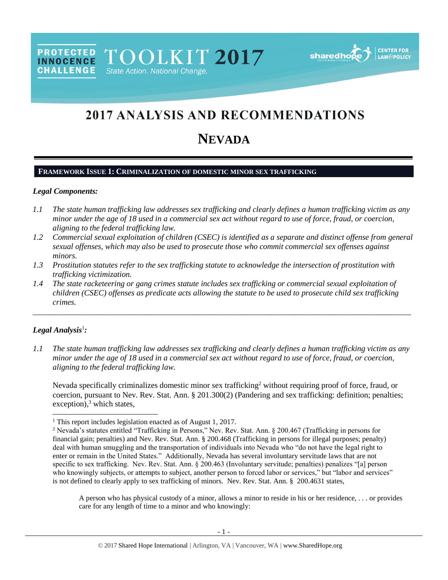PROTECTED TOOLKIT 2017 State Action. National Change.

sharedh

# 2017 ANALYSIS AND RECOMMENDATIONS

## **NEVADA**

## **FRAMEWORK ISSUE 1: CRIMINALIZATION OF DOMESTIC MINOR SEX TRAFFICKING**

#### *Legal Components:*

**CHALLENGE** 

- *1.1 The state human trafficking law addresses sex trafficking and clearly defines a human trafficking victim as any minor under the age of 18 used in a commercial sex act without regard to use of force, fraud, or coercion, aligning to the federal trafficking law.*
- *1.2 Commercial sexual exploitation of children (CSEC) is identified as a separate and distinct offense from general sexual offenses, which may also be used to prosecute those who commit commercial sex offenses against minors.*
- *1.3 Prostitution statutes refer to the sex trafficking statute to acknowledge the intersection of prostitution with trafficking victimization.*
- *1.4 The state racketeering or gang crimes statute includes sex trafficking or commercial sexual exploitation of children (CSEC) offenses as predicate acts allowing the statute to be used to prosecute child sex trafficking crimes.*

\_\_\_\_\_\_\_\_\_\_\_\_\_\_\_\_\_\_\_\_\_\_\_\_\_\_\_\_\_\_\_\_\_\_\_\_\_\_\_\_\_\_\_\_\_\_\_\_\_\_\_\_\_\_\_\_\_\_\_\_\_\_\_\_\_\_\_\_\_\_\_\_\_\_\_\_\_\_\_\_\_\_\_\_\_\_\_\_\_\_\_\_\_\_

#### *Legal Analysis*<sup>1</sup> *:*

 $\overline{a}$ 

*1.1 The state human trafficking law addresses sex trafficking and clearly defines a human trafficking victim as any minor under the age of 18 used in a commercial sex act without regard to use of force, fraud, or coercion, aligning to the federal trafficking law.*

<span id="page-0-0"></span>Nevada specifically criminalizes domestic minor sex trafficking<sup>2</sup> without requiring proof of force, fraud, or coercion, pursuant to Nev. Rev. Stat. Ann. § 201.300(2) (Pandering and sex trafficking: definition; penalties; exception), <sup>3</sup> which states,

A person who has physical custody of a minor, allows a minor to reside in his or her residence, . . . or provides care for any length of time to a minor and who knowingly:

<sup>&</sup>lt;sup>1</sup> This report includes legislation enacted as of August 1, 2017.

<sup>2</sup> Nevada's statutes entitled "Trafficking in Persons," Nev. Rev. Stat. Ann. § 200.467 (Trafficking in persons for financial gain; penalties) and Nev. Rev. Stat. Ann. § 200.468 (Trafficking in persons for illegal purposes; penalty) deal with human smuggling and the transportation of individuals into Nevada who "do not have the legal right to enter or remain in the United States." Additionally, Nevada has several involuntary servitude laws that are not specific to sex trafficking. Nev. Rev. Stat. Ann. § 200.463 (Involuntary servitude; penalties) penalizes "[a] person who knowingly subjects, or attempts to subject, another person to forced labor or services," but "labor and services" is not defined to clearly apply to sex trafficking of minors. Nev. Rev. Stat. Ann. § 200.4631 states,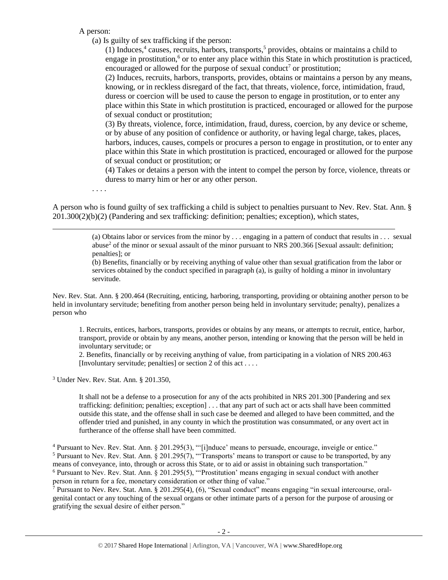A person:

(a) Is guilty of sex trafficking if the person:

<span id="page-1-2"></span><span id="page-1-1"></span><span id="page-1-0"></span>(1) Induces, $4$  causes, recruits, harbors, transports, $5$  provides, obtains or maintains a child to engage in prostitution, $6$  or to enter any place within this State in which prostitution is practiced, encouraged or allowed for the purpose of sexual conduct<sup>7</sup> or prostitution;

<span id="page-1-3"></span>(2) Induces, recruits, harbors, transports, provides, obtains or maintains a person by any means, knowing, or in reckless disregard of the fact, that threats, violence, force, intimidation, fraud, duress or coercion will be used to cause the person to engage in prostitution, or to enter any place within this State in which prostitution is practiced, encouraged or allowed for the purpose of sexual conduct or prostitution;

(3) By threats, violence, force, intimidation, fraud, duress, coercion, by any device or scheme, or by abuse of any position of confidence or authority, or having legal charge, takes, places, harbors, induces, causes, compels or procures a person to engage in prostitution, or to enter any place within this State in which prostitution is practiced, encouraged or allowed for the purpose of sexual conduct or prostitution; or

(4) Takes or detains a person with the intent to compel the person by force, violence, threats or duress to marry him or her or any other person.

. . . .

 $\overline{a}$ 

A person who is found guilty of sex trafficking a child is subject to penalties pursuant to Nev. Rev. Stat. Ann. § 201.300(2)(b)(2) (Pandering and sex trafficking: definition; penalties; exception), which states,

> (a) Obtains labor or services from the minor by . . . engaging in a pattern of conduct that results in . . . sexual abuse<sup>2</sup> of the minor or sexual assault of the minor pursuant to NRS 200.366 [Sexual assault: definition; penalties]; or

(b) Benefits, financially or by receiving anything of value other than sexual gratification from the labor or services obtained by the conduct specified in paragraph (a), is guilty of holding a minor in involuntary servitude.

Nev. Rev. Stat. Ann. § 200.464 (Recruiting, enticing, harboring, transporting, providing or obtaining another person to be held in involuntary servitude; benefiting from another person being held in involuntary servitude; penalty), penalizes a person who

1. Recruits, entices, harbors, transports, provides or obtains by any means, or attempts to recruit, entice, harbor, transport, provide or obtain by any means, another person, intending or knowing that the person will be held in involuntary servitude; or

2. Benefits, financially or by receiving anything of value, from participating in a violation of NRS 200.463 [Involuntary servitude; penalties] or section 2 of this act . . . .

<sup>3</sup> Under Nev. Rev. Stat. Ann. § 201.350,

It shall not be a defense to a prosecution for any of the acts prohibited in NRS 201.300 [Pandering and sex trafficking: definition; penalties; exception] . . . that any part of such act or acts shall have been committed outside this state, and the offense shall in such case be deemed and alleged to have been committed, and the offender tried and punished, in any county in which the prostitution was consummated, or any overt act in furtherance of the offense shall have been committed.

<sup>4</sup> Pursuant to Nev. Rev. Stat. Ann. § 201.295(3), "'[i]nduce' means to persuade, encourage, inveigle or entice." <sup>5</sup> Pursuant to Nev. Rev. Stat. Ann. § 201.295(7), "Transports' means to transport or cause to be transported, by any means of conveyance, into, through or across this State, or to aid or assist in obtaining such transportation." <sup>6</sup> Pursuant to Nev. Rev. Stat. Ann. § 201.295(5), "'Prostitution' means engaging in sexual conduct with another person in return for a fee, monetary consideration or other thing of value."

<sup>7</sup> Pursuant to Nev. Rev. Stat. Ann. § 201.295(4), (6), "Sexual conduct" means engaging "in sexual intercourse, oralgenital contact or any touching of the sexual organs or other intimate parts of a person for the purpose of arousing or gratifying the sexual desire of either person."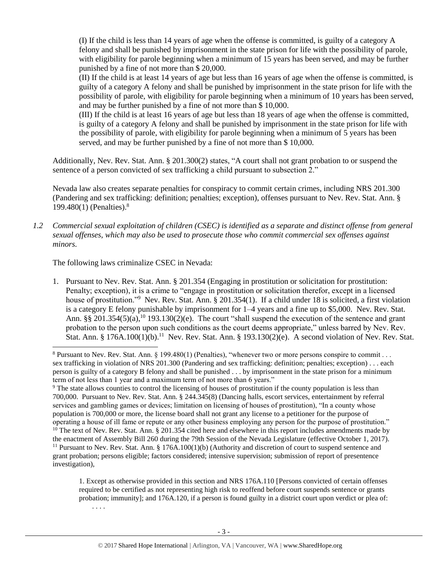(I) If the child is less than 14 years of age when the offense is committed, is guilty of a category A felony and shall be punished by imprisonment in the state prison for life with the possibility of parole, with eligibility for parole beginning when a minimum of 15 years has been served, and may be further punished by a fine of not more than \$ 20,000.

(II) If the child is at least 14 years of age but less than 16 years of age when the offense is committed, is guilty of a category A felony and shall be punished by imprisonment in the state prison for life with the possibility of parole, with eligibility for parole beginning when a minimum of 10 years has been served, and may be further punished by a fine of not more than \$ 10,000.

(III) If the child is at least 16 years of age but less than 18 years of age when the offense is committed, is guilty of a category A felony and shall be punished by imprisonment in the state prison for life with the possibility of parole, with eligibility for parole beginning when a minimum of 5 years has been served, and may be further punished by a fine of not more than \$ 10,000.

Additionally, Nev. Rev. Stat. Ann. § 201.300(2) states, "A court shall not grant probation to or suspend the sentence of a person convicted of sex trafficking a child pursuant to subsection 2."

<span id="page-2-2"></span>Nevada law also creates separate penalties for conspiracy to commit certain crimes, including NRS 201.300 (Pandering and sex trafficking: definition; penalties; exception), offenses pursuant to Nev. Rev. Stat. Ann. § 199.480(1) (Penalties). 8

*1.2 Commercial sexual exploitation of children (CSEC) is identified as a separate and distinct offense from general sexual offenses, which may also be used to prosecute those who commit commercial sex offenses against minors.*

The following laws criminalize CSEC in Nevada:

<span id="page-2-1"></span><span id="page-2-0"></span> $\overline{a}$ 

1. Pursuant to Nev. Rev. Stat. Ann. § 201.354 (Engaging in prostitution or solicitation for prostitution: Penalty; exception), it is a crime to "engage in prostitution or solicitation therefor, except in a licensed house of prostitution."<sup>9</sup> Nev. Rev. Stat. Ann. § 201.354(1). If a child under 18 is solicited, a first violation is a category E felony punishable by imprisonment for 1–4 years and a fine up to \$5,000. Nev. Rev. Stat. Ann. §§ 201.354(5)(a),<sup>10</sup> 193.130(2)(e). The court "shall suspend the execution of the sentence and grant probation to the person upon such conditions as the court deems appropriate," unless barred by Nev. Rev. Stat. Ann. § 176A.100(1)(b).<sup>11</sup> Nev. Rev. Stat. Ann. § 193.130(2)(e). A second violation of Nev. Rev. Stat.

<sup>9</sup> The state allows counties to control the licensing of houses of prostitution if the county population is less than 700,000. Pursuant to Nev. Rev. Stat. Ann. § 244.345(8) (Dancing halls, escort services, entertainment by referral services and gambling games or devices; limitation on licensing of houses of prostitution), "In a county whose population is 700,000 or more, the license board shall not grant any license to a petitioner for the purpose of operating a house of ill fame or repute or any other business employing any person for the purpose of prostitution."  $10$  The text of Nev. Rev. Stat. Ann. § 201.354 cited here and elsewhere in this report includes amendments made by the enactment of Assembly Bill 260 during the 79th Session of the Nevada Legislature (effective October 1, 2017).

<sup>11</sup> Pursuant to Nev. Rev. Stat. Ann. § 176A.100(1)(b) (Authority and discretion of court to suspend sentence and grant probation; persons eligible; factors considered; intensive supervision; submission of report of presentence investigation),

1. Except as otherwise provided in this section and NRS 176A.110 [Persons convicted of certain offenses required to be certified as not representing high risk to reoffend before court suspends sentence or grants probation; immunity]; and 176A.120, if a person is found guilty in a district court upon verdict or plea of: . . . .

<sup>&</sup>lt;sup>8</sup> Pursuant to Nev. Rev. Stat. Ann. § 199.480(1) (Penalties), "whenever two or more persons conspire to commit . . . sex trafficking in violation of NRS 201.300 (Pandering and sex trafficking: definition; penalties; exception) . . . each person is guilty of a category B felony and shall be punished . . . by imprisonment in the state prison for a minimum term of not less than 1 year and a maximum term of not more than 6 years."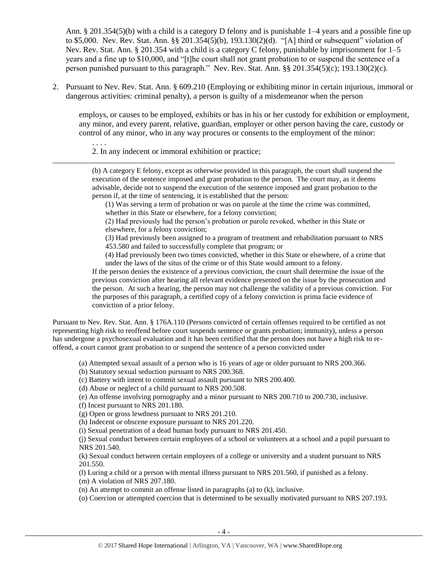Ann. § 201.354(5)(b) with a child is a category D felony and is punishable 1–4 years and a possible fine up to \$5,000. Nev. Rev. Stat. Ann. §§ 201.354(5)(b), 193.130(2)(d). "[A] third or subsequent" violation of Nev. Rev. Stat. Ann. § 201.354 with a child is a category C felony, punishable by imprisonment for 1–5 years and a fine up to \$10,000, and "[t]he court shall not grant probation to or suspend the sentence of a person punished pursuant to this paragraph." Nev. Rev. Stat. Ann. §§ 201.354(5)(c); 193.130(2)(c).

2. Pursuant to Nev. Rev. Stat. Ann. § 609.210 (Employing or exhibiting minor in certain injurious, immoral or dangerous activities: criminal penalty), a person is guilty of a misdemeanor when the person

employs, or causes to be employed, exhibits or has in his or her custody for exhibition or employment, any minor, and every parent, relative, guardian, employer or other person having the care, custody or control of any minor, who in any way procures or consents to the employment of the minor:

2. In any indecent or immoral exhibition or practice;

. . . .

 $\overline{a}$ 

(b) A category E felony, except as otherwise provided in this paragraph, the court shall suspend the execution of the sentence imposed and grant probation to the person. The court may, as it deems advisable, decide not to suspend the execution of the sentence imposed and grant probation to the person if, at the time of sentencing, it is established that the person:

(1) Was serving a term of probation or was on parole at the time the crime was committed, whether in this State or elsewhere, for a felony conviction;

(2) Had previously had the person's probation or parole revoked, whether in this State or elsewhere, for a felony conviction;

(3) Had previously been assigned to a program of treatment and rehabilitation pursuant to NRS 453.580 and failed to successfully complete that program; or

(4) Had previously been two times convicted, whether in this State or elsewhere, of a crime that under the laws of the situs of the crime or of this State would amount to a felony.

If the person denies the existence of a previous conviction, the court shall determine the issue of the previous conviction after hearing all relevant evidence presented on the issue by the prosecution and the person. At such a hearing, the person may not challenge the validity of a previous conviction. For the purposes of this paragraph, a certified copy of a felony conviction is prima facie evidence of conviction of a prior felony.

Pursuant to Nev. Rev. Stat. Ann. § 176A.110 (Persons convicted of certain offenses required to be certified as not representing high risk to reoffend before court suspends sentence or grants probation; immunity), unless a person has undergone a psychosexual evaluation and it has been certified that the person does not have a high risk to reoffend, a court cannot grant probation to or suspend the sentence of a person convicted under

(a) Attempted sexual assault of a person who is 16 years of age or older pursuant to NRS 200.366.

(b) Statutory sexual seduction pursuant to NRS 200.368.

(c) Battery with intent to commit sexual assault pursuant to NRS 200.400.

(d) Abuse or neglect of a child pursuant to NRS 200.508.

(e) An offense involving pornography and a minor pursuant to NRS 200.710 to 200.730, inclusive.

(f) Incest pursuant to NRS 201.180.

(g) Open or gross lewdness pursuant to NRS 201.210.

(h) Indecent or obscene exposure pursuant to NRS 201.220.

(i) Sexual penetration of a dead human body pursuant to NRS 201.450.

(j) Sexual conduct between certain employees of a school or volunteers at a school and a pupil pursuant to NRS 201.540.

(k) Sexual conduct between certain employees of a college or university and a student pursuant to NRS 201.550.

(l) Luring a child or a person with mental illness pursuant to NRS 201.560, if punished as a felony.

(m) A violation of NRS 207.180.

(n) An attempt to commit an offense listed in paragraphs (a) to (k), inclusive.

(o) Coercion or attempted coercion that is determined to be sexually motivated pursuant to NRS 207.193.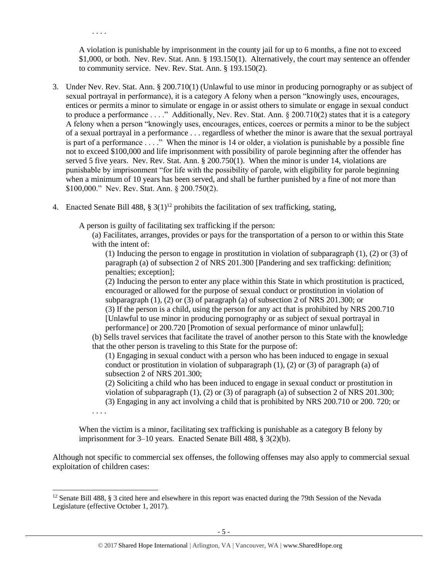. . . .

 $\overline{a}$ 

A violation is punishable by imprisonment in the county jail for up to 6 months, a fine not to exceed \$1,000, or both. Nev. Rev. Stat. Ann. § 193.150(1). Alternatively, the court may sentence an offender to community service. Nev. Rev. Stat. Ann. § 193.150(2).

- 3. Under Nev. Rev. Stat. Ann. § 200.710(1) (Unlawful to use minor in producing pornography or as subject of sexual portrayal in performance), it is a category A felony when a person "knowingly uses, encourages, entices or permits a minor to simulate or engage in or assist others to simulate or engage in sexual conduct to produce a performance . . . ." Additionally, Nev. Rev. Stat. Ann. § 200.710(2) states that it is a category A felony when a person "knowingly uses, encourages, entices, coerces or permits a minor to be the subject of a sexual portrayal in a performance . . . regardless of whether the minor is aware that the sexual portrayal is part of a performance . . . ." When the minor is 14 or older, a violation is punishable by a possible fine not to exceed \$100,000 and life imprisonment with possibility of parole beginning after the offender has served 5 five years. Nev. Rev. Stat. Ann. § 200.750(1). When the minor is under 14, violations are punishable by imprisonment "for life with the possibility of parole, with eligibility for parole beginning when a minimum of 10 years has been served, and shall be further punished by a fine of not more than \$100,000." Nev. Rev. Stat. Ann. § 200.750(2).
- 4. Enacted Senate Bill 488,  $\S 3(1)^{12}$  prohibits the facilitation of sex trafficking, stating,

A person is guilty of facilitating sex trafficking if the person:

(a) Facilitates, arranges, provides or pays for the transportation of a person to or within this State with the intent of:

<span id="page-4-0"></span>(1) Inducing the person to engage in prostitution in violation of subparagraph (1), (2) or (3) of paragraph (a) of subsection 2 of NRS 201.300 [Pandering and sex trafficking: definition; penalties; exception];

(2) Inducing the person to enter any place within this State in which prostitution is practiced, encouraged or allowed for the purpose of sexual conduct or prostitution in violation of subparagraph (1), (2) or (3) of paragraph (a) of subsection 2 of NRS 201.300; or

(3) If the person is a child, using the person for any act that is prohibited by NRS 200.710 [Unlawful to use minor in producing pornography or as subject of sexual portrayal in performance] or 200.720 [Promotion of sexual performance of minor unlawful];

(b) Sells travel services that facilitate the travel of another person to this State with the knowledge that the other person is traveling to this State for the purpose of:

(1) Engaging in sexual conduct with a person who has been induced to engage in sexual conduct or prostitution in violation of subparagraph  $(1)$ ,  $(2)$  or  $(3)$  of paragraph  $(a)$  of subsection 2 of NRS 201.300;

(2) Soliciting a child who has been induced to engage in sexual conduct or prostitution in violation of subparagraph (1), (2) or (3) of paragraph (a) of subsection 2 of NRS 201.300;

(3) Engaging in any act involving a child that is prohibited by NRS 200.710 or 200. 720; or . . . .

When the victim is a minor, facilitating sex trafficking is punishable as a category B felony by imprisonment for 3–10 years. Enacted Senate Bill 488, § 3(2)(b).

Although not specific to commercial sex offenses, the following offenses may also apply to commercial sexual exploitation of children cases:

<sup>&</sup>lt;sup>12</sup> Senate Bill 488, § 3 cited here and elsewhere in this report was enacted during the 79th Session of the Nevada Legislature (effective October 1, 2017).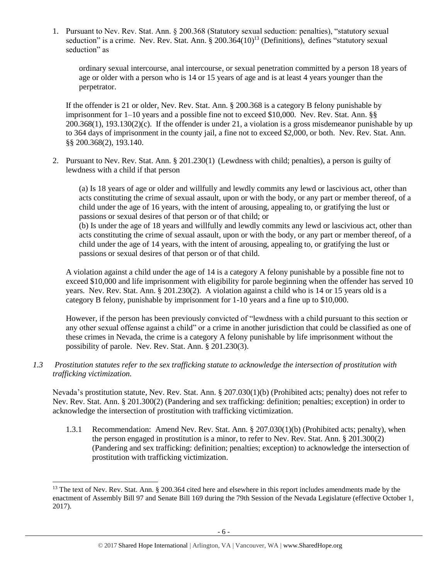1. Pursuant to Nev. Rev. Stat. Ann. § 200.368 (Statutory sexual seduction: penalties), "statutory sexual seduction" is a crime. Nev. Rev. Stat. Ann. § 200.364(10)<sup>13</sup> (Definitions), defines "statutory sexual seduction" as

<span id="page-5-0"></span>ordinary sexual intercourse, anal intercourse, or sexual penetration committed by a person 18 years of age or older with a person who is 14 or 15 years of age and is at least 4 years younger than the perpetrator.

If the offender is 21 or older, Nev. Rev. Stat. Ann. § 200.368 is a category B felony punishable by imprisonment for 1–10 years and a possible fine not to exceed \$10,000. Nev. Rev. Stat. Ann. §§  $200.368(1)$ ,  $193.130(2)(c)$ . If the offender is under 21, a violation is a gross misdemeanor punishable by up to 364 days of imprisonment in the county jail, a fine not to exceed \$2,000, or both. Nev. Rev. Stat. Ann. §§ 200.368(2), 193.140.

2. Pursuant to Nev. Rev. Stat. Ann. § 201.230(1) (Lewdness with child; penalties), a person is guilty of lewdness with a child if that person

(a) Is 18 years of age or older and willfully and lewdly commits any lewd or lascivious act, other than acts constituting the crime of sexual assault, upon or with the body, or any part or member thereof, of a child under the age of 16 years, with the intent of arousing, appealing to, or gratifying the lust or passions or sexual desires of that person or of that child; or (b) Is under the age of 18 years and willfully and lewdly commits any lewd or lascivious act, other than

acts constituting the crime of sexual assault, upon or with the body, or any part or member thereof, of a child under the age of 14 years, with the intent of arousing, appealing to, or gratifying the lust or passions or sexual desires of that person or of that child.

A violation against a child under the age of 14 is a category A felony punishable by a possible fine not to exceed \$10,000 and life imprisonment with eligibility for parole beginning when the offender has served 10 years. Nev. Rev. Stat. Ann. § 201.230(2). A violation against a child who is 14 or 15 years old is a category B felony, punishable by imprisonment for 1-10 years and a fine up to \$10,000.

However, if the person has been previously convicted of "lewdness with a child pursuant to this section or any other sexual offense against a child" or a crime in another jurisdiction that could be classified as one of these crimes in Nevada, the crime is a category A felony punishable by life imprisonment without the possibility of parole. Nev. Rev. Stat. Ann. § 201.230(3).

*1.3 Prostitution statutes refer to the sex trafficking statute to acknowledge the intersection of prostitution with trafficking victimization.* 

Nevada's prostitution statute, Nev. Rev. Stat. Ann. § 207.030(1)(b) (Prohibited acts; penalty) does not refer to Nev. Rev. Stat. Ann. § 201.300(2) (Pandering and sex trafficking: definition; penalties; exception) in order to acknowledge the intersection of prostitution with trafficking victimization.

1.3.1 Recommendation: Amend Nev. Rev. Stat. Ann. § 207.030(1)(b) (Prohibited acts; penalty), when the person engaged in prostitution is a minor, to refer to Nev. Rev. Stat. Ann. § 201.300(2) (Pandering and sex trafficking: definition; penalties; exception) to acknowledge the intersection of prostitution with trafficking victimization.

l  $13$  The text of Nev. Rev. Stat. Ann. § 200.364 cited here and elsewhere in this report includes amendments made by the enactment of Assembly Bill 97 and Senate Bill 169 during the 79th Session of the Nevada Legislature (effective October 1, 2017).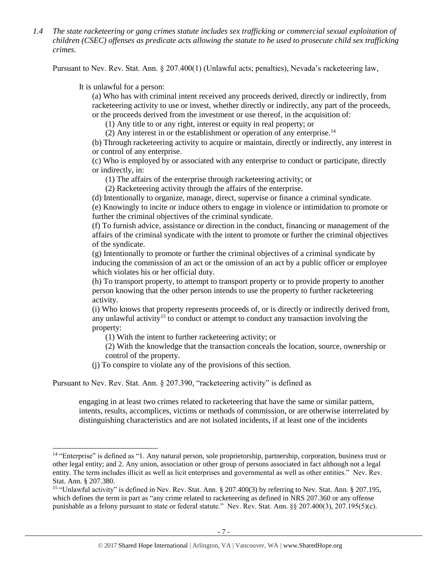*1.4 The state racketeering or gang crimes statute includes sex trafficking or commercial sexual exploitation of children (CSEC) offenses as predicate acts allowing the statute to be used to prosecute child sex trafficking crimes.*

Pursuant to Nev. Rev. Stat. Ann. § 207.400(1) (Unlawful acts; penalties), Nevada's racketeering law,

It is unlawful for a person:

 $\overline{a}$ 

(a) Who has with criminal intent received any proceeds derived, directly or indirectly, from racketeering activity to use or invest, whether directly or indirectly, any part of the proceeds, or the proceeds derived from the investment or use thereof, in the acquisition of:

(1) Any title to or any right, interest or equity in real property; or

(2) Any interest in or the establishment or operation of any enterprise.<sup>14</sup>

(b) Through racketeering activity to acquire or maintain, directly or indirectly, any interest in or control of any enterprise.

(c) Who is employed by or associated with any enterprise to conduct or participate, directly or indirectly, in:

(1) The affairs of the enterprise through racketeering activity; or

(2) Racketeering activity through the affairs of the enterprise.

(d) Intentionally to organize, manage, direct, supervise or finance a criminal syndicate.

(e) Knowingly to incite or induce others to engage in violence or intimidation to promote or further the criminal objectives of the criminal syndicate.

(f) To furnish advice, assistance or direction in the conduct, financing or management of the affairs of the criminal syndicate with the intent to promote or further the criminal objectives of the syndicate.

(g) Intentionally to promote or further the criminal objectives of a criminal syndicate by inducing the commission of an act or the omission of an act by a public officer or employee which violates his or her official duty.

(h) To transport property, to attempt to transport property or to provide property to another person knowing that the other person intends to use the property to further racketeering activity.

(i) Who knows that property represents proceeds of, or is directly or indirectly derived from, any unlawful activity<sup>15</sup> to conduct or attempt to conduct any transaction involving the property:

(1) With the intent to further racketeering activity; or

(2) With the knowledge that the transaction conceals the location, source, ownership or control of the property.

(j) To conspire to violate any of the provisions of this section.

Pursuant to Nev. Rev. Stat. Ann. § 207.390, "racketeering activity" is defined as

engaging in at least two crimes related to racketeering that have the same or similar pattern, intents, results, accomplices, victims or methods of commission, or are otherwise interrelated by distinguishing characteristics and are not isolated incidents, if at least one of the incidents

<sup>&</sup>lt;sup>14</sup> "Enterprise" is defined as "1. Any natural person, sole proprietorship, partnership, corporation, business trust or other legal entity; and 2. Any union, association or other group of persons associated in fact although not a legal entity. The term includes illicit as well as licit enterprises and governmental as well as other entities." Nev. Rev. Stat. Ann. § 207.380.

<sup>&</sup>lt;sup>15</sup> "Unlawful activity" is defined in Nev. Rev. Stat. Ann. § 207.400(3) by referring to Nev. Stat. Ann. § 207.195, which defines the term in part as "any crime related to racketeering as defined in NRS 207.360 or any offense punishable as a felony pursuant to state or federal statute." Nev. Rev. Stat. Ann. §§ 207.400(3), 207.195(5)(c).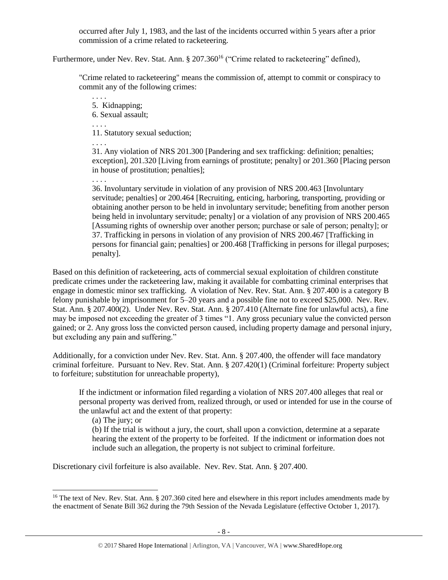occurred after July 1, 1983, and the last of the incidents occurred within 5 years after a prior commission of a crime related to racketeering.

Furthermore, under Nev. Rev. Stat. Ann. § 207.360<sup>16</sup> ("Crime related to racketeering" defined),

"Crime related to racketeering" means the commission of, attempt to commit or conspiracy to commit any of the following crimes:

. . . . 5. Kidnapping; 6. Sexual assault; . . . . 11. Statutory sexual seduction; . . . .

. . . .

31. Any violation of NRS 201.300 [Pandering and sex trafficking: definition; penalties; exception], 201.320 [Living from earnings of prostitute; penalty] or 201.360 [Placing person in house of prostitution; penalties];

36. Involuntary servitude in violation of any provision of NRS 200.463 [Involuntary servitude; penalties] or 200.464 [Recruiting, enticing, harboring, transporting, providing or obtaining another person to be held in involuntary servitude; benefiting from another person being held in involuntary servitude; penalty] or a violation of any provision of NRS 200.465 [Assuming rights of ownership over another person; purchase or sale of person; penalty]; or 37. Trafficking in persons in violation of any provision of NRS 200.467 [Trafficking in persons for financial gain; penalties] or 200.468 [Trafficking in persons for illegal purposes; penalty].

Based on this definition of racketeering, acts of commercial sexual exploitation of children constitute predicate crimes under the racketeering law, making it available for combatting criminal enterprises that engage in domestic minor sex trafficking. A violation of Nev. Rev. Stat. Ann. § 207.400 is a category B felony punishable by imprisonment for 5–20 years and a possible fine not to exceed \$25,000. Nev. Rev. Stat. Ann. § 207.400(2). Under Nev. Rev. Stat. Ann. § 207.410 (Alternate fine for unlawful acts), a fine may be imposed not exceeding the greater of 3 times "1. Any gross pecuniary value the convicted person gained; or 2. Any gross loss the convicted person caused, including property damage and personal injury, but excluding any pain and suffering."

Additionally, for a conviction under Nev. Rev. Stat. Ann. § 207.400, the offender will face mandatory criminal forfeiture. Pursuant to Nev. Rev. Stat. Ann. § 207.420(1) (Criminal forfeiture: Property subject to forfeiture; substitution for unreachable property),

If the indictment or information filed regarding a violation of NRS 207.400 alleges that real or personal property was derived from, realized through, or used or intended for use in the course of the unlawful act and the extent of that property:

(a) The jury; or

 $\overline{a}$ 

(b) If the trial is without a jury, the court, shall upon a conviction, determine at a separate hearing the extent of the property to be forfeited. If the indictment or information does not include such an allegation, the property is not subject to criminal forfeiture.

Discretionary civil forfeiture is also available. Nev. Rev. Stat. Ann. § 207.400.

<sup>&</sup>lt;sup>16</sup> The text of Nev. Rev. Stat. Ann. § 207.360 cited here and elsewhere in this report includes amendments made by the enactment of Senate Bill 362 during the 79th Session of the Nevada Legislature (effective October 1, 2017).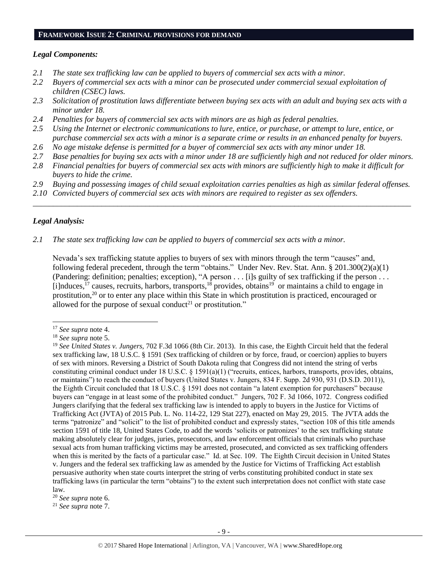#### **FRAMEWORK ISSUE 2: CRIMINAL PROVISIONS FOR DEMAND**

#### *Legal Components:*

- *2.1 The state sex trafficking law can be applied to buyers of commercial sex acts with a minor.*
- *2.2 Buyers of commercial sex acts with a minor can be prosecuted under commercial sexual exploitation of children (CSEC) laws.*
- *2.3 Solicitation of prostitution laws differentiate between buying sex acts with an adult and buying sex acts with a minor under 18.*
- *2.4 Penalties for buyers of commercial sex acts with minors are as high as federal penalties.*
- *2.5 Using the Internet or electronic communications to lure, entice, or purchase, or attempt to lure, entice, or purchase commercial sex acts with a minor is a separate crime or results in an enhanced penalty for buyers.*
- *2.6 No age mistake defense is permitted for a buyer of commercial sex acts with any minor under 18.*
- *2.7 Base penalties for buying sex acts with a minor under 18 are sufficiently high and not reduced for older minors.*
- *2.8 Financial penalties for buyers of commercial sex acts with minors are sufficiently high to make it difficult for buyers to hide the crime.*
- *2.9 Buying and possessing images of child sexual exploitation carries penalties as high as similar federal offenses.*

\_\_\_\_\_\_\_\_\_\_\_\_\_\_\_\_\_\_\_\_\_\_\_\_\_\_\_\_\_\_\_\_\_\_\_\_\_\_\_\_\_\_\_\_\_\_\_\_\_\_\_\_\_\_\_\_\_\_\_\_\_\_\_\_\_\_\_\_\_\_\_\_\_\_\_\_\_\_\_\_\_\_\_\_\_\_\_\_\_\_\_\_\_\_

*2.10 Convicted buyers of commercial sex acts with minors are required to register as sex offenders.*

#### *Legal Analysis:*

l

*2.1 The state sex trafficking law can be applied to buyers of commercial sex acts with a minor.*

Nevada's sex trafficking statute applies to buyers of sex with minors through the term "causes" and, following federal precedent, through the term "obtains." Under Nev. Rev. Stat. Ann. § 201.300(2)(a)(1) (Pandering: definition; penalties; exception), "A person . . . [i]s guilty of sex trafficking if the person . . . [i]nduces,<sup>17</sup> causes, recruits, harbors, transports,<sup>18</sup> provides, obtains<sup>19</sup> or maintains a child to engage in prostitution,<sup>20</sup> or to enter any place within this State in which prostitution is practiced, encouraged or allowed for the purpose of sexual conduct<sup>21</sup> or prostitution."

<sup>21</sup> *See supra* note [7.](#page-1-3)

<sup>17</sup> *See supra* note [4.](#page-1-0)

<sup>18</sup> *See supra* note [5.](#page-1-1)

<sup>19</sup> *See United States v. Jungers,* 702 F.3d 1066 (8th Cir. 2013). In this case, the Eighth Circuit held that the federal sex trafficking law, 18 U.S.C. § 1591 (Sex trafficking of children or by force, fraud, or coercion) applies to buyers of sex with minors. Reversing a District of South Dakota ruling that Congress did not intend the string of verbs constituting criminal conduct under 18 U.S.C. § 1591(a)(1) ("recruits, entices, harbors, transports, provides, obtains, or maintains") to reach the conduct of buyers (United States v. Jungers, 834 F. Supp. 2d 930, 931 (D.S.D. 2011)), the Eighth Circuit concluded that 18 U.S.C. § 1591 does not contain "a latent exemption for purchasers" because buyers can "engage in at least some of the prohibited conduct." Jungers, 702 F. 3d 1066, 1072. Congress codified Jungers clarifying that the federal sex trafficking law is intended to apply to buyers in the Justice for Victims of Trafficking Act (JVTA) of 2015 Pub. L. No. 114-22, 129 Stat 227), enacted on May 29, 2015. The JVTA adds the terms "patronize" and "solicit" to the list of prohibited conduct and expressly states, "section 108 of this title amends section 1591 of title 18, United States Code, to add the words 'solicits or patronizes' to the sex trafficking statute making absolutely clear for judges, juries, prosecutors, and law enforcement officials that criminals who purchase sexual acts from human trafficking victims may be arrested, prosecuted, and convicted as sex trafficking offenders when this is merited by the facts of a particular case." Id. at Sec. 109. The Eighth Circuit decision in United States v. Jungers and the federal sex trafficking law as amended by the Justice for Victims of Trafficking Act establish persuasive authority when state courts interpret the string of verbs constituting prohibited conduct in state sex trafficking laws (in particular the term "obtains") to the extent such interpretation does not conflict with state case law.

<sup>20</sup> *See supra* note [6.](#page-1-2)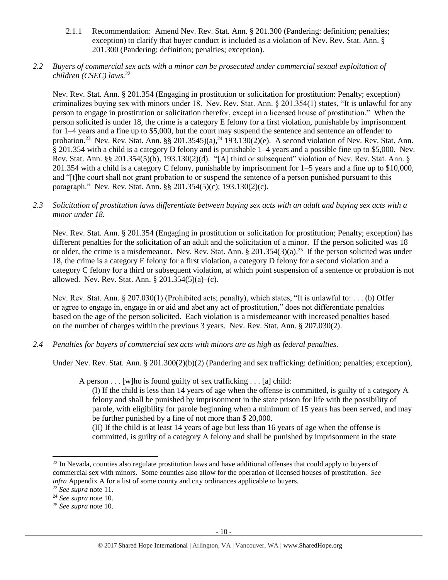- 2.1.1 Recommendation: Amend Nev. Rev. Stat. Ann. § 201.300 (Pandering: definition; penalties; exception) to clarify that buyer conduct is included as a violation of Nev. Rev. Stat. Ann. § 201.300 (Pandering: definition; penalties; exception).
- *2.2 Buyers of commercial sex acts with a minor can be prosecuted under commercial sexual exploitation of children (CSEC) laws.*<sup>22</sup>

Nev. Rev. Stat. Ann. § 201.354 (Engaging in prostitution or solicitation for prostitution: Penalty; exception) criminalizes buying sex with minors under 18. Nev. Rev. Stat. Ann. § 201.354(1) states, "It is unlawful for any person to engage in prostitution or solicitation therefor, except in a licensed house of prostitution." When the person solicited is under 18, the crime is a category E felony for a first violation, punishable by imprisonment for 1–4 years and a fine up to \$5,000, but the court may suspend the sentence and sentence an offender to probation.<sup>23</sup> Nev. Rev. Stat. Ann. §§ 201.3545)(a),<sup>24</sup> 193.130(2)(e). A second violation of Nev. Rev. Stat. Ann. § 201.354 with a child is a category D felony and is punishable 1–4 years and a possible fine up to \$5,000. Nev. Rev. Stat. Ann. §§ 201.354(5)(b), 193.130(2)(d). "[A] third or subsequent" violation of Nev. Rev. Stat. Ann. § 201.354 with a child is a category C felony, punishable by imprisonment for 1–5 years and a fine up to \$10,000, and "[t]he court shall not grant probation to or suspend the sentence of a person punished pursuant to this paragraph." Nev. Rev. Stat. Ann. §§ 201.354(5)(c); 193.130(2)(c).

*2.3 Solicitation of prostitution laws differentiate between buying sex acts with an adult and buying sex acts with a minor under 18.*

Nev. Rev. Stat. Ann. § 201.354 (Engaging in prostitution or solicitation for prostitution; Penalty; exception) has different penalties for the solicitation of an adult and the solicitation of a minor. If the person solicited was 18 or older, the crime is a misdemeanor. Nev. Rev. Stat. Ann.  $\S 201.354(3)(a)$ .<sup>25</sup> If the person solicited was under 18, the crime is a category E felony for a first violation, a category D felony for a second violation and a category C felony for a third or subsequent violation, at which point suspension of a sentence or probation is not allowed. Nev. Rev. Stat. Ann. § 201.354(5)(a)–(c).

Nev. Rev. Stat. Ann. § 207.030(1) (Prohibited acts; penalty), which states, "It is unlawful to: . . . (b) Offer or agree to engage in, engage in or aid and abet any act of prostitution," does not differentiate penalties based on the age of the person solicited. Each violation is a misdemeanor with increased penalties based on the number of charges within the previous 3 years. Nev. Rev. Stat. Ann. § 207.030(2).

*2.4 Penalties for buyers of commercial sex acts with minors are as high as federal penalties.*

Under Nev. Rev. Stat. Ann. § 201.300(2)(b)(2) (Pandering and sex trafficking: definition; penalties; exception),

A person  $\dots$  [w] ho is found guilty of sex trafficking  $\dots$  [a] child:

(I) If the child is less than 14 years of age when the offense is committed, is guilty of a category A felony and shall be punished by imprisonment in the state prison for life with the possibility of parole, with eligibility for parole beginning when a minimum of 15 years has been served, and may be further punished by a fine of not more than \$ 20,000.

(II) If the child is at least 14 years of age but less than 16 years of age when the offense is committed, is guilty of a category A felony and shall be punished by imprisonment in the state

l

 $^{22}$  In Nevada, counties also regulate prostitution laws and have additional offenses that could apply to buyers of commercial sex with minors. Some counties also allow for the operation of licensed houses of prostitution. *See infra* Appendix A for a list of some county and city ordinances applicable to buyers.

<sup>23</sup> *See supra* note [11.](#page-2-0)

<sup>24</sup> *See supra* note [10.](#page-2-1)

<sup>25</sup> *See supra* note [10.](#page-2-1)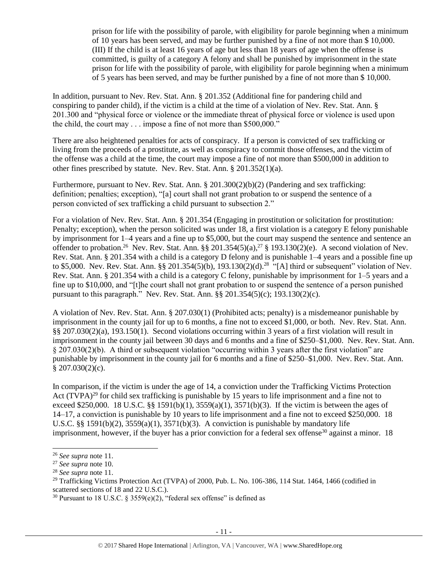prison for life with the possibility of parole, with eligibility for parole beginning when a minimum of 10 years has been served, and may be further punished by a fine of not more than \$ 10,000. (III) If the child is at least 16 years of age but less than 18 years of age when the offense is committed, is guilty of a category A felony and shall be punished by imprisonment in the state prison for life with the possibility of parole, with eligibility for parole beginning when a minimum of 5 years has been served, and may be further punished by a fine of not more than \$ 10,000.

In addition, pursuant to Nev. Rev. Stat. Ann. § 201.352 (Additional fine for pandering child and conspiring to pander child), if the victim is a child at the time of a violation of Nev. Rev. Stat. Ann. § 201.300 and "physical force or violence or the immediate threat of physical force or violence is used upon the child, the court may . . . impose a fine of not more than \$500,000."

There are also heightened penalties for acts of conspiracy. If a person is convicted of sex trafficking or living from the proceeds of a prostitute, as well as conspiracy to commit those offenses, and the victim of the offense was a child at the time, the court may impose a fine of not more than \$500,000 in addition to other fines prescribed by statute. Nev. Rev. Stat. Ann. § 201.352(1)(a).

Furthermore, pursuant to Nev. Rev. Stat. Ann. § 201.300(2)(b)(2) (Pandering and sex trafficking: definition; penalties; exception), "[a] court shall not grant probation to or suspend the sentence of a person convicted of sex trafficking a child pursuant to subsection 2."

For a violation of Nev. Rev. Stat. Ann. § 201.354 (Engaging in prostitution or solicitation for prostitution: Penalty; exception), when the person solicited was under 18, a first violation is a category E felony punishable by imprisonment for 1–4 years and a fine up to \$5,000, but the court may suspend the sentence and sentence an offender to probation.<sup>26</sup> Nev. Rev. Stat. Ann. §§ 201.354(5)(a),<sup>27</sup> § 193.130(2)(e). A second violation of Nev. Rev. Stat. Ann. § 201.354 with a child is a category D felony and is punishable 1–4 years and a possible fine up to \$5,000. Nev. Rev. Stat. Ann.  $\S § 201.354(5)(b)$ , 193.130(2)(d).<sup>28</sup> "[A] third or subsequent" violation of Nev. Rev. Stat. Ann. § 201.354 with a child is a category C felony, punishable by imprisonment for 1–5 years and a fine up to \$10,000, and "[t]he court shall not grant probation to or suspend the sentence of a person punished pursuant to this paragraph." Nev. Rev. Stat. Ann. §§ 201.354(5)(c); 193.130(2)(c).

A violation of Nev. Rev. Stat. Ann. § 207.030(1) (Prohibited acts; penalty) is a misdemeanor punishable by imprisonment in the county jail for up to 6 months, a fine not to exceed \$1,000, or both. Nev. Rev. Stat. Ann. §§ 207.030(2)(a), 193.150(1). Second violations occurring within 3 years of a first violation will result in imprisonment in the county jail between 30 days and 6 months and a fine of \$250–\$1,000. Nev. Rev. Stat. Ann. § 207.030(2)(b). A third or subsequent violation "occurring within 3 years after the first violation" are punishable by imprisonment in the county jail for 6 months and a fine of \$250–\$1,000. Nev. Rev. Stat. Ann.  $$207.030(2)(c).$ 

<span id="page-10-0"></span>In comparison, if the victim is under the age of 14, a conviction under the Trafficking Victims Protection Act (TVPA)<sup>29</sup> for child sex trafficking is punishable by 15 years to life imprisonment and a fine not to exceed \$250,000. 18 U.S.C. §§ 1591(b)(1),  $3559(a)(1)$ ,  $3571(b)(3)$ . If the victim is between the ages of 14–17, a conviction is punishable by 10 years to life imprisonment and a fine not to exceed \$250,000. 18 U.S.C. §§ 1591(b)(2),  $3559(a)(1)$ ,  $3571(b)(3)$ . A conviction is punishable by mandatory life imprisonment, however, if the buyer has a prior conviction for a federal sex offense<sup>30</sup> against a minor. 18

<span id="page-10-1"></span><sup>26</sup> *See supra* note [11.](#page-2-0)

<sup>27</sup> *See supra* note [10.](#page-2-1)

<sup>28</sup> *See supra* note [11.](#page-2-0)

 $^{29}$  Trafficking Victims Protection Act (TVPA) of 2000, Pub. L. No. 106-386, 114 Stat. 1464, 1466 (codified in scattered sections of 18 and 22 U.S.C.).

<sup>&</sup>lt;sup>30</sup> Pursuant to 18 U.S.C. § 3559(e)(2), "federal sex offense" is defined as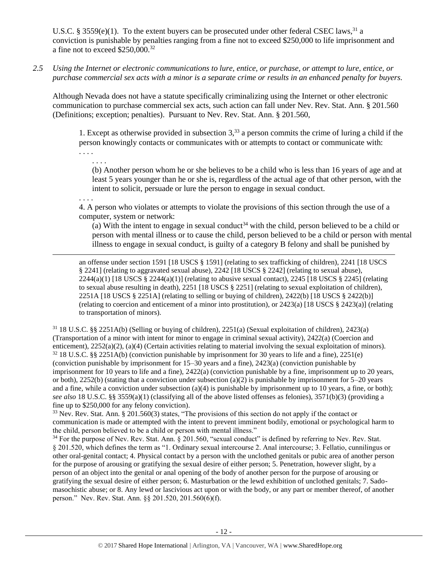U.S.C. § 3559 $(e)(1)$ . To the extent buyers can be prosecuted under other federal CSEC laws,<sup>31</sup> a conviction is punishable by penalties ranging from a fine not to exceed \$250,000 to life imprisonment and a fine not to exceed \$250,000.<sup>32</sup>

*2.5 Using the Internet or electronic communications to lure, entice, or purchase, or attempt to lure, entice, or purchase commercial sex acts with a minor is a separate crime or results in an enhanced penalty for buyers.*

Although Nevada does not have a statute specifically criminalizing using the Internet or other electronic communication to purchase commercial sex acts, such action can fall under Nev. Rev. Stat. Ann. § 201.560 (Definitions; exception; penalties). Pursuant to Nev. Rev. Stat. Ann. § 201.560,

1. Except as otherwise provided in subsection  $3<sup>33</sup>$  a person commits the crime of luring a child if the person knowingly contacts or communicates with or attempts to contact or communicate with:

. . . . . . . .

. . . .

l

<span id="page-11-0"></span>(b) Another person whom he or she believes to be a child who is less than 16 years of age and at least 5 years younger than he or she is, regardless of the actual age of that other person, with the intent to solicit, persuade or lure the person to engage in sexual conduct.

4. A person who violates or attempts to violate the provisions of this section through the use of a computer, system or network:

(a) With the intent to engage in sexual conduct<sup>34</sup> with the child, person believed to be a child or person with mental illness or to cause the child, person believed to be a child or person with mental illness to engage in sexual conduct, is guilty of a category B felony and shall be punished by

an offense under section 1591 [18 USCS § 1591] (relating to sex trafficking of children), 2241 [18 USCS § 2241] (relating to aggravated sexual abuse), 2242 [18 USCS § 2242] (relating to sexual abuse),  $2244(a)(1)$  [18 USCS §  $2244(a)(1)$ ] (relating to abusive sexual contact),  $2245$  [18 USCS § 2245] (relating to sexual abuse resulting in death), 2251 [18 USCS § 2251] (relating to sexual exploitation of children), 2251A [18 USCS § 2251A] (relating to selling or buying of children), 2422(b) [18 USCS § 2422(b)] (relating to coercion and enticement of a minor into prostitution), or 2423(a) [18 USCS § 2423(a)] (relating to transportation of minors).

<sup>31</sup> 18 U.S.C. §§ 2251A(b) (Selling or buying of children), 2251(a) (Sexual exploitation of children), 2423(a) (Transportation of a minor with intent for minor to engage in criminal sexual activity), 2422(a) (Coercion and enticement), 2252(a)(2), (a)(4) (Certain activities relating to material involving the sexual exploitation of minors).  $32\,18$  U.S.C. §§ 2251A(b) (conviction punishable by imprisonment for 30 years to life and a fine), 2251(e) (conviction punishable by imprisonment for 15–30 years and a fine), 2423(a) (conviction punishable by imprisonment for 10 years to life and a fine), 2422(a) (conviction punishable by a fine, imprisonment up to 20 years, or both), 2252(b) (stating that a conviction under subsection (a)(2) is punishable by imprisonment for  $5-20$  years and a fine, while a conviction under subsection (a)(4) is punishable by imprisonment up to 10 years, a fine, or both); *see also* 18 U.S.C. §§ 3559(a)(1) (classifying all of the above listed offenses as felonies), 3571(b)(3) (providing a fine up to \$250,000 for any felony conviction).

<sup>33</sup> Nev. Rev. Stat. Ann. § 201.560(3) states, "The provisions of this section do not apply if the contact or communication is made or attempted with the intent to prevent imminent bodily, emotional or psychological harm to the child, person believed to be a child or person with mental illness."

<sup>34</sup> For the purpose of Nev. Rev. Stat. Ann. § 201.560, "sexual conduct" is defined by referring to Nev. Rev. Stat. § 201.520, which defines the term as "1. Ordinary sexual intercourse 2. Anal intercourse; 3. Fellatio, cunnilingus or other oral-genital contact; 4. Physical contact by a person with the unclothed genitals or pubic area of another person for the purpose of arousing or gratifying the sexual desire of either person; 5. Penetration, however slight, by a person of an object into the genital or anal opening of the body of another person for the purpose of arousing or gratifying the sexual desire of either person; 6. Masturbation or the lewd exhibition of unclothed genitals; 7. Sadomasochistic abuse; or 8. Any lewd or lascivious act upon or with the body, or any part or member thereof, of another person." Nev. Rev. Stat. Ann. §§ 201.520, 201.560(6)(f).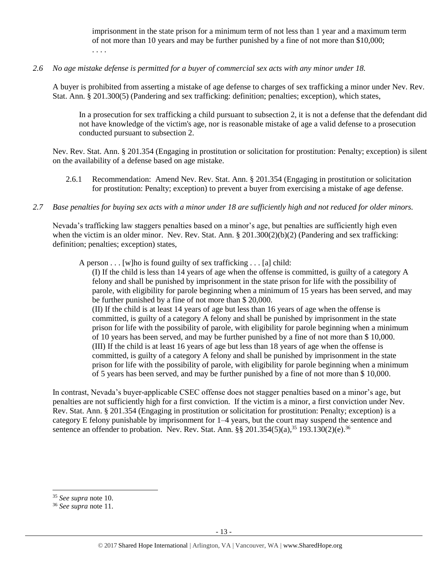imprisonment in the state prison for a minimum term of not less than 1 year and a maximum term of not more than 10 years and may be further punished by a fine of not more than \$10,000; . . . .

## *2.6 No age mistake defense is permitted for a buyer of commercial sex acts with any minor under 18.*

A buyer is prohibited from asserting a mistake of age defense to charges of sex trafficking a minor under Nev. Rev. Stat. Ann. § 201.300(5) (Pandering and sex trafficking: definition; penalties; exception), which states,

In a prosecution for sex trafficking a child pursuant to subsection 2, it is not a defense that the defendant did not have knowledge of the victim's age, nor is reasonable mistake of age a valid defense to a prosecution conducted pursuant to subsection 2.

Nev. Rev. Stat. Ann. § 201.354 (Engaging in prostitution or solicitation for prostitution: Penalty; exception) is silent on the availability of a defense based on age mistake.

- 2.6.1 Recommendation: Amend Nev. Rev. Stat. Ann. § 201.354 (Engaging in prostitution or solicitation for prostitution: Penalty; exception) to prevent a buyer from exercising a mistake of age defense.
- *2.7 Base penalties for buying sex acts with a minor under 18 are sufficiently high and not reduced for older minors.*

Nevada's trafficking law staggers penalties based on a minor's age, but penalties are sufficiently high even when the victim is an older minor. Nev. Rev. Stat. Ann.  $\S 201.300(2)(b)(2)$  (Pandering and sex trafficking: definition; penalties; exception) states,

A person  $\dots$  [w]ho is found guilty of sex trafficking  $\dots$  [a] child:

(I) If the child is less than 14 years of age when the offense is committed, is guilty of a category A felony and shall be punished by imprisonment in the state prison for life with the possibility of parole, with eligibility for parole beginning when a minimum of 15 years has been served, and may be further punished by a fine of not more than \$ 20,000.

(II) If the child is at least 14 years of age but less than 16 years of age when the offense is committed, is guilty of a category A felony and shall be punished by imprisonment in the state prison for life with the possibility of parole, with eligibility for parole beginning when a minimum of 10 years has been served, and may be further punished by a fine of not more than \$ 10,000. (III) If the child is at least 16 years of age but less than 18 years of age when the offense is committed, is guilty of a category A felony and shall be punished by imprisonment in the state prison for life with the possibility of parole, with eligibility for parole beginning when a minimum of 5 years has been served, and may be further punished by a fine of not more than \$ 10,000.

In contrast, Nevada's buyer-applicable CSEC offense does not stagger penalties based on a minor's age, but penalties are not sufficiently high for a first conviction. If the victim is a minor, a first conviction under Nev. Rev. Stat. Ann. § 201.354 (Engaging in prostitution or solicitation for prostitution: Penalty; exception) is a category E felony punishable by imprisonment for 1–4 years, but the court may suspend the sentence and sentence an offender to probation. Nev. Rev. Stat. Ann.  $\S § 201.354(5)(a)$ ,<sup>35</sup> 193.130(2)(e).<sup>36</sup>

<sup>35</sup> *See supra* note [10.](#page-2-1)

<sup>36</sup> *See supra* note [11.](#page-2-0)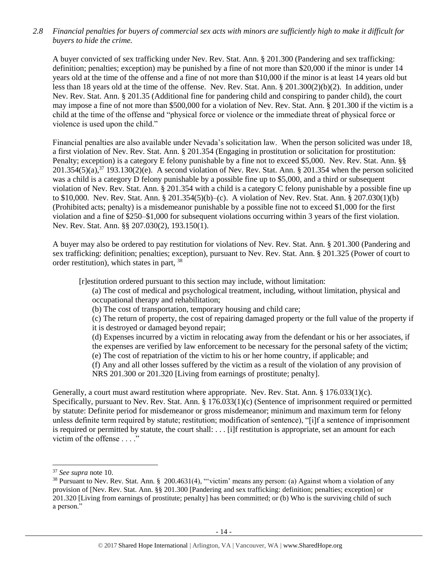*2.8 Financial penalties for buyers of commercial sex acts with minors are sufficiently high to make it difficult for buyers to hide the crime.*

A buyer convicted of sex trafficking under Nev. Rev. Stat. Ann. § 201.300 (Pandering and sex trafficking: definition; penalties; exception) may be punished by a fine of not more than \$20,000 if the minor is under 14 years old at the time of the offense and a fine of not more than \$10,000 if the minor is at least 14 years old but less than 18 years old at the time of the offense. Nev. Rev. Stat. Ann. § 201.300(2)(b)(2). In addition, under Nev. Rev. Stat. Ann. § 201.35 (Additional fine for pandering child and conspiring to pander child), the court may impose a fine of not more than \$500,000 for a violation of Nev. Rev. Stat. Ann. § 201.300 if the victim is a child at the time of the offense and "physical force or violence or the immediate threat of physical force or violence is used upon the child."

Financial penalties are also available under Nevada's solicitation law. When the person solicited was under 18, a first violation of Nev. Rev. Stat. Ann. § 201.354 (Engaging in prostitution or solicitation for prostitution: Penalty; exception) is a category E felony punishable by a fine not to exceed \$5,000. Nev. Rev. Stat. Ann. §§  $201.354(5)(a)$ ,  $37$  193.130(2)(e). A second violation of Nev. Rev. Stat. Ann. § 201.354 when the person solicited was a child is a category D felony punishable by a possible fine up to \$5,000, and a third or subsequent violation of Nev. Rev. Stat. Ann. § 201.354 with a child is a category C felony punishable by a possible fine up to \$10,000. Nev. Rev. Stat. Ann. § 201.354(5)(b)–(c). A violation of Nev. Rev. Stat. Ann. § 207.030(1)(b) (Prohibited acts; penalty) is a misdemeanor punishable by a possible fine not to exceed \$1,000 for the first violation and a fine of \$250–\$1,000 for subsequent violations occurring within 3 years of the first violation. Nev. Rev. Stat. Ann. §§ 207.030(2), 193.150(1).

A buyer may also be ordered to pay restitution for violations of Nev. Rev. Stat. Ann. § 201.300 (Pandering and sex trafficking: definition; penalties; exception), pursuant to Nev. Rev. Stat. Ann. § 201.325 (Power of court to order restitution), which states in part, <sup>38</sup>

[r]estitution ordered pursuant to this section may include, without limitation:

- <span id="page-13-0"></span>(a) The cost of medical and psychological treatment, including, without limitation, physical and occupational therapy and rehabilitation;
- (b) The cost of transportation, temporary housing and child care;

(c) The return of property, the cost of repairing damaged property or the full value of the property if it is destroyed or damaged beyond repair;

(d) Expenses incurred by a victim in relocating away from the defendant or his or her associates, if the expenses are verified by law enforcement to be necessary for the personal safety of the victim; (e) The cost of repatriation of the victim to his or her home country, if applicable; and

(f) Any and all other losses suffered by the victim as a result of the violation of any provision of NRS 201.300 or 201.320 [Living from earnings of prostitute; penalty].

Generally, a court must award restitution where appropriate. Nev. Rev. Stat. Ann. § 176.033(1)(c). Specifically, pursuant to Nev. Rev. Stat. Ann. § 176.033(1)(c) (Sentence of imprisonment required or permitted by statute: Definite period for misdemeanor or gross misdemeanor; minimum and maximum term for felony unless definite term required by statute; restitution; modification of sentence), "[i]f a sentence of imprisonment is required or permitted by statute, the court shall: . . . [i]f restitution is appropriate, set an amount for each victim of the offense . . . ."

<sup>37</sup> *See supra* note [10.](#page-2-1)

<sup>38</sup> Pursuant to Nev. Rev. Stat. Ann. § 200.4631(4), "'victim' means any person: (a) Against whom a violation of any provision of [Nev. Rev. Stat. Ann. §§ 201.300 [Pandering and sex trafficking: definition; penalties; exception] or 201.320 [Living from earnings of prostitute; penalty] has been committed; or (b) Who is the surviving child of such a person."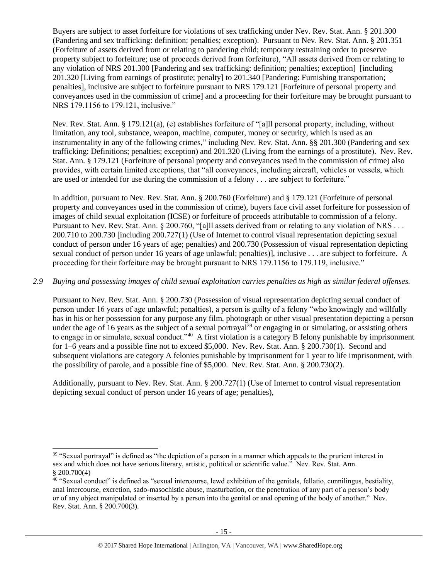Buyers are subject to asset forfeiture for violations of sex trafficking under Nev. Rev. Stat. Ann. § 201.300 (Pandering and sex trafficking: definition; penalties; exception). Pursuant to Nev. Rev. Stat. Ann. § 201.351 (Forfeiture of assets derived from or relating to pandering child; temporary restraining order to preserve property subject to forfeiture; use of proceeds derived from forfeiture), "All assets derived from or relating to any violation of NRS 201.300 [Pandering and sex trafficking: definition; penalties; exception] [including 201.320 [Living from earnings of prostitute; penalty] to 201.340 [Pandering: Furnishing transportation; penalties], inclusive are subject to forfeiture pursuant to NRS 179.121 [Forfeiture of personal property and conveyances used in the commission of crime] and a proceeding for their forfeiture may be brought pursuant to NRS 179.1156 to 179.121, inclusive."

Nev. Rev. Stat. Ann. § 179.121(a), (e) establishes forfeiture of "[a]ll personal property, including, without limitation, any tool, substance, weapon, machine, computer, money or security, which is used as an instrumentality in any of the following crimes," including Nev. Rev. Stat. Ann. §§ 201.300 (Pandering and sex trafficking: Definitions; penalties; exception) and 201.320 (Living from the earnings of a prostitute). Nev. Rev. Stat. Ann. § 179.121 (Forfeiture of personal property and conveyances used in the commission of crime) also provides, with certain limited exceptions, that "all conveyances, including aircraft, vehicles or vessels, which are used or intended for use during the commission of a felony . . . are subject to forfeiture."

In addition, pursuant to Nev. Rev. Stat. Ann. § 200.760 (Forfeiture) and § 179.121 (Forfeiture of personal property and conveyances used in the commission of crime), buyers face civil asset forfeiture for possession of images of child sexual exploitation (ICSE) or forfeiture of proceeds attributable to commission of a felony. Pursuant to Nev. Rev. Stat. Ann. § 200.760, "[a]ll assets derived from or relating to any violation of NRS . . . 200.710 to 200.730 [including 200.727(1) (Use of Internet to control visual representation depicting sexual conduct of person under 16 years of age; penalties) and 200.730 (Possession of visual representation depicting sexual conduct of person under 16 years of age unlawful; penalties)], inclusive . . . are subject to forfeiture. A proceeding for their forfeiture may be brought pursuant to NRS 179.1156 to 179.119, inclusive."

## *2.9 Buying and possessing images of child sexual exploitation carries penalties as high as similar federal offenses.*

<span id="page-14-1"></span><span id="page-14-0"></span>Pursuant to Nev. Rev. Stat. Ann. § 200.730 (Possession of visual representation depicting sexual conduct of person under 16 years of age unlawful; penalties), a person is guilty of a felony "who knowingly and willfully has in his or her possession for any purpose any film, photograph or other visual presentation depicting a person under the age of 16 years as the subject of a sexual portrayal<sup>39</sup> or engaging in or simulating, or assisting others to engage in or simulate, sexual conduct."<sup>40</sup> A first violation is a category B felony punishable by imprisonment for 1–6 years and a possible fine not to exceed \$5,000. Nev. Rev. Stat. Ann. § 200.730(1). Second and subsequent violations are category A felonies punishable by imprisonment for 1 year to life imprisonment, with the possibility of parole, and a possible fine of \$5,000. Nev. Rev. Stat. Ann. § 200.730(2).

Additionally, pursuant to Nev. Rev. Stat. Ann. § 200.727(1) (Use of Internet to control visual representation depicting sexual conduct of person under 16 years of age; penalties),

 $\overline{a}$ <sup>39</sup> "Sexual portrayal" is defined as "the depiction of a person in a manner which appeals to the prurient interest in sex and which does not have serious literary, artistic, political or scientific value." Nev. Rev. Stat. Ann. § 200.700(4)

<sup>40</sup> "Sexual conduct" is defined as "sexual intercourse, lewd exhibition of the genitals, fellatio, cunnilingus, bestiality, anal intercourse, excretion, sado-masochistic abuse, masturbation, or the penetration of any part of a person's body or of any object manipulated or inserted by a person into the genital or anal opening of the body of another." Nev. Rev. Stat. Ann. § 200.700(3).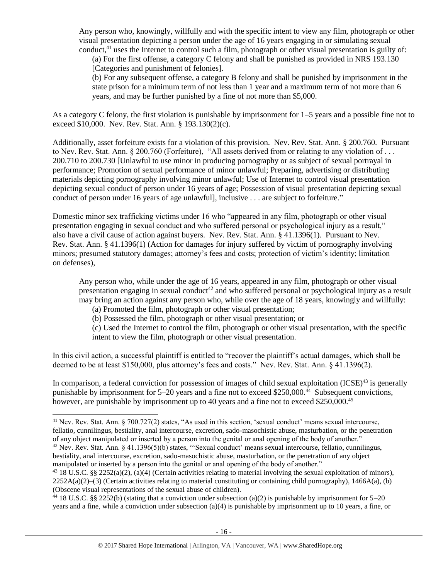Any person who, knowingly, willfully and with the specific intent to view any film, photograph or other visual presentation depicting a person under the age of 16 years engaging in or simulating sexual conduct, $41$  uses the Internet to control such a film, photograph or other visual presentation is guilty of:

(a) For the first offense, a category C felony and shall be punished as provided in NRS 193.130 [Categories and punishment of felonies].

(b) For any subsequent offense, a category B felony and shall be punished by imprisonment in the state prison for a minimum term of not less than 1 year and a maximum term of not more than 6 years, and may be further punished by a fine of not more than \$5,000.

As a category C felony, the first violation is punishable by imprisonment for 1–5 years and a possible fine not to exceed \$10,000. Nev. Rev. Stat. Ann. § 193.130(2)(c).

Additionally, asset forfeiture exists for a violation of this provision. Nev. Rev. Stat. Ann. § 200.760. Pursuant to Nev. Rev. Stat. Ann. § 200.760 (Forfeiture), "All assets derived from or relating to any violation of . . . 200.710 to 200.730 [Unlawful to use minor in producing pornography or as subject of sexual portrayal in performance; Promotion of sexual performance of minor unlawful; Preparing, advertising or distributing materials depicting pornography involving minor unlawful; Use of Internet to control visual presentation depicting sexual conduct of person under 16 years of age; Possession of visual presentation depicting sexual conduct of person under 16 years of age unlawful], inclusive . . . are subject to forfeiture."

Domestic minor sex trafficking victims under 16 who "appeared in any film, photograph or other visual presentation engaging in sexual conduct and who suffered personal or psychological injury as a result," also have a civil cause of action against buyers. Nev. Rev. Stat. Ann. § 41.1396(1). Pursuant to Nev. Rev. Stat. Ann. § 41.1396(1) (Action for damages for injury suffered by victim of pornography involving minors; presumed statutory damages; attorney's fees and costs; protection of victim's identity; limitation on defenses),

Any person who, while under the age of 16 years, appeared in any film, photograph or other visual presentation engaging in sexual conduct<sup>42</sup> and who suffered personal or psychological injury as a result may bring an action against any person who, while over the age of 18 years, knowingly and willfully:

<span id="page-15-0"></span>(a) Promoted the film, photograph or other visual presentation;

 $\overline{a}$ 

(b) Possessed the film, photograph or other visual presentation; or

(c) Used the Internet to control the film, photograph or other visual presentation, with the specific intent to view the film, photograph or other visual presentation.

In this civil action, a successful plaintiff is entitled to "recover the plaintiff's actual damages, which shall be deemed to be at least \$150,000, plus attorney's fees and costs." Nev. Rev. Stat. Ann. § 41.1396(2).

In comparison, a federal conviction for possession of images of child sexual exploitation  $(ICSE)^{43}$  is generally punishable by imprisonment for 5–20 years and a fine not to exceed \$250,000.<sup>44</sup> Subsequent convictions, however, are punishable by imprisonment up to 40 years and a fine not to exceed \$250,000.<sup>45</sup>

<sup>&</sup>lt;sup>41</sup> Nev. Rev. Stat. Ann. § 700.727(2) states, "As used in this section, 'sexual conduct' means sexual intercourse, fellatio, cunnilingus, bestiality, anal intercourse, excretion, sado-masochistic abuse, masturbation, or the penetration of any object manipulated or inserted by a person into the genital or anal opening of the body of another."

<sup>42</sup> Nev. Rev. Stat. Ann. § 41.1396(5)(b) states, "'Sexual conduct' means sexual intercourse, fellatio, cunnilingus, bestiality, anal intercourse, excretion, sado-masochistic abuse, masturbation, or the penetration of any object manipulated or inserted by a person into the genital or anal opening of the body of another."

<sup>&</sup>lt;sup>43</sup> 18 U.S.C. §§ 2252(a)(2), (a)(4) (Certain activities relating to material involving the sexual exploitation of minors),  $2252A(a)(2)$ –(3) (Certain activities relating to material constituting or containing child pornography), 1466A(a), (b) (Obscene visual representations of the sexual abuse of children).

<sup>&</sup>lt;sup>44</sup> 18 U.S.C. §§ 2252(b) (stating that a conviction under subsection (a)(2) is punishable by imprisonment for 5–20 years and a fine, while a conviction under subsection (a)(4) is punishable by imprisonment up to 10 years, a fine, or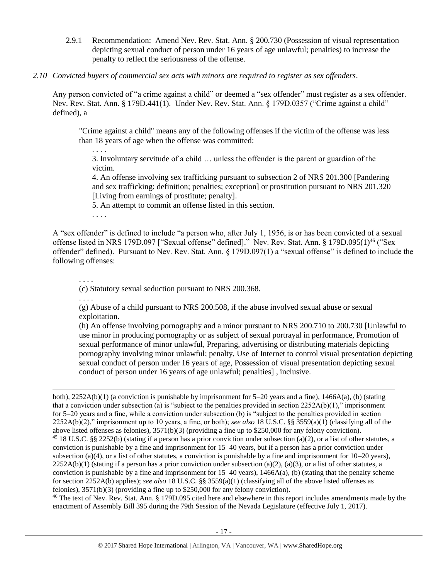- 2.9.1 Recommendation: Amend Nev. Rev. Stat. Ann. § 200.730 (Possession of visual representation depicting sexual conduct of person under 16 years of age unlawful; penalties) to increase the penalty to reflect the seriousness of the offense.
- *2.10 Convicted buyers of commercial sex acts with minors are required to register as sex offenders*.

Any person convicted of "a crime against a child" or deemed a "sex offender" must register as a sex offender. Nev. Rev. Stat. Ann. § 179D.441(1). Under Nev. Rev. Stat. Ann. § 179D.0357 ("Crime against a child" defined), a

"Crime against a child" means any of the following offenses if the victim of the offense was less than 18 years of age when the offense was committed:

3. Involuntary servitude of a child … unless the offender is the parent or guardian of the victim.

4. An offense involving sex trafficking pursuant to subsection 2 of NRS 201.300 [Pandering and sex trafficking: definition; penalties; exception] or prostitution pursuant to NRS 201.320 [Living from earnings of prostitute; penalty].

5. An attempt to commit an offense listed in this section.

<span id="page-16-0"></span>. . . .

. . . .

A "sex offender" is defined to include "a person who, after July 1, 1956, is or has been convicted of a sexual offense listed in NRS 179D.097 ["Sexual offense" defined]." Nev. Rev. Stat. Ann. § 179D.095(1)<sup>46</sup> ("Sex offender" defined). Pursuant to Nev. Rev. Stat. Ann. § 179D.097(1) a "sexual offense" is defined to include the following offenses:

. . . .

(c) Statutory sexual seduction pursuant to NRS 200.368.

. . . .

 $\overline{a}$ 

(g) Abuse of a child pursuant to NRS 200.508, if the abuse involved sexual abuse or sexual exploitation.

(h) An offense involving pornography and a minor pursuant to NRS 200.710 to 200.730 [Unlawful to use minor in producing pornography or as subject of sexual portrayal in performance, Promotion of sexual performance of minor unlawful, Preparing, advertising or distributing materials depicting pornography involving minor unlawful; penalty, Use of Internet to control visual presentation depicting sexual conduct of person under 16 years of age, Possession of visual presentation depicting sexual conduct of person under 16 years of age unlawful; penalties] , inclusive.

both),  $2252A(b)(1)$  (a conviction is punishable by imprisonment for  $5-20$  years and a fine),  $1466A(a)$ , (b) (stating that a conviction under subsection (a) is "subject to the penalties provided in section  $2252A(b)(1)$ ," imprisonment for 5–20 years and a fine, while a conviction under subsection (b) is "subject to the penalties provided in section 2252A(b)(2)," imprisonment up to 10 years, a fine, or both); *see also* 18 U.S.C. §§ 3559(a)(1) (classifying all of the above listed offenses as felonies), 3571(b)(3) (providing a fine up to \$250,000 for any felony conviction). <sup>45</sup> 18 U.S.C. §§ 2252(b) (stating if a person has a prior conviction under subsection (a)(2), or a list of other statutes, a conviction is punishable by a fine and imprisonment for 15–40 years, but if a person has a prior conviction under subsection (a)(4), or a list of other statutes, a conviction is punishable by a fine and imprisonment for  $10-20$  years),  $2252A(b)(1)$  (stating if a person has a prior conviction under subsection (a)(2), (a)(3), or a list of other statutes, a conviction is punishable by a fine and imprisonment for  $15-40$  years),  $1466A(a)$ , (b) (stating that the penalty scheme for section 2252A(b) applies); *see also* 18 U.S.C. §§ 3559(a)(1) (classifying all of the above listed offenses as felonies), 3571(b)(3) (providing a fine up to \$250,000 for any felony conviction).

<sup>46</sup> The text of Nev. Rev. Stat. Ann. § 179D.095 cited here and elsewhere in this report includes amendments made by the enactment of Assembly Bill 395 during the 79th Session of the Nevada Legislature (effective July 1, 2017).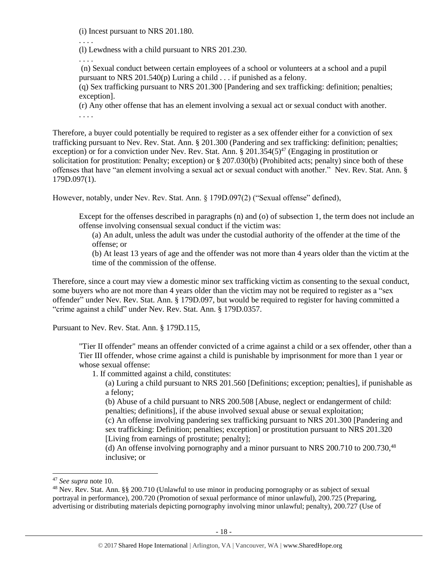(i) Incest pursuant to NRS 201.180.

. . . .

(l) Lewdness with a child pursuant to NRS 201.230.

. . . .

(n) Sexual conduct between certain employees of a school or volunteers at a school and a pupil pursuant to NRS 201.540(p) Luring a child . . . if punished as a felony.

(q) Sex trafficking pursuant to NRS 201.300 [Pandering and sex trafficking: definition; penalties; exception].

(r) Any other offense that has an element involving a sexual act or sexual conduct with another. . . . .

Therefore, a buyer could potentially be required to register as a sex offender either for a conviction of sex trafficking pursuant to Nev. Rev. Stat. Ann. § 201.300 (Pandering and sex trafficking: definition; penalties; exception) or for a conviction under Nev. Rev. Stat. Ann.  $\S 201.354(5)^{47}$  (Engaging in prostitution or solicitation for prostitution: Penalty; exception) or § 207.030(b) (Prohibited acts; penalty) since both of these offenses that have "an element involving a sexual act or sexual conduct with another." Nev. Rev. Stat. Ann. § 179D.097(1).

However, notably, under Nev. Rev. Stat. Ann. § 179D.097(2) ("Sexual offense" defined),

Except for the offenses described in paragraphs (n) and (o) of subsection 1, the term does not include an offense involving consensual sexual conduct if the victim was:

(a) An adult, unless the adult was under the custodial authority of the offender at the time of the offense; or

(b) At least 13 years of age and the offender was not more than 4 years older than the victim at the time of the commission of the offense.

Therefore, since a court may view a domestic minor sex trafficking victim as consenting to the sexual conduct, some buyers who are not more than 4 years older than the victim may not be required to register as a "sex offender" under Nev. Rev. Stat. Ann. § 179D.097, but would be required to register for having committed a "crime against a child" under Nev. Rev. Stat. Ann. § 179D.0357.

Pursuant to Nev. Rev. Stat. Ann. § 179D.115,

"Tier II offender" means an offender convicted of a crime against a child or a sex offender, other than a Tier III offender, whose crime against a child is punishable by imprisonment for more than 1 year or whose sexual offense:

1. If committed against a child, constitutes:

(a) Luring a child pursuant to NRS 201.560 [Definitions; exception; penalties], if punishable as a felony;

(b) Abuse of a child pursuant to NRS 200.508 [Abuse, neglect or endangerment of child: penalties; definitions], if the abuse involved sexual abuse or sexual exploitation;

(c) An offense involving pandering sex trafficking pursuant to NRS 201.300 [Pandering and sex trafficking: Definition; penalties; exception] or prostitution pursuant to NRS 201.320 [Living from earnings of prostitute; penalty];

(d) An offense involving pornography and a minor pursuant to NRS 200.710 to 200.730,<sup>48</sup> inclusive; or

<sup>47</sup> *See supra* note [10.](#page-2-1)

<sup>48</sup> Nev. Rev. Stat. Ann. §§ 200.710 (Unlawful to use minor in producing pornography or as subject of sexual portrayal in performance), 200.720 (Promotion of sexual performance of minor unlawful), 200.725 (Preparing, advertising or distributing materials depicting pornography involving minor unlawful; penalty), 200.727 (Use of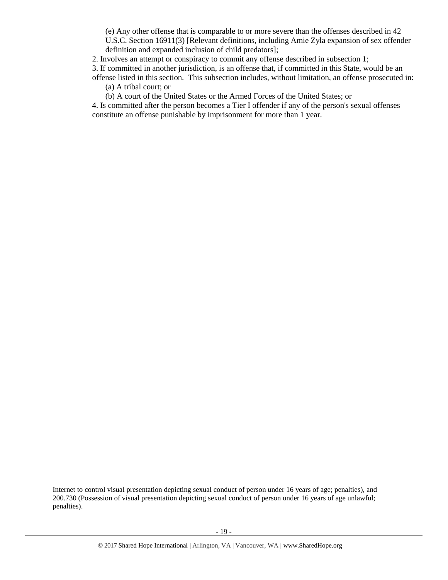(e) Any other offense that is comparable to or more severe than the offenses described in 42 U.S.C. Section 16911(3) [Relevant definitions, including Amie Zyla expansion of sex offender definition and expanded inclusion of child predators];

2. Involves an attempt or conspiracy to commit any offense described in subsection 1;

3. If committed in another jurisdiction, is an offense that, if committed in this State, would be an offense listed in this section. This subsection includes, without limitation, an offense prosecuted in:

(a) A tribal court; or

l

(b) A court of the United States or the Armed Forces of the United States; or

4. Is committed after the person becomes a Tier I offender if any of the person's sexual offenses constitute an offense punishable by imprisonment for more than 1 year.

Internet to control visual presentation depicting sexual conduct of person under 16 years of age; penalties), and 200.730 (Possession of visual presentation depicting sexual conduct of person under 16 years of age unlawful; penalties).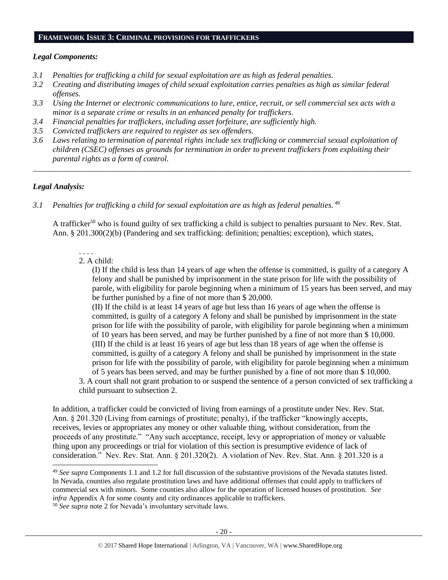#### **FRAMEWORK ISSUE 3: CRIMINAL PROVISIONS FOR TRAFFICKERS**

### *Legal Components:*

- *3.1 Penalties for trafficking a child for sexual exploitation are as high as federal penalties.*
- *3.2 Creating and distributing images of child sexual exploitation carries penalties as high as similar federal offenses.*
- *3.3 Using the Internet or electronic communications to lure, entice, recruit, or sell commercial sex acts with a minor is a separate crime or results in an enhanced penalty for traffickers.*
- *3.4 Financial penalties for traffickers, including asset forfeiture, are sufficiently high.*
- *3.5 Convicted traffickers are required to register as sex offenders.*
- *3.6 Laws relating to termination of parental rights include sex trafficking or commercial sexual exploitation of children (CSEC) offenses as grounds for termination in order to prevent traffickers from exploiting their parental rights as a form of control.*

*\_\_\_\_\_\_\_\_\_\_\_\_\_\_\_\_\_\_\_\_\_\_\_\_\_\_\_\_\_\_\_\_\_\_\_\_\_\_\_\_\_\_\_\_\_\_\_\_\_\_\_\_\_\_\_\_\_\_\_\_\_\_\_\_\_\_\_\_\_\_\_\_\_\_\_\_\_\_\_\_\_\_\_\_\_\_\_\_\_\_\_\_\_\_*

## *Legal Analysis:*

 $\overline{a}$ 

3.1 Penalties for trafficking a child for sexual exploitation are as high as federal penalties. <sup>49</sup>

A trafficker<sup>50</sup> who is found guilty of sex trafficking a child is subject to penalties pursuant to Nev. Rev. Stat. Ann. § 201.300(2)(b) (Pandering and sex trafficking: definition; penalties; exception), which states,

#### . . . . 2. A child:

(I) If the child is less than 14 years of age when the offense is committed, is guilty of a category A felony and shall be punished by imprisonment in the state prison for life with the possibility of parole, with eligibility for parole beginning when a minimum of 15 years has been served, and may be further punished by a fine of not more than \$ 20,000.

(II) If the child is at least 14 years of age but less than 16 years of age when the offense is committed, is guilty of a category A felony and shall be punished by imprisonment in the state prison for life with the possibility of parole, with eligibility for parole beginning when a minimum of 10 years has been served, and may be further punished by a fine of not more than \$ 10,000. (III) If the child is at least 16 years of age but less than 18 years of age when the offense is committed, is guilty of a category A felony and shall be punished by imprisonment in the state prison for life with the possibility of parole, with eligibility for parole beginning when a minimum of 5 years has been served, and may be further punished by a fine of not more than \$ 10,000.

3. A court shall not grant probation to or suspend the sentence of a person convicted of sex trafficking a child pursuant to subsection 2.

In addition, a trafficker could be convicted of living from earnings of a prostitute under Nev. Rev. Stat. Ann. § 201.320 (Living from earnings of prostitute; penalty), if the trafficker "knowingly accepts, receives, levies or appropriates any money or other valuable thing, without consideration, from the proceeds of any prostitute." "Any such acceptance, receipt, levy or appropriation of money or valuable thing upon any proceedings or trial for violation of this section is presumptive evidence of lack of consideration." Nev. Rev. Stat. Ann. § 201.320(2). A violation of Nev. Rev. Stat. Ann. § 201.320 is a

<sup>49</sup> *See supra* Components 1.1 and 1.2 for full discussion of the substantive provisions of the Nevada statutes listed. In Nevada, counties also regulate prostitution laws and have additional offenses that could apply to traffickers of commercial sex with minors. Some counties also allow for the operation of licensed houses of prostitution. *See infra* Appendix A for some county and city ordinances applicable to traffickers.

<sup>50</sup> *See supra* note [2](#page-0-0) for Nevada's involuntary servitude laws.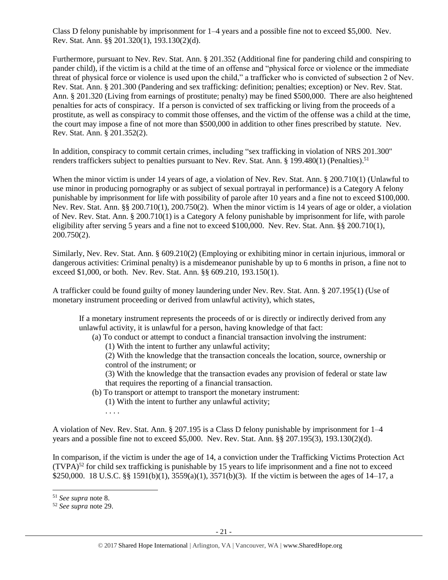Class D felony punishable by imprisonment for 1–4 years and a possible fine not to exceed \$5,000. Nev. Rev. Stat. Ann. §§ 201.320(1), 193.130(2)(d).

Furthermore, pursuant to Nev. Rev. Stat. Ann. § 201.352 (Additional fine for pandering child and conspiring to pander child), if the victim is a child at the time of an offense and "physical force or violence or the immediate threat of physical force or violence is used upon the child," a trafficker who is convicted of subsection 2 of Nev. Rev. Stat. Ann. § 201.300 (Pandering and sex trafficking: definition; penalties; exception) or Nev. Rev. Stat. Ann. § 201.320 (Living from earnings of prostitute; penalty) may be fined \$500,000. There are also heightened penalties for acts of conspiracy. If a person is convicted of sex trafficking or living from the proceeds of a prostitute, as well as conspiracy to commit those offenses, and the victim of the offense was a child at the time, the court may impose a fine of not more than \$500,000 in addition to other fines prescribed by statute. Nev. Rev. Stat. Ann. § 201.352(2).

In addition, conspiracy to commit certain crimes, including "sex trafficking in violation of NRS 201.300" renders traffickers subject to penalties pursuant to Nev. Rev. Stat. Ann. § 199.480(1) (Penalties).<sup>51</sup>

When the minor victim is under 14 years of age, a violation of Nev. Rev. Stat. Ann. § 200.710(1) (Unlawful to use minor in producing pornography or as subject of sexual portrayal in performance) is a Category A felony punishable by imprisonment for life with possibility of parole after 10 years and a fine not to exceed \$100,000. Nev. Rev. Stat. Ann. §§ 200.710(1), 200.750(2). When the minor victim is 14 years of age or older, a violation of Nev. Rev. Stat. Ann. § 200.710(1) is a Category A felony punishable by imprisonment for life, with parole eligibility after serving 5 years and a fine not to exceed \$100,000. Nev. Rev. Stat. Ann. §§ 200.710(1), 200.750(2).

Similarly, Nev. Rev. Stat. Ann. § 609.210(2) (Employing or exhibiting minor in certain injurious, immoral or dangerous activities: Criminal penalty) is a misdemeanor punishable by up to 6 months in prison, a fine not to exceed \$1,000, or both. Nev. Rev. Stat. Ann. §§ 609.210, 193.150(1).

A trafficker could be found guilty of money laundering under Nev. Rev. Stat. Ann. § 207.195(1) (Use of monetary instrument proceeding or derived from unlawful activity), which states,

If a monetary instrument represents the proceeds of or is directly or indirectly derived from any unlawful activity, it is unlawful for a person, having knowledge of that fact:

(a) To conduct or attempt to conduct a financial transaction involving the instrument:

(1) With the intent to further any unlawful activity;

(2) With the knowledge that the transaction conceals the location, source, ownership or control of the instrument; or

(3) With the knowledge that the transaction evades any provision of federal or state law that requires the reporting of a financial transaction.

(b) To transport or attempt to transport the monetary instrument:

(1) With the intent to further any unlawful activity;

. . . .

A violation of Nev. Rev. Stat. Ann. § 207.195 is a Class D felony punishable by imprisonment for 1–4 years and a possible fine not to exceed \$5,000. Nev. Rev. Stat. Ann. §§ 207.195(3), 193.130(2)(d).

In comparison, if the victim is under the age of 14, a conviction under the Trafficking Victims Protection Act  $(TVPA)^{52}$  for child sex trafficking is punishable by 15 years to life imprisonment and a fine not to exceed \$250,000. 18 U.S.C. §§ 1591(b)(1), 3559(a)(1), 3571(b)(3). If the victim is between the ages of 14–17, a

<sup>51</sup> *See supra* note [8.](#page-2-2)

<sup>52</sup> *See supra* note [29.](#page-10-0)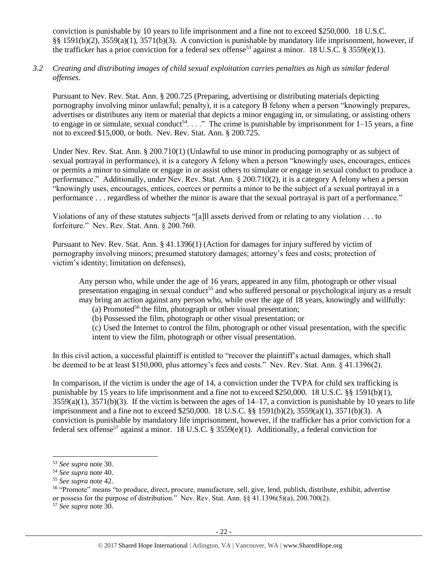conviction is punishable by 10 years to life imprisonment and a fine not to exceed \$250,000. 18 U.S.C. §§ 1591(b)(2), 3559(a)(1), 3571(b)(3). A conviction is punishable by mandatory life imprisonment, however, if the trafficker has a prior conviction for a federal sex offense<sup>53</sup> against a minor. 18 U.S.C. § 3559(e)(1).

*3.2 Creating and distributing images of child sexual exploitation carries penalties as high as similar federal offenses*.

Pursuant to Nev. Rev. Stat. Ann. § 200.725 (Preparing, advertising or distributing materials depicting pornography involving minor unlawful; penalty), it is a category B felony when a person "knowingly prepares, advertises or distributes any item or material that depicts a minor engaging in, or simulating, or assisting others to engage in or simulate, sexual conduct<sup>54</sup>...." The crime is punishable by imprisonment for  $1-15$  years, a fine not to exceed \$15,000, or both. Nev. Rev. Stat. Ann. § 200.725.

Under Nev. Rev. Stat. Ann. § 200.710(1) (Unlawful to use minor in producing pornography or as subject of sexual portrayal in performance), it is a category A felony when a person "knowingly uses, encourages, entices or permits a minor to simulate or engage in or assist others to simulate or engage in sexual conduct to produce a performance." Additionally, under Nev. Rev. Stat. Ann. § 200.710(2), it is a category A felony when a person "knowingly uses, encourages, entices, coerces or permits a minor to be the subject of a sexual portrayal in a performance . . . regardless of whether the minor is aware that the sexual portrayal is part of a performance."

Violations of any of these statutes subjects "[a]ll assets derived from or relating to any violation . . . to forfeiture." Nev. Rev. Stat. Ann. § 200.760.

Pursuant to Nev. Rev. Stat. Ann. § 41.1396(1) (Action for damages for injury suffered by victim of pornography involving minors; presumed statutory damages; attorney's fees and costs; protection of victim's identity; limitation on defenses),

Any person who, while under the age of 16 years, appeared in any film, photograph or other visual presentation engaging in sexual conduct<sup>55</sup> and who suffered personal or psychological injury as a result may bring an action against any person who, while over the age of 18 years, knowingly and willfully:

<span id="page-21-0"></span>(a) Promoted<sup>56</sup> the film, photograph or other visual presentation;

(b) Possessed the film, photograph or other visual presentation; or

(c) Used the Internet to control the film, photograph or other visual presentation, with the specific intent to view the film, photograph or other visual presentation.

In this civil action, a successful plaintiff is entitled to "recover the plaintiff's actual damages, which shall be deemed to be at least \$150,000, plus attorney's fees and costs." Nev. Rev. Stat. Ann. § 41.1396(2).

In comparison, if the victim is under the age of 14, a conviction under the TVPA for child sex trafficking is punishable by 15 years to life imprisonment and a fine not to exceed \$250,000. 18 U.S.C. §§ 1591(b)(1),  $3559(a)(1)$ ,  $3571(b)(3)$ . If the victim is between the ages of  $14-17$ , a conviction is punishable by 10 years to life imprisonment and a fine not to exceed \$250,000. 18 U.S.C. §§ 1591(b)(2), 3559(a)(1), 3571(b)(3). A conviction is punishable by mandatory life imprisonment, however, if the trafficker has a prior conviction for a federal sex offense<sup>57</sup> against a minor. 18 U.S.C. § 3559(e)(1). Additionally, a federal conviction for

l

<sup>53</sup> *See supra* note [30.](#page-10-1)

<sup>54</sup> *See supra* note [40.](#page-14-0)

<sup>55</sup> *See supra* note [42.](#page-15-0)

<sup>56</sup> "Promote" means "to produce, direct, procure, manufacture, sell, give, lend, publish, distribute, exhibit, advertise or possess for the purpose of distribution." Nev. Rev. Stat. Ann. §§ 41.1396(5)(a), 200.700(2).

<sup>57</sup> *See supra* note [30.](#page-10-1)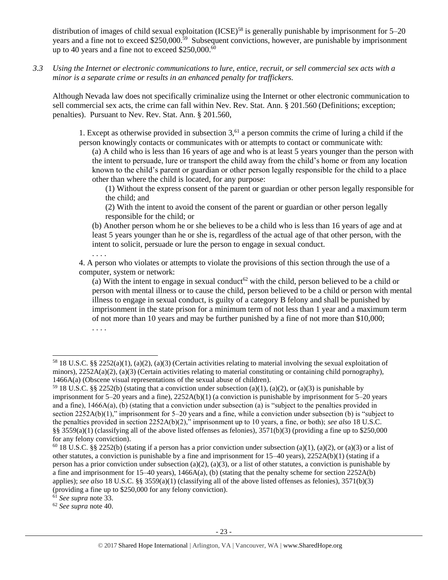distribution of images of child sexual exploitation (ICSE)<sup>58</sup> is generally punishable by imprisonment for 5–20 years and a fine not to exceed \$250,000.<sup>59</sup> Subsequent convictions, however, are punishable by imprisonment up to 40 years and a fine not to exceed \$250,000.<sup>60</sup>

*3.3 Using the Internet or electronic communications to lure, entice, recruit, or sell commercial sex acts with a minor is a separate crime or results in an enhanced penalty for traffickers.*

Although Nevada law does not specifically criminalize using the Internet or other electronic communication to sell commercial sex acts, the crime can fall within Nev. Rev. Stat. Ann. § 201.560 (Definitions; exception; penalties). Pursuant to Nev. Rev. Stat. Ann. § 201.560,

1. Except as otherwise provided in subsection  $3<sub>1</sub><sup>61</sup>$  a person commits the crime of luring a child if the person knowingly contacts or communicates with or attempts to contact or communicate with:

(a) A child who is less than 16 years of age and who is at least 5 years younger than the person with the intent to persuade, lure or transport the child away from the child's home or from any location known to the child's parent or guardian or other person legally responsible for the child to a place other than where the child is located, for any purpose:

(1) Without the express consent of the parent or guardian or other person legally responsible for the child; and

(2) With the intent to avoid the consent of the parent or guardian or other person legally responsible for the child; or

(b) Another person whom he or she believes to be a child who is less than 16 years of age and at least 5 years younger than he or she is, regardless of the actual age of that other person, with the intent to solicit, persuade or lure the person to engage in sexual conduct.

4. A person who violates or attempts to violate the provisions of this section through the use of a computer, system or network:

(a) With the intent to engage in sexual conduct<sup>62</sup> with the child, person believed to be a child or person with mental illness or to cause the child, person believed to be a child or person with mental illness to engage in sexual conduct, is guilty of a category B felony and shall be punished by imprisonment in the state prison for a minimum term of not less than 1 year and a maximum term of not more than 10 years and may be further punished by a fine of not more than \$10,000; . . . .

<sup>61</sup> *See supra* note [33.](#page-11-0)

l

. . . .

<sup>62</sup> *See supra* note [40.](#page-14-0)

<sup>&</sup>lt;sup>58</sup> 18 U.S.C. §§ 2252(a)(1), (a)(2), (a)(3) (Certain activities relating to material involving the sexual exploitation of minors),  $2252A(a)(2)$ , (a)(3) (Certain activities relating to material constituting or containing child pornography), 1466A(a) (Obscene visual representations of the sexual abuse of children).

<sup>&</sup>lt;sup>59</sup> 18 U.S.C. §§ 2252(b) (stating that a conviction under subsection (a)(1), (a)(2), or (a)(3) is punishable by imprisonment for  $5-20$  years and a fine),  $2252A(b)(1)$  (a conviction is punishable by imprisonment for  $5-20$  years and a fine), 1466A(a), (b) (stating that a conviction under subsection (a) is "subject to the penalties provided in section 2252A(b)(1)," imprisonment for 5–20 years and a fine, while a conviction under subsection (b) is "subject to the penalties provided in section 2252A(b)(2)," imprisonment up to 10 years, a fine, or both); *see also* 18 U.S.C. §§ 3559(a)(1) (classifying all of the above listed offenses as felonies),  $3571(b)(3)$  (providing a fine up to \$250,000 for any felony conviction).

<sup>&</sup>lt;sup>60</sup> 18 U.S.C. §§ 2252(b) (stating if a person has a prior conviction under subsection (a)(1), (a)(2), or (a)(3) or a list of other statutes, a conviction is punishable by a fine and imprisonment for 15–40 years), 2252A(b)(1) (stating if a person has a prior conviction under subsection (a)(2), (a)(3), or a list of other statutes, a conviction is punishable by a fine and imprisonment for  $15-40$  years),  $1466A(a)$ , (b) (stating that the penalty scheme for section  $2252A(b)$ applies); *see also* 18 U.S.C. §§ 3559(a)(1) (classifying all of the above listed offenses as felonies), 3571(b)(3) (providing a fine up to \$250,000 for any felony conviction).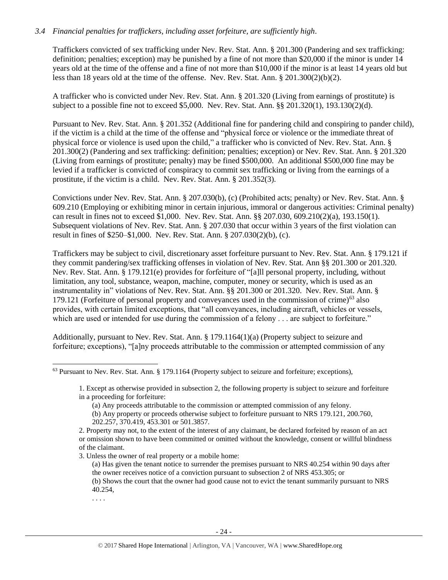#### *3.4 Financial penalties for traffickers, including asset forfeiture, are sufficiently high*.

Traffickers convicted of sex trafficking under Nev. Rev. Stat. Ann. § 201.300 (Pandering and sex trafficking: definition; penalties; exception) may be punished by a fine of not more than \$20,000 if the minor is under 14 years old at the time of the offense and a fine of not more than \$10,000 if the minor is at least 14 years old but less than 18 years old at the time of the offense. Nev. Rev. Stat. Ann. § 201.300(2)(b)(2).

A trafficker who is convicted under Nev. Rev. Stat. Ann. § 201.320 (Living from earnings of prostitute) is subject to a possible fine not to exceed \$5,000. Nev. Rev. Stat. Ann. §§ 201.320(1), 193.130(2)(d).

Pursuant to Nev. Rev. Stat. Ann. § 201.352 (Additional fine for pandering child and conspiring to pander child), if the victim is a child at the time of the offense and "physical force or violence or the immediate threat of physical force or violence is used upon the child," a trafficker who is convicted of Nev. Rev. Stat. Ann. § 201.300(2) (Pandering and sex trafficking: definition; penalties; exception) or Nev. Rev. Stat. Ann. § 201.320 (Living from earnings of prostitute; penalty) may be fined \$500,000. An additional \$500,000 fine may be levied if a trafficker is convicted of conspiracy to commit sex trafficking or living from the earnings of a prostitute, if the victim is a child. Nev. Rev. Stat. Ann. § 201.352(3).

Convictions under Nev. Rev. Stat. Ann. § 207.030(b), (c) (Prohibited acts; penalty) or Nev. Rev. Stat. Ann. § 609.210 (Employing or exhibiting minor in certain injurious, immoral or dangerous activities: Criminal penalty) can result in fines not to exceed \$1,000. Nev. Rev. Stat. Ann. §§ 207.030, 609.210(2)(a), 193.150(1). Subsequent violations of Nev. Rev. Stat. Ann. § 207.030 that occur within 3 years of the first violation can result in fines of \$250–\$1,000. Nev. Rev. Stat. Ann. § 207.030(2)(b), (c).

Traffickers may be subject to civil, discretionary asset forfeiture pursuant to Nev. Rev. Stat. Ann. § 179.121 if they commit pandering/sex trafficking offenses in violation of Nev. Rev. Stat. Ann §§ 201.300 or 201.320. Nev. Rev. Stat. Ann. § 179.121(e) provides for forfeiture of "[a]ll personal property, including, without limitation, any tool, substance, weapon, machine, computer, money or security, which is used as an instrumentality in" violations of Nev. Rev. Stat. Ann. §§ 201.300 or 201.320.Nev. Rev. Stat. Ann. § 179.121 (Forfeiture of personal property and conveyances used in the commission of crime)<sup>63</sup> also provides, with certain limited exceptions, that "all conveyances, including aircraft, vehicles or vessels, which are used or intended for use during the commission of a felony . . . are subject to forfeiture."

Additionally, pursuant to Nev. Rev. Stat. Ann. § 179.1164(1)(a) (Property subject to seizure and forfeiture; exceptions), "[a]ny proceeds attributable to the commission or attempted commission of any

. . . .

<sup>63</sup> Pursuant to Nev. Rev. Stat. Ann. § 179.1164 (Property subject to seizure and forfeiture; exceptions),

<sup>1.</sup> Except as otherwise provided in subsection 2, the following property is subject to seizure and forfeiture in a proceeding for forfeiture:

<sup>(</sup>a) Any proceeds attributable to the commission or attempted commission of any felony. (b) Any property or proceeds otherwise subject to forfeiture pursuant to NRS 179.121, 200.760, 202.257, 370.419, 453.301 or 501.3857.

<sup>2.</sup> Property may not, to the extent of the interest of any claimant, be declared forfeited by reason of an act or omission shown to have been committed or omitted without the knowledge, consent or willful blindness of the claimant.

<sup>3.</sup> Unless the owner of real property or a mobile home:

<sup>(</sup>a) Has given the tenant notice to surrender the premises pursuant to NRS 40.254 within 90 days after the owner receives notice of a conviction pursuant to subsection 2 of NRS 453.305; or

<sup>(</sup>b) Shows the court that the owner had good cause not to evict the tenant summarily pursuant to NRS 40.254,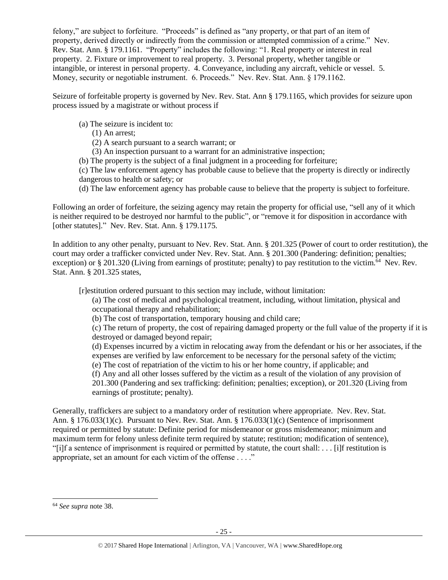felony," are subject to forfeiture. "Proceeds" is defined as "any property, or that part of an item of property, derived directly or indirectly from the commission or attempted commission of a crime." Nev. Rev. Stat. Ann. § 179.1161. "Property" includes the following: "1. Real property or interest in real property. 2. Fixture or improvement to real property. 3. Personal property, whether tangible or intangible, or interest in personal property. 4. Conveyance, including any aircraft, vehicle or vessel. 5. Money, security or negotiable instrument. 6. Proceeds." Nev. Rev. Stat. Ann. § 179.1162.

Seizure of forfeitable property is governed by Nev. Rev. Stat. Ann § 179.1165, which provides for seizure upon process issued by a magistrate or without process if

- (a) The seizure is incident to:
	- (1) An arrest;
	- (2) A search pursuant to a search warrant; or
	- (3) An inspection pursuant to a warrant for an administrative inspection;
- (b) The property is the subject of a final judgment in a proceeding for forfeiture;

(c) The law enforcement agency has probable cause to believe that the property is directly or indirectly dangerous to health or safety; or

(d) The law enforcement agency has probable cause to believe that the property is subject to forfeiture.

Following an order of forfeiture, the seizing agency may retain the property for official use, "sell any of it which is neither required to be destroyed nor harmful to the public", or "remove it for disposition in accordance with [other statutes]." Nev. Rev. Stat. Ann. § 179.1175.

In addition to any other penalty, pursuant to Nev. Rev. Stat. Ann. § 201.325 (Power of court to order restitution), the court may order a trafficker convicted under Nev. Rev. Stat. Ann. § 201.300 (Pandering: definition; penalties; exception) or § 201.320 (Living from earnings of prostitute; penalty) to pay restitution to the victim.<sup>64</sup> Nev. Rev. Stat. Ann. § 201.325 states,

[r]estitution ordered pursuant to this section may include, without limitation:

(a) The cost of medical and psychological treatment, including, without limitation, physical and occupational therapy and rehabilitation;

(b) The cost of transportation, temporary housing and child care;

(c) The return of property, the cost of repairing damaged property or the full value of the property if it is destroyed or damaged beyond repair;

(d) Expenses incurred by a victim in relocating away from the defendant or his or her associates, if the expenses are verified by law enforcement to be necessary for the personal safety of the victim;

(e) The cost of repatriation of the victim to his or her home country, if applicable; and

(f) Any and all other losses suffered by the victim as a result of the violation of any provision of 201.300 (Pandering and sex trafficking: definition; penalties; exception), or 201.320 (Living from earnings of prostitute; penalty).

Generally, traffickers are subject to a mandatory order of restitution where appropriate. Nev. Rev. Stat. Ann. § 176.033(1)(c). Pursuant to Nev. Rev. Stat. Ann. § 176.033(1)(c) (Sentence of imprisonment required or permitted by statute: Definite period for misdemeanor or gross misdemeanor; minimum and maximum term for felony unless definite term required by statute; restitution; modification of sentence), "[i]f a sentence of imprisonment is required or permitted by statute, the court shall: . . . [i]f restitution is appropriate, set an amount for each victim of the offense . . . ."

<sup>64</sup> *See supra* note [38.](#page-13-0)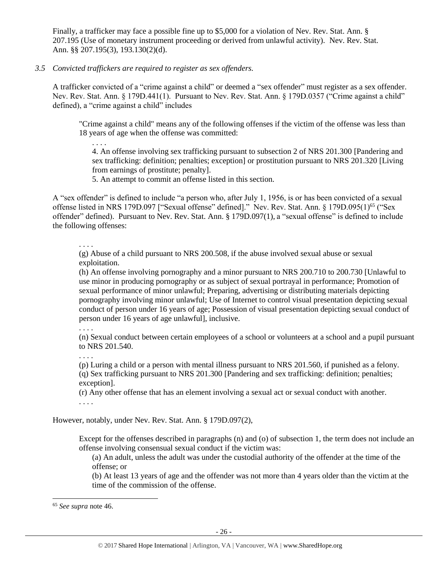Finally, a trafficker may face a possible fine up to \$5,000 for a violation of Nev. Rev. Stat. Ann. § 207.195 (Use of monetary instrument proceeding or derived from unlawful activity). Nev. Rev. Stat. Ann. §§ 207.195(3), 193.130(2)(d).

#### *3.5 Convicted traffickers are required to register as sex offenders.*

A trafficker convicted of a "crime against a child" or deemed a "sex offender" must register as a sex offender. Nev. Rev. Stat. Ann. § 179D.441(1). Pursuant to Nev. Rev. Stat. Ann. § 179D.0357 ("Crime against a child" defined), a "crime against a child" includes

"Crime against a child" means any of the following offenses if the victim of the offense was less than 18 years of age when the offense was committed:

4. An offense involving sex trafficking pursuant to subsection 2 of NRS 201.300 [Pandering and sex trafficking: definition; penalties; exception] or prostitution pursuant to NRS 201.320 [Living from earnings of prostitute; penalty].

5. An attempt to commit an offense listed in this section.

A "sex offender" is defined to include "a person who, after July 1, 1956, is or has been convicted of a sexual offense listed in NRS 179D.097 ["Sexual offense" defined]." Nev. Rev. Stat. Ann. § 179D.095(1)<sup>65</sup> ("Sex offender" defined). Pursuant to Nev. Rev. Stat. Ann. § 179D.097(1), a "sexual offense" is defined to include the following offenses:

. . . .

. . . .

(g) Abuse of a child pursuant to NRS 200.508, if the abuse involved sexual abuse or sexual exploitation.

(h) An offense involving pornography and a minor pursuant to NRS 200.710 to 200.730 [Unlawful to use minor in producing pornography or as subject of sexual portrayal in performance; Promotion of sexual performance of minor unlawful; Preparing, advertising or distributing materials depicting pornography involving minor unlawful; Use of Internet to control visual presentation depicting sexual conduct of person under 16 years of age; Possession of visual presentation depicting sexual conduct of person under 16 years of age unlawful], inclusive.

. . . .

(n) Sexual conduct between certain employees of a school or volunteers at a school and a pupil pursuant to NRS [201.540.](http://www.leg.state.nv.us/NRS/NRS-201.html#NRS201Sec540)

. . . .

(p) Luring a child or a person with mental illness pursuant to NRS 201.560, if punished as a felony. (q) Sex trafficking pursuant to NRS 201.300 [Pandering and sex trafficking: definition; penalties; exception].

(r) Any other offense that has an element involving a sexual act or sexual conduct with another. . . . .

However, notably, under Nev. Rev. Stat. Ann. § 179D.097(2),

Except for the offenses described in paragraphs (n) and (o) of subsection 1, the term does not include an offense involving consensual sexual conduct if the victim was:

(a) An adult, unless the adult was under the custodial authority of the offender at the time of the offense; or

(b) At least 13 years of age and the offender was not more than 4 years older than the victim at the time of the commission of the offense.

<sup>65</sup> *See supra* note [46.](#page-16-0)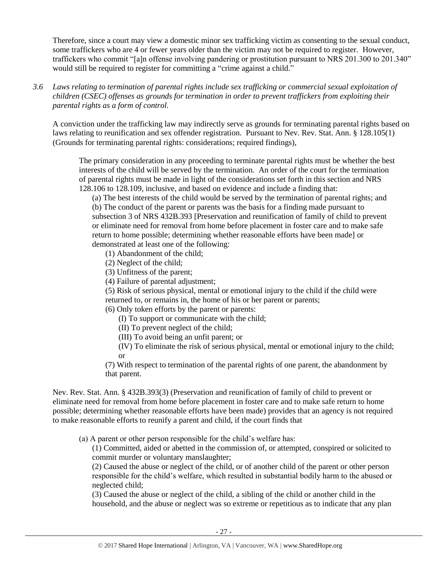Therefore, since a court may view a domestic minor sex trafficking victim as consenting to the sexual conduct, some traffickers who are 4 or fewer years older than the victim may not be required to register. However, traffickers who commit "[a]n offense involving pandering or prostitution pursuant to NRS 201.300 to 201.340" would still be required to register for committing a "crime against a child."

*3.6 Laws relating to termination of parental rights include sex trafficking or commercial sexual exploitation of children (CSEC) offenses as grounds for termination in order to prevent traffickers from exploiting their parental rights as a form of control.* 

A conviction under the trafficking law may indirectly serve as grounds for terminating parental rights based on laws relating to reunification and sex offender registration. Pursuant to Nev. Rev. Stat. Ann. § 128.105(1) (Grounds for terminating parental rights: considerations; required findings),

The primary consideration in any proceeding to terminate parental rights must be whether the best interests of the child will be served by the termination. An order of the court for the termination of parental rights must be made in light of the considerations set forth in this section and NRS 128.106 to 128.109, inclusive, and based on evidence and include a finding that:

(a) The best interests of the child would be served by the termination of parental rights; and (b) The conduct of the parent or parents was the basis for a finding made pursuant to subsection 3 of NRS 432B.393 [Preservation and reunification of family of child to prevent or eliminate need for removal from home before placement in foster care and to make safe return to home possible; determining whether reasonable efforts have been made] or demonstrated at least one of the following:

- (1) Abandonment of the child;
- (2) Neglect of the child;
- (3) Unfitness of the parent;
- (4) Failure of parental adjustment;
- (5) Risk of serious physical, mental or emotional injury to the child if the child were
- returned to, or remains in, the home of his or her parent or parents;
- (6) Only token efforts by the parent or parents:
	- (I) To support or communicate with the child;
	- (II) To prevent neglect of the child;
	- (III) To avoid being an unfit parent; or
	- (IV) To eliminate the risk of serious physical, mental or emotional injury to the child; or

(7) With respect to termination of the parental rights of one parent, the abandonment by that parent.

Nev. Rev. Stat. Ann. § 432B.393(3) (Preservation and reunification of family of child to prevent or eliminate need for removal from home before placement in foster care and to make safe return to home possible; determining whether reasonable efforts have been made) provides that an agency is not required to make reasonable efforts to reunify a parent and child, if the court finds that

(a) A parent or other person responsible for the child's welfare has:

(1) Committed, aided or abetted in the commission of, or attempted, conspired or solicited to commit murder or voluntary manslaughter;

(2) Caused the abuse or neglect of the child, or of another child of the parent or other person responsible for the child's welfare, which resulted in substantial bodily harm to the abused or neglected child;

(3) Caused the abuse or neglect of the child, a sibling of the child or another child in the household, and the abuse or neglect was so extreme or repetitious as to indicate that any plan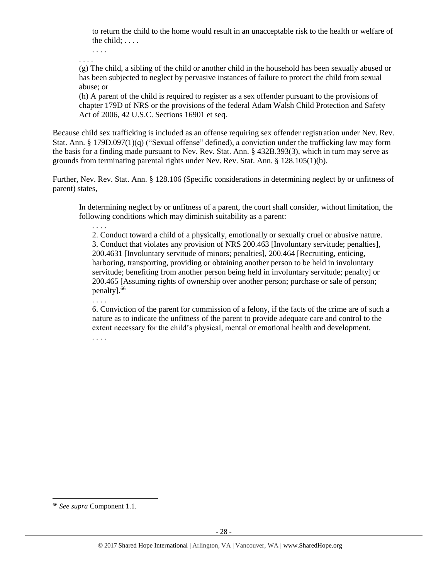to return the child to the home would result in an unacceptable risk to the health or welfare of the child; . . . .

. . . . . . . .

(g) The child, a sibling of the child or another child in the household has been sexually abused or has been subjected to neglect by pervasive instances of failure to protect the child from sexual abuse; or

(h) A parent of the child is required to register as a sex offender pursuant to the provisions of chapter 179D of NRS or the provisions of the federal Adam Walsh Child Protection and Safety Act of 2006, 42 U.S.C. Sections 16901 et seq.

Because child sex trafficking is included as an offense requiring sex offender registration under Nev. Rev. Stat. Ann. § 179D.097(1)(q) ("Sexual offense" defined), a conviction under the trafficking law may form the basis for a finding made pursuant to Nev. Rev. Stat. Ann. § 432B.393(3), which in turn may serve as grounds from terminating parental rights under Nev. Rev. Stat. Ann. § 128.105(1)(b).

Further, Nev. Rev. Stat. Ann. § 128.106 (Specific considerations in determining neglect by or unfitness of parent) states,

In determining neglect by or unfitness of a parent, the court shall consider, without limitation, the following conditions which may diminish suitability as a parent:

2. Conduct toward a child of a physically, emotionally or sexually cruel or abusive nature. 3. Conduct that violates any provision of NRS 200.463 [Involuntary servitude; penalties], 200.4631 [Involuntary servitude of minors; penalties], 200.464 [Recruiting, enticing, harboring, transporting, providing or obtaining another person to be held in involuntary servitude; benefiting from another person being held in involuntary servitude; penalty] or 200.465 [Assuming rights of ownership over another person; purchase or sale of person; penalty]. 66

. . . .

. . . .

6. Conviction of the parent for commission of a felony, if the facts of the crime are of such a nature as to indicate the unfitness of the parent to provide adequate care and control to the extent necessary for the child's physical, mental or emotional health and development.

. . . .

 $\overline{a}$ <sup>66</sup> *See supra* Component 1.1.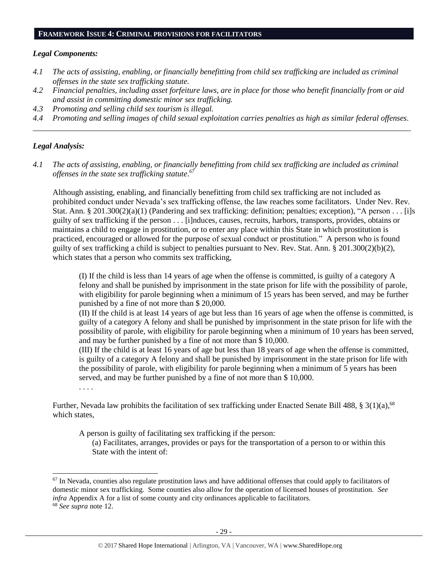#### **FRAMEWORK ISSUE 4: CRIMINAL PROVISIONS FOR FACILITATORS**

#### *Legal Components:*

- *4.1 The acts of assisting, enabling, or financially benefitting from child sex trafficking are included as criminal offenses in the state sex trafficking statute.*
- *4.2 Financial penalties, including asset forfeiture laws, are in place for those who benefit financially from or aid and assist in committing domestic minor sex trafficking.*
- *4.3 Promoting and selling child sex tourism is illegal.*
- *4.4 Promoting and selling images of child sexual exploitation carries penalties as high as similar federal offenses. \_\_\_\_\_\_\_\_\_\_\_\_\_\_\_\_\_\_\_\_\_\_\_\_\_\_\_\_\_\_\_\_\_\_\_\_\_\_\_\_\_\_\_\_\_\_\_\_\_\_\_\_\_\_\_\_\_\_\_\_\_\_\_\_\_\_\_\_\_\_\_\_\_\_\_\_\_\_\_\_\_\_\_\_\_\_\_\_\_\_\_\_\_\_*

#### *Legal Analysis:*

*4.1 The acts of assisting, enabling, or financially benefitting from child sex trafficking are included as criminal offenses in the state sex trafficking statute*. *67*

Although assisting, enabling, and financially benefitting from child sex trafficking are not included as prohibited conduct under Nevada's sex trafficking offense, the law reaches some facilitators. Under Nev. Rev. Stat. Ann. § 201.300(2)(a)(1) (Pandering and sex trafficking: definition; penalties; exception), "A person . . . [i]s guilty of sex trafficking if the person . . . [i]nduces, causes, recruits, harbors, transports, provides, obtains or maintains a child to engage in prostitution, or to enter any place within this State in which prostitution is practiced, encouraged or allowed for the purpose of sexual conduct or prostitution." A person who is found guilty of sex trafficking a child is subject to penalties pursuant to Nev. Rev. Stat. Ann. § 201.300(2)(b)(2), which states that a person who commits sex trafficking,

(I) If the child is less than 14 years of age when the offense is committed, is guilty of a category A felony and shall be punished by imprisonment in the state prison for life with the possibility of parole, with eligibility for parole beginning when a minimum of 15 years has been served, and may be further punished by a fine of not more than \$ 20,000.

(II) If the child is at least 14 years of age but less than 16 years of age when the offense is committed, is guilty of a category A felony and shall be punished by imprisonment in the state prison for life with the possibility of parole, with eligibility for parole beginning when a minimum of 10 years has been served, and may be further punished by a fine of not more than \$ 10,000.

(III) If the child is at least 16 years of age but less than 18 years of age when the offense is committed, is guilty of a category A felony and shall be punished by imprisonment in the state prison for life with the possibility of parole, with eligibility for parole beginning when a minimum of 5 years has been served, and may be further punished by a fine of not more than \$ 10,000.

. . . .

 $\overline{a}$ 

Further, Nevada law prohibits the facilitation of sex trafficking under Enacted Senate Bill 488, § 3(1)(a),<sup>68</sup> which states,

A person is guilty of facilitating sex trafficking if the person:

(a) Facilitates, arranges, provides or pays for the transportation of a person to or within this State with the intent of:

 $67$  In Nevada, counties also regulate prostitution laws and have additional offenses that could apply to facilitators of domestic minor sex trafficking. Some counties also allow for the operation of licensed houses of prostitution. *See infra* Appendix A for a list of some county and city ordinances applicable to facilitators. <sup>68</sup> *See supra* note [12.](#page-4-0)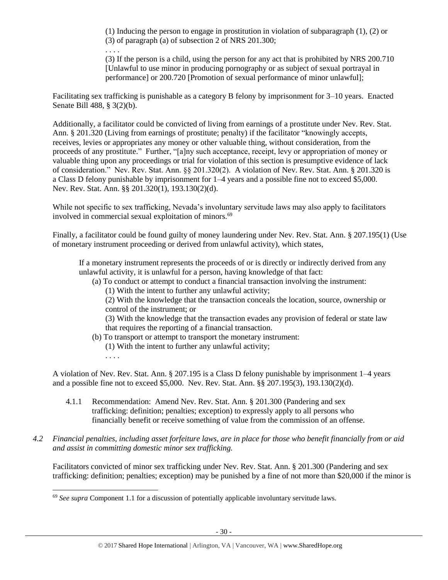(1) Inducing the person to engage in prostitution in violation of subparagraph (1), (2) or (3) of paragraph (a) of subsection 2 of NRS 201.300;

. . . . (3) If the person is a child, using the person for any act that is prohibited by NRS 200.710 [Unlawful to use minor in producing pornography or as subject of sexual portrayal in performance] or 200.720 [Promotion of sexual performance of minor unlawful];

Facilitating sex trafficking is punishable as a category B felony by imprisonment for 3–10 years. Enacted Senate Bill 488, § 3(2)(b).

Additionally, a facilitator could be convicted of living from earnings of a prostitute under Nev. Rev. Stat. Ann. § 201.320 (Living from earnings of prostitute; penalty) if the facilitator "knowingly accepts, receives, levies or appropriates any money or other valuable thing, without consideration, from the proceeds of any prostitute." Further, "[a]ny such acceptance, receipt, levy or appropriation of money or valuable thing upon any proceedings or trial for violation of this section is presumptive evidence of lack of consideration." Nev. Rev. Stat. Ann. §§ 201.320(2). A violation of Nev. Rev. Stat. Ann. § 201.320 is a Class D felony punishable by imprisonment for 1–4 years and a possible fine not to exceed \$5,000. Nev. Rev. Stat. Ann. §§ 201.320(1), 193.130(2)(d).

While not specific to sex trafficking, Nevada's involuntary servitude laws may also apply to facilitators involved in commercial sexual exploitation of minors.<sup>69</sup>

Finally, a facilitator could be found guilty of money laundering under Nev. Rev. Stat. Ann. § 207.195(1) (Use of monetary instrument proceeding or derived from unlawful activity), which states,

If a monetary instrument represents the proceeds of or is directly or indirectly derived from any unlawful activity, it is unlawful for a person, having knowledge of that fact:

(a) To conduct or attempt to conduct a financial transaction involving the instrument:

(1) With the intent to further any unlawful activity;

(2) With the knowledge that the transaction conceals the location, source, ownership or control of the instrument; or

(3) With the knowledge that the transaction evades any provision of federal or state law that requires the reporting of a financial transaction.

- (b) To transport or attempt to transport the monetary instrument:
	- (1) With the intent to further any unlawful activity;
	- . . . .

 $\overline{a}$ 

A violation of Nev. Rev. Stat. Ann. § 207.195 is a Class D felony punishable by imprisonment 1–4 years and a possible fine not to exceed \$5,000. Nev. Rev. Stat. Ann. §§ 207.195(3), 193.130(2)(d).

- 4.1.1 Recommendation: Amend Nev. Rev. Stat. Ann. § 201.300 (Pandering and sex trafficking: definition; penalties; exception) to expressly apply to all persons who financially benefit or receive something of value from the commission of an offense.
- *4.2 Financial penalties, including asset forfeiture laws, are in place for those who benefit financially from or aid and assist in committing domestic minor sex trafficking.*

Facilitators convicted of minor sex trafficking under Nev. Rev. Stat. Ann. § 201.300 (Pandering and sex trafficking: definition; penalties; exception) may be punished by a fine of not more than \$20,000 if the minor is

<sup>69</sup> *See supra* Component 1.1 for a discussion of potentially applicable involuntary servitude laws.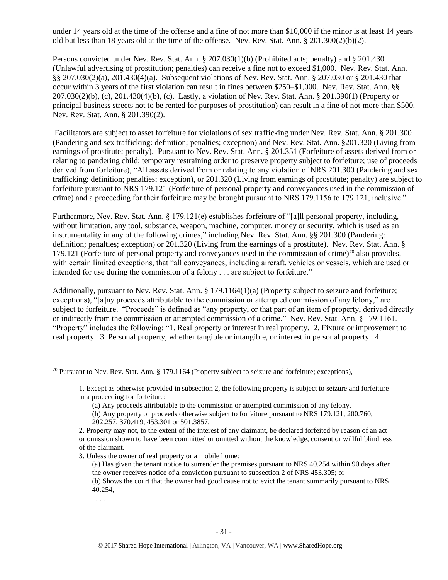under 14 years old at the time of the offense and a fine of not more than \$10,000 if the minor is at least 14 years old but less than 18 years old at the time of the offense. Nev. Rev. Stat. Ann. § 201.300(2)(b)(2).

Persons convicted under Nev. Rev. Stat. Ann. § 207.030(1)(b) (Prohibited acts; penalty) and § 201.430 (Unlawful advertising of prostitution; penalties) can receive a fine not to exceed \$1,000. Nev. Rev. Stat. Ann. §§ 207.030(2)(a), 201.430(4)(a). Subsequent violations of Nev. Rev. Stat. Ann. § 207.030 or § 201.430 that occur within 3 years of the first violation can result in fines between \$250–\$1,000. Nev. Rev. Stat. Ann. §§ 207.030(2)(b), (c), 201.430(4)(b), (c). Lastly, a violation of Nev. Rev. Stat. Ann. § 201.390(1) (Property or principal business streets not to be rented for purposes of prostitution) can result in a fine of not more than \$500. Nev. Rev. Stat. Ann. § 201.390(2).

Facilitators are subject to asset forfeiture for violations of sex trafficking under Nev. Rev. Stat. Ann. § 201.300 (Pandering and sex trafficking: definition; penalties; exception) and Nev. Rev. Stat. Ann. §201.320 (Living from earnings of prostitute; penalty). Pursuant to Nev. Rev. Stat. Ann. § 201.351 (Forfeiture of assets derived from or relating to pandering child; temporary restraining order to preserve property subject to forfeiture; use of proceeds derived from forfeiture), "All assets derived from or relating to any violation of NRS 201.300 (Pandering and sex trafficking: definition; penalties; exception), or 201.320 (Living from earnings of prostitute; penalty) are subject to forfeiture pursuant to NRS 179.121 (Forfeiture of personal property and conveyances used in the commission of crime) and a proceeding for their forfeiture may be brought pursuant to NRS 179.1156 to 179.121, inclusive."

Furthermore, Nev. Rev. Stat. Ann. § 179.121(e) establishes forfeiture of "[a]ll personal property, including, without limitation, any tool, substance, weapon, machine, computer, money or security, which is used as an instrumentality in any of the following crimes," including Nev. Rev. Stat. Ann. §§ 201.300 (Pandering: definition; penalties; exception) or 201.320 (Living from the earnings of a prostitute).Nev. Rev. Stat. Ann. § 179.121 (Forfeiture of personal property and conveyances used in the commission of crime)<sup>70</sup> also provides, with certain limited exceptions, that "all conveyances, including aircraft, vehicles or vessels, which are used or intended for use during the commission of a felony . . . are subject to forfeiture."

Additionally, pursuant to Nev. Rev. Stat. Ann. § 179.1164(1)(a) (Property subject to seizure and forfeiture; exceptions), "[a]ny proceeds attributable to the commission or attempted commission of any felony," are subject to forfeiture. "Proceeds" is defined as "any property, or that part of an item of property, derived directly or indirectly from the commission or attempted commission of a crime." Nev. Rev. Stat. Ann. § 179.1161. "Property" includes the following: "1. Real property or interest in real property. 2. Fixture or improvement to real property. 3. Personal property, whether tangible or intangible, or interest in personal property. 4.

. . . .

<sup>70</sup> Pursuant to Nev. Rev. Stat. Ann. § 179.1164 (Property subject to seizure and forfeiture; exceptions),

<sup>1.</sup> Except as otherwise provided in subsection 2, the following property is subject to seizure and forfeiture in a proceeding for forfeiture:

<sup>(</sup>a) Any proceeds attributable to the commission or attempted commission of any felony. (b) Any property or proceeds otherwise subject to forfeiture pursuant to NRS 179.121, 200.760, 202.257, 370.419, 453.301 or 501.3857.

<sup>2.</sup> Property may not, to the extent of the interest of any claimant, be declared forfeited by reason of an act or omission shown to have been committed or omitted without the knowledge, consent or willful blindness of the claimant.

<sup>3.</sup> Unless the owner of real property or a mobile home:

<sup>(</sup>a) Has given the tenant notice to surrender the premises pursuant to NRS 40.254 within 90 days after the owner receives notice of a conviction pursuant to subsection 2 of NRS 453.305; or

<sup>(</sup>b) Shows the court that the owner had good cause not to evict the tenant summarily pursuant to NRS 40.254,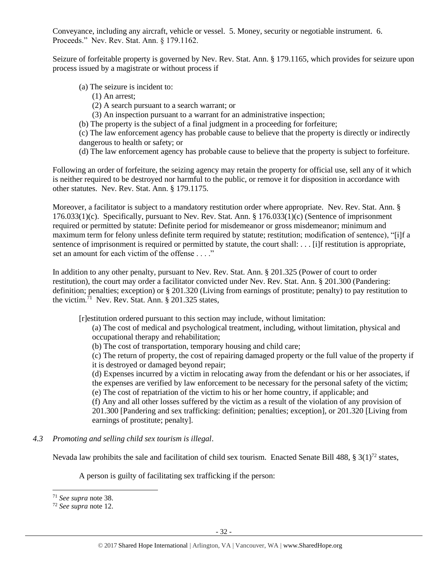Conveyance, including any aircraft, vehicle or vessel. 5. Money, security or negotiable instrument. 6. Proceeds." Nev. Rev. Stat. Ann. § 179.1162.

Seizure of forfeitable property is governed by Nev. Rev. Stat. Ann. § 179.1165, which provides for seizure upon process issued by a magistrate or without process if

- (a) The seizure is incident to:
	- (1) An arrest;
	- (2) A search pursuant to a search warrant; or
	- (3) An inspection pursuant to a warrant for an administrative inspection;
- (b) The property is the subject of a final judgment in a proceeding for forfeiture;

(c) The law enforcement agency has probable cause to believe that the property is directly or indirectly dangerous to health or safety; or

(d) The law enforcement agency has probable cause to believe that the property is subject to forfeiture.

Following an order of forfeiture, the seizing agency may retain the property for official use, sell any of it which is neither required to be destroyed nor harmful to the public, or remove it for disposition in accordance with other statutes. Nev. Rev. Stat. Ann. § 179.1175.

Moreover, a facilitator is subject to a mandatory restitution order where appropriate. Nev. Rev. Stat. Ann. § 176.033(1)(c). Specifically, pursuant to Nev. Rev. Stat. Ann. § 176.033(1)(c) (Sentence of imprisonment required or permitted by statute: Definite period for misdemeanor or gross misdemeanor; minimum and maximum term for felony unless definite term required by statute; restitution; modification of sentence), "[i]f a sentence of imprisonment is required or permitted by statute, the court shall: . . . [i]f restitution is appropriate, set an amount for each victim of the offense . . . ."

In addition to any other penalty, pursuant to Nev. Rev. Stat. Ann. § 201.325 (Power of court to order restitution), the court may order a facilitator convicted under Nev. Rev. Stat. Ann. § 201.300 (Pandering: definition; penalties; exception) or § 201.320 (Living from earnings of prostitute; penalty) to pay restitution to the victim.<sup>71</sup> Nev. Rev. Stat. Ann. § 201.325 states,

[r]estitution ordered pursuant to this section may include, without limitation:

(a) The cost of medical and psychological treatment, including, without limitation, physical and occupational therapy and rehabilitation;

(b) The cost of transportation, temporary housing and child care;

(c) The return of property, the cost of repairing damaged property or the full value of the property if it is destroyed or damaged beyond repair;

(d) Expenses incurred by a victim in relocating away from the defendant or his or her associates, if the expenses are verified by law enforcement to be necessary for the personal safety of the victim;

(e) The cost of repatriation of the victim to his or her home country, if applicable; and

(f) Any and all other losses suffered by the victim as a result of the violation of any provision of 201.300 [Pandering and sex trafficking: definition; penalties; exception], or 201.320 [Living from earnings of prostitute; penalty].

*4.3 Promoting and selling child sex tourism is illegal*.

Nevada law prohibits the sale and facilitation of child sex tourism. Enacted Senate Bill 488, § 3(1)<sup>72</sup> states,

A person is guilty of facilitating sex trafficking if the person:

<sup>71</sup> *See supra* note [38.](#page-13-0)

<sup>72</sup> *See supra* note [12.](#page-4-0)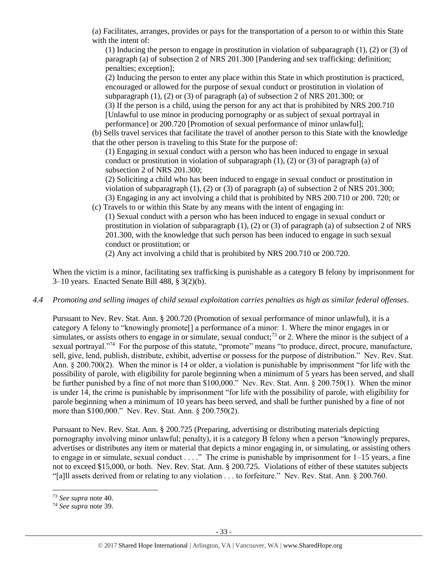(a) Facilitates, arranges, provides or pays for the transportation of a person to or within this State with the intent of:

(1) Inducing the person to engage in prostitution in violation of subparagraph (1), (2) or (3) of paragraph (a) of subsection 2 of NRS 201.300 [Pandering and sex trafficking: definition; penalties; exception];

(2) Inducing the person to enter any place within this State in which prostitution is practiced, encouraged or allowed for the purpose of sexual conduct or prostitution in violation of subparagraph (1), (2) or (3) of paragraph (a) of subsection 2 of NRS 201.300; or

(3) If the person is a child, using the person for any act that is prohibited by NRS 200.710 [Unlawful to use minor in producing pornography or as subject of sexual portrayal in performance] or 200.720 [Promotion of sexual performance of minor unlawful];

(b) Sells travel services that facilitate the travel of another person to this State with the knowledge that the other person is traveling to this State for the purpose of:

(1) Engaging in sexual conduct with a person who has been induced to engage in sexual conduct or prostitution in violation of subparagraph  $(1)$ ,  $(2)$  or  $(3)$  of paragraph  $(a)$  of subsection 2 of NRS 201.300;

(2) Soliciting a child who has been induced to engage in sexual conduct or prostitution in violation of subparagraph (1), (2) or (3) of paragraph (a) of subsection 2 of NRS 201.300; (3) Engaging in any act involving a child that is prohibited by NRS 200.710 or 200. 720; or

(c) Travels to or within this State by any means with the intent of engaging in:

(1) Sexual conduct with a person who has been induced to engage in sexual conduct or prostitution in violation of subparagraph  $(1)$ ,  $(2)$  or  $(3)$  of paragraph  $(a)$  of subsection 2 of NRS 201.300, with the knowledge that such person has been induced to engage in such sexual conduct or prostitution; or

(2) Any act involving a child that is prohibited by NRS 200.710 or 200.720.

When the victim is a minor, facilitating sex trafficking is punishable as a category B felony by imprisonment for 3–10 years. Enacted Senate Bill 488, § 3(2)(b).

*4.4 Promoting and selling images of child sexual exploitation carries penalties as high as similar federal offenses*.

Pursuant to Nev. Rev. Stat. Ann. § 200.720 (Promotion of sexual performance of minor unlawful), it is a category A felony to "knowingly promote[] a performance of a minor: 1. Where the minor engages in or simulates, or assists others to engage in or simulate, sexual conduct;<sup>73</sup> or 2. Where the minor is the subject of a sexual portrayal."<sup>74</sup> For the purpose of this statute, "promote" means "to produce, direct, procure, manufacture, sell, give, lend, publish, distribute, exhibit, advertise or possess for the purpose of distribution." Nev. Rev. Stat. Ann. § 200.700(2). When the minor is 14 or older, a violation is punishable by imprisonment "for life with the possibility of parole, with eligibility for parole beginning when a minimum of 5 years has been served, and shall be further punished by a fine of not more than \$100,000." Nev. Rev. Stat. Ann. § 200.750(1). When the minor is under 14, the crime is punishable by imprisonment "for life with the possibility of parole, with eligibility for parole beginning when a minimum of 10 years has been served, and shall be further punished by a fine of not more than \$100,000." Nev. Rev. Stat. Ann. § 200.750(2).

Pursuant to Nev. Rev. Stat. Ann. § 200.725 (Preparing, advertising or distributing materials depicting pornography involving minor unlawful; penalty), it is a category B felony when a person "knowingly prepares, advertises or distributes any item or material that depicts a minor engaging in, or simulating, or assisting others to engage in or simulate, sexual conduct  $\dots$ ." The crime is punishable by imprisonment for  $1-15$  years, a fine not to exceed \$15,000, or both. Nev. Rev. Stat. Ann. § 200.725. Violations of either of these statutes subjects "[a]ll assets derived from or relating to any violation . . . to forfeiture." Nev. Rev. Stat. Ann. § 200.760.

<sup>73</sup> *See supra* note [40.](#page-14-0)

<sup>74</sup> *See supra* note [39.](#page-14-1)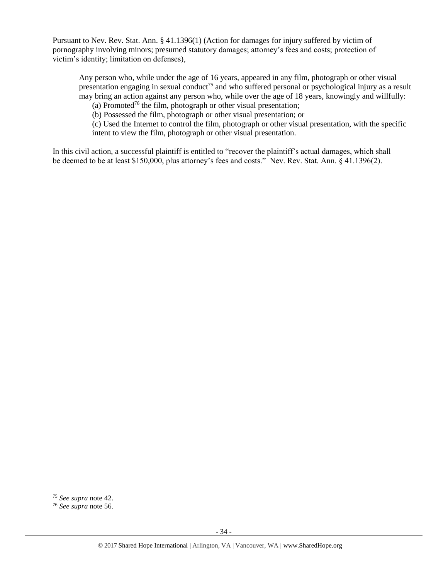Pursuant to Nev. Rev. Stat. Ann. § 41.1396(1) (Action for damages for injury suffered by victim of pornography involving minors; presumed statutory damages; attorney's fees and costs; protection of victim's identity; limitation on defenses),

Any person who, while under the age of 16 years, appeared in any film, photograph or other visual presentation engaging in sexual conduct<sup>75</sup> and who suffered personal or psychological injury as a result may bring an action against any person who, while over the age of 18 years, knowingly and willfully:

(a) Promoted<sup>76</sup> the film, photograph or other visual presentation;

(b) Possessed the film, photograph or other visual presentation; or

(c) Used the Internet to control the film, photograph or other visual presentation, with the specific intent to view the film, photograph or other visual presentation.

In this civil action, a successful plaintiff is entitled to "recover the plaintiff's actual damages, which shall be deemed to be at least \$150,000, plus attorney's fees and costs." Nev. Rev. Stat. Ann. § 41.1396(2).

<sup>75</sup> *See supra* note [42.](#page-15-0)

<sup>76</sup> *See supra* note [56.](#page-21-0)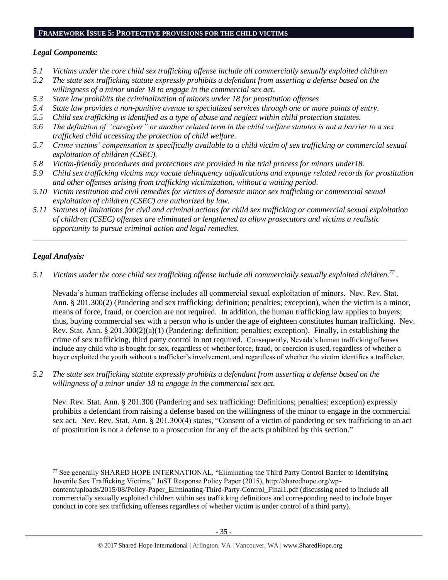#### **FRAMEWORK ISSUE 5: PROTECTIVE PROVISIONS FOR THE CHILD VICTIMS**

### *Legal Components:*

- *5.1 Victims under the core child sex trafficking offense include all commercially sexually exploited children*
- *5.2 The state sex trafficking statute expressly prohibits a defendant from asserting a defense based on the willingness of a minor under 18 to engage in the commercial sex act.*
- *5.3 State law prohibits the criminalization of minors under 18 for prostitution offenses*
- *5.4 State law provides a non-punitive avenue to specialized services through one or more points of entry.*
- *5.5 Child sex trafficking is identified as a type of abuse and neglect within child protection statutes.*
- *5.6 The definition of "caregiver" or another related term in the child welfare statutes is not a barrier to a sex trafficked child accessing the protection of child welfare.*
- *5.7 Crime victims' compensation is specifically available to a child victim of sex trafficking or commercial sexual exploitation of children (CSEC).*
- *5.8 Victim-friendly procedures and protections are provided in the trial process for minors under18.*
- *5.9 Child sex trafficking victims may vacate delinquency adjudications and expunge related records for prostitution and other offenses arising from trafficking victimization, without a waiting period.*
- *5.10 Victim restitution and civil remedies for victims of domestic minor sex trafficking or commercial sexual exploitation of children (CSEC) are authorized by law.*
- *5.11 Statutes of limitations for civil and criminal actions for child sex trafficking or commercial sexual exploitation of children (CSEC) offenses are eliminated or lengthened to allow prosecutors and victims a realistic opportunity to pursue criminal action and legal remedies.*

*\_\_\_\_\_\_\_\_\_\_\_\_\_\_\_\_\_\_\_\_\_\_\_\_\_\_\_\_\_\_\_\_\_\_\_\_\_\_\_\_\_\_\_\_\_\_\_\_\_\_\_\_\_\_\_\_\_\_\_\_\_\_\_\_\_\_\_\_\_\_\_\_\_\_\_\_\_\_\_\_\_\_\_\_\_\_\_\_\_\_\_\_\_*

## *Legal Analysis:*

 $\overline{a}$ 

*5.1 Victims under the core child sex trafficking offense include all commercially sexually exploited children. 77 .*

Nevada's human trafficking offense includes all commercial sexual exploitation of minors. Nev. Rev. Stat. Ann. § 201.300(2) (Pandering and sex trafficking: definition; penalties; exception), when the victim is a minor, means of force, fraud, or coercion are not required. In addition, the human trafficking law applies to buyers; thus, buying commercial sex with a person who is under the age of eighteen constitutes human trafficking. Nev. Rev. Stat. Ann. § 201.300(2)(a)(1) (Pandering: definition; penalties; exception). Finally, in establishing the crime of sex trafficking, third party control in not required. Consequently, Nevada's human trafficking offenses include any child who is bought for sex, regardless of whether force, fraud, or coercion is used, regardless of whether a buyer exploited the youth without a trafficker's involvement, and regardless of whether the victim identifies a trafficker.

*5.2 The state sex trafficking statute expressly prohibits a defendant from asserting a defense based on the willingness of a minor under 18 to engage in the commercial sex act.*

Nev. Rev. Stat. Ann. § 201.300 (Pandering and sex trafficking: Definitions; penalties; exception) expressly prohibits a defendant from raising a defense based on the willingness of the minor to engage in the commercial sex act. Nev. Rev. Stat. Ann. § 201.300(4) states, "Consent of a victim of pandering or sex trafficking to an act of prostitution is not a defense to a prosecution for any of the acts prohibited by this section."

<sup>77</sup> See generally SHARED HOPE INTERNATIONAL, "Eliminating the Third Party Control Barrier to Identifying Juvenile Sex Trafficking Victims," JuST Response Policy Paper (2015), http://sharedhope.org/wpcontent/uploads/2015/08/Policy-Paper\_Eliminating-Third-Party-Control\_Final1.pdf (discussing need to include all commercially sexually exploited children within sex trafficking definitions and corresponding need to include buyer conduct in core sex trafficking offenses regardless of whether victim is under control of a third party).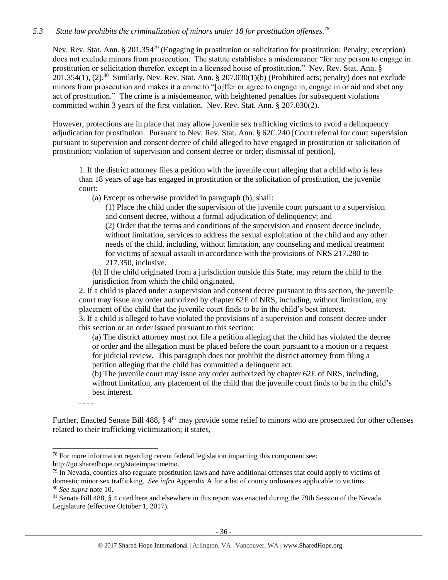## *5.3 State law prohibits the criminalization of minors under 18 for prostitution offenses. 78*

Nev. Rev. Stat. Ann. § 201.354<sup>79</sup> (Engaging in prostitution or solicitation for prostitution: Penalty; exception) does not exclude minors from prosecution. The statute establishes a misdemeanor "for any person to engage in prostitution or solicitation therefor, except in a licensed house of prostitution." Nev. Rev. Stat. Ann. §  $201.354(1)$ ,  $(2).^{80}$  Similarly, Nev. Rev. Stat. Ann. §  $207.030(1)(b)$  (Prohibited acts; penalty) does not exclude minors from prosecution and makes it a crime to "[o]ffer or agree to engage in, engage in or aid and abet any act of prostitution." The crime is a misdemeanor, with heightened penalties for subsequent violations committed within 3 years of the first violation. Nev. Rev. Stat. Ann. § 207.030(2).

However, protections are in place that may allow juvenile sex trafficking victims to avoid a delinquency adjudication for prostitution. Pursuant to Nev. Rev. Stat. Ann. § 62C.240 [Court referral for court supervision pursuant to supervision and consent decree of child alleged to have engaged in prostitution or solicitation of prostitution; violation of supervision and consent decree or order; dismissal of petition],

1. If the district attorney files a petition with the juvenile court alleging that a child who is less than 18 years of age has engaged in prostitution or the solicitation of prostitution, the juvenile court:

(a) Except as otherwise provided in paragraph (b), shall:

(1) Place the child under the supervision of the juvenile court pursuant to a supervision and consent decree, without a formal adjudication of delinquency; and (2) Order that the terms and conditions of the supervision and consent decree include, without limitation, services to address the sexual exploitation of the child and any other needs of the child, including, without limitation, any counseling and medical treatment for victims of sexual assault in accordance with the provisions of NRS 217.280 to

- 217.350, inclusive.
- (b) If the child originated from a jurisdiction outside this State, may return the child to the jurisdiction from which the child originated.

2. If a child is placed under a supervision and consent decree pursuant to this section, the juvenile court may issue any order authorized by chapter 62E of NRS, including, without limitation, any placement of the child that the juvenile court finds to be in the child's best interest.

3. If a child is alleged to have violated the provisions of a supervision and consent decree under this section or an order issued pursuant to this section:

(a) The district attorney must not file a petition alleging that the child has violated the decree or order and the allegation must be placed before the court pursuant to a motion or a request for judicial review. This paragraph does not prohibit the district attorney from filing a petition alleging that the child has committed a delinquent act.

(b) The juvenile court may issue any order authorized by chapter 62E of NRS, including, without limitation, any placement of the child that the juvenile court finds to be in the child's best interest.

. . . .

 $\overline{a}$ 

Further, Enacted Senate Bill 488, § 4<sup>81</sup> may provide some relief to minors who are prosecuted for other offenses related to their trafficking victimization; it states,

 $78$  For more information regarding recent federal legislation impacting this component see: http://go.sharedhope.org/stateimpactmemo.

 $79$  In Nevada, counties also regulate prostitution laws and have additional offenses that could apply to victims of domestic minor sex trafficking. *See infra* Appendix A for a list of county ordinances applicable to victims. <sup>80</sup> *See supra* note [10.](#page-2-1)

<sup>81</sup> Senate Bill 488, § 4 cited here and elsewhere in this report was enacted during the 79th Session of the Nevada Legislature (effective October 1, 2017).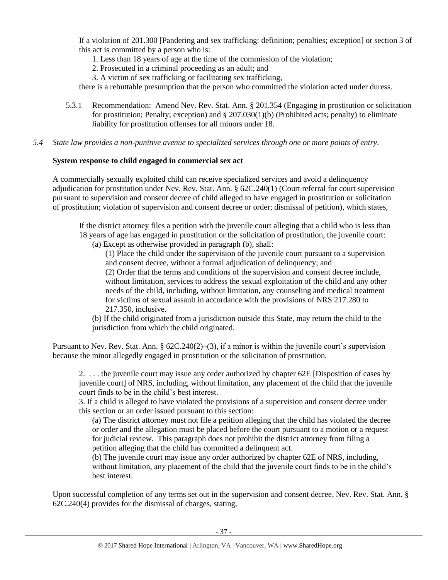If a violation of 201.300 [Pandering and sex trafficking: definition; penalties; exception] or section 3 of this act is committed by a person who is:

- 1. Less than 18 years of age at the time of the commission of the violation;
- 2. Prosecuted in a criminal proceeding as an adult; and
- 3. A victim of sex trafficking or facilitating sex trafficking,

there is a rebuttable presumption that the person who committed the violation acted under duress.

- 5.3.1 Recommendation: Amend Nev. Rev. Stat. Ann. § 201.354 (Engaging in prostitution or solicitation for prostitution; Penalty; exception) and  $\S 207.030(1)(b)$  (Prohibited acts; penalty) to eliminate liability for prostitution offenses for all minors under 18.
- *5.4 State law provides a non-punitive avenue to specialized services through one or more points of entry.*

## **System response to child engaged in commercial sex act**

A commercially sexually exploited child can receive specialized services and avoid a delinquency adjudication for prostitution under Nev. Rev. Stat. Ann. § 62C.240(1) (Court referral for court supervision pursuant to supervision and consent decree of child alleged to have engaged in prostitution or solicitation of prostitution; violation of supervision and consent decree or order; dismissal of petition), which states,

If the district attorney files a petition with the juvenile court alleging that a child who is less than 18 years of age has engaged in prostitution or the solicitation of prostitution, the juvenile court:

(a) Except as otherwise provided in paragraph (b), shall:

(1) Place the child under the supervision of the juvenile court pursuant to a supervision and consent decree, without a formal adjudication of delinquency; and

(2) Order that the terms and conditions of the supervision and consent decree include, without limitation, services to address the sexual exploitation of the child and any other needs of the child, including, without limitation, any counseling and medical treatment for victims of sexual assault in accordance with the provisions of NRS 217.280 to 217.350, inclusive.

(b) If the child originated from a jurisdiction outside this State, may return the child to the jurisdiction from which the child originated.

Pursuant to Nev. Rev. Stat. Ann. § 62C.240(2)–(3), if a minor is within the juvenile court's supervision because the minor allegedly engaged in prostitution or the solicitation of prostitution,

2. . . . the juvenile court may issue any order authorized by chapter 62E [Disposition of cases by juvenile court] of NRS, including, without limitation, any placement of the child that the juvenile court finds to be in the child's best interest.

3. If a child is alleged to have violated the provisions of a supervision and consent decree under this section or an order issued pursuant to this section:

(a) The district attorney must not file a petition alleging that the child has violated the decree or order and the allegation must be placed before the court pursuant to a motion or a request for judicial review. This paragraph does not prohibit the district attorney from filing a petition alleging that the child has committed a delinquent act.

(b) The juvenile court may issue any order authorized by chapter 62E of NRS, including, without limitation, any placement of the child that the juvenile court finds to be in the child's best interest.

Upon successful completion of any terms set out in the supervision and consent decree, Nev. Rev. Stat. Ann. § 62C.240(4) provides for the dismissal of charges, stating,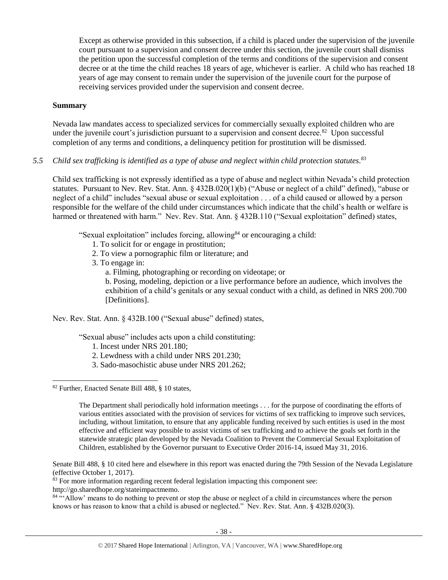Except as otherwise provided in this subsection, if a child is placed under the supervision of the juvenile court pursuant to a supervision and consent decree under this section, the juvenile court shall dismiss the petition upon the successful completion of the terms and conditions of the supervision and consent decree or at the time the child reaches 18 years of age, whichever is earlier. A child who has reached 18 years of age may consent to remain under the supervision of the juvenile court for the purpose of receiving services provided under the supervision and consent decree.

#### **Summary**

Nevada law mandates access to specialized services for commercially sexually exploited children who are under the juvenile court's jurisdiction pursuant to a supervision and consent decree. $82$  Upon successful completion of any terms and conditions, a delinquency petition for prostitution will be dismissed.

## *5.5 Child sex trafficking is identified as a type of abuse and neglect within child protection statutes. 83*

Child sex trafficking is not expressly identified as a type of abuse and neglect within Nevada's child protection statutes. Pursuant to Nev. Rev. Stat. Ann. § 432B.020(1)(b) ("Abuse or neglect of a child" defined), "abuse or neglect of a child" includes "sexual abuse or sexual exploitation . . . of a child caused or allowed by a person responsible for the welfare of the child under circumstances which indicate that the child's health or welfare is harmed or threatened with harm." Nev. Rev. Stat. Ann. § 432B.110 ("Sexual exploitation" defined) states,

"Sexual exploitation" includes forcing, allowing<sup>84</sup> or encouraging a child:

- 1. To solicit for or engage in prostitution;
- 2. To view a pornographic film or literature; and
- 3. To engage in:
	- a. Filming, photographing or recording on videotape; or

b. Posing, modeling, depiction or a live performance before an audience, which involves the exhibition of a child's genitals or any sexual conduct with a child, as defined in NRS 200.700 [Definitions].

Nev. Rev. Stat. Ann. § 432B.100 ("Sexual abuse" defined) states,

"Sexual abuse" includes acts upon a child constituting:

- 1. Incest under [NRS 201.180;](https://www.lexis.com/research/buttonTFLink?_m=fe0e253fef8054e6df958287d1c2023f&_xfercite=%3ccite%20cc%3d%22USA%22%3e%3c%21%5bCDATA%5bNev.%20Rev.%20Stat.%20Ann.%20%a7%20432B.100%5d%5d%3e%3c%2fcite%3e&_butType=4&_butStat=0&_butNum=7&_butInline=1&_butinfo=NVCODE%20201.180&_fmtstr=FULL&docnum=1&_startdoc=1&wchp=dGLbVzk-zSkAl&_md5=521de425ee50a2f38dc31926d7407ef4)
- 2. Lewdness with a child under [NRS 201.230;](https://www.lexis.com/research/buttonTFLink?_m=fe0e253fef8054e6df958287d1c2023f&_xfercite=%3ccite%20cc%3d%22USA%22%3e%3c%21%5bCDATA%5bNev.%20Rev.%20Stat.%20Ann.%20%a7%20432B.100%5d%5d%3e%3c%2fcite%3e&_butType=4&_butStat=0&_butNum=8&_butInline=1&_butinfo=NVCODE%20201.230&_fmtstr=FULL&docnum=1&_startdoc=1&wchp=dGLbVzk-zSkAl&_md5=b8e636b13f6ac9e4dfce2c0a4046c5db)
- 3. Sado-masochistic abuse under [NRS 201.262;](https://www.lexis.com/research/buttonTFLink?_m=fe0e253fef8054e6df958287d1c2023f&_xfercite=%3ccite%20cc%3d%22USA%22%3e%3c%21%5bCDATA%5bNev.%20Rev.%20Stat.%20Ann.%20%a7%20432B.100%5d%5d%3e%3c%2fcite%3e&_butType=4&_butStat=0&_butNum=9&_butInline=1&_butinfo=NVCODE%20201.262&_fmtstr=FULL&docnum=1&_startdoc=1&wchp=dGLbVzk-zSkAl&_md5=9bae698f6a96442b570787a5a23920e1)

 $\overline{a}$ 

Senate Bill 488, § 10 cited here and elsewhere in this report was enacted during the 79th Session of the Nevada Legislature (effective October 1, 2017).

<sup>83</sup> For more information regarding recent federal legislation impacting this component see:

http://go.sharedhope.org/stateimpactmemo.

<sup>84</sup> "'Allow' means to do nothing to prevent or stop the abuse or neglect of a child in circumstances where the person knows or has reason to know that a child is abused or neglected." Nev. Rev. Stat. Ann. § 432B.020(3).

<sup>82</sup> Further, Enacted Senate Bill 488, § 10 states,

The Department shall periodically hold information meetings . . . for the purpose of coordinating the efforts of various entities associated with the provision of services for victims of sex trafficking to improve such services, including, without limitation, to ensure that any applicable funding received by such entities is used in the most effective and efficient way possible to assist victims of sex trafficking and to achieve the goals set forth in the statewide strategic plan developed by the Nevada Coalition to Prevent the Commercial Sexual Exploitation of Children, established by the Governor pursuant to Executive Order 2016-14, issued May 31, 2016.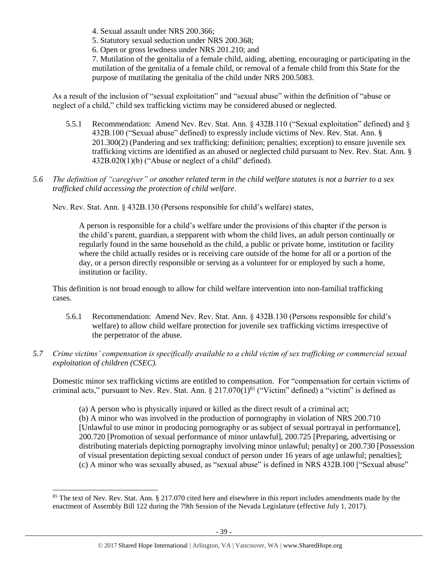- 4. Sexual assault under [NRS 200.366;](https://www.lexis.com/research/buttonTFLink?_m=fe0e253fef8054e6df958287d1c2023f&_xfercite=%3ccite%20cc%3d%22USA%22%3e%3c%21%5bCDATA%5bNev.%20Rev.%20Stat.%20Ann.%20%a7%20432B.100%5d%5d%3e%3c%2fcite%3e&_butType=4&_butStat=0&_butNum=10&_butInline=1&_butinfo=NVCODE%20200.366&_fmtstr=FULL&docnum=1&_startdoc=1&wchp=dGLbVzk-zSkAl&_md5=87e677fd2e973e9d2743de8b37355866)
- 5. Statutory sexual seduction under [NRS 200.368;](https://www.lexis.com/research/buttonTFLink?_m=fe0e253fef8054e6df958287d1c2023f&_xfercite=%3ccite%20cc%3d%22USA%22%3e%3c%21%5bCDATA%5bNev.%20Rev.%20Stat.%20Ann.%20%a7%20432B.100%5d%5d%3e%3c%2fcite%3e&_butType=4&_butStat=0&_butNum=11&_butInline=1&_butinfo=NVCODE%20200.368&_fmtstr=FULL&docnum=1&_startdoc=1&wchp=dGLbVzk-zSkAl&_md5=166fc503e7368f40e596cfbe8906bbd9)
- 6. Open or gross lewdness under [NRS 201.210;](https://www.lexis.com/research/buttonTFLink?_m=fe0e253fef8054e6df958287d1c2023f&_xfercite=%3ccite%20cc%3d%22USA%22%3e%3c%21%5bCDATA%5bNev.%20Rev.%20Stat.%20Ann.%20%a7%20432B.100%5d%5d%3e%3c%2fcite%3e&_butType=4&_butStat=0&_butNum=12&_butInline=1&_butinfo=NVCODE%20201.210&_fmtstr=FULL&docnum=1&_startdoc=1&wchp=dGLbVzk-zSkAl&_md5=f731e1cbdaa2feb2d0bfeba63eb0368b) and

7. Mutilation of the genitalia of a female child, aiding, abetting, encouraging or participating in the mutilation of the genitalia of a female child, or removal of a female child from this State for the purpose of mutilating the genitalia of the child under [NRS 200.5083.](https://www.lexis.com/research/buttonTFLink?_m=fe0e253fef8054e6df958287d1c2023f&_xfercite=%3ccite%20cc%3d%22USA%22%3e%3c%21%5bCDATA%5bNev.%20Rev.%20Stat.%20Ann.%20%a7%20432B.100%5d%5d%3e%3c%2fcite%3e&_butType=4&_butStat=0&_butNum=13&_butInline=1&_butinfo=NVCODE%20200.5083&_fmtstr=FULL&docnum=1&_startdoc=1&wchp=dGLbVzk-zSkAl&_md5=04f6301ef5e56530c30064465c75f84d)

As a result of the inclusion of "sexual exploitation" and "sexual abuse" within the definition of "abuse or neglect of a child," child sex trafficking victims may be considered abused or neglected.

- 5.5.1 Recommendation: Amend Nev. Rev. Stat. Ann. § 432B.110 ("Sexual exploitation" defined) and § 432B.100 ("Sexual abuse" defined) to expressly include victims of Nev. Rev. Stat. Ann. § 201.300(2) (Pandering and sex trafficking: definition; penalties; exception) to ensure juvenile sex trafficking victims are identified as an abused or neglected child pursuant to Nev. Rev. Stat. Ann. § 432B.020(1)(b) ("Abuse or neglect of a child" defined).
- *5.6 The definition of "caregiver" or another related term in the child welfare statutes is not a barrier to a sex trafficked child accessing the protection of child welfare*.

Nev. Rev. Stat. Ann. § 432B.130 (Persons responsible for child's welfare) states,

A person is responsible for a child's welfare under the provisions of this chapter if the person is the child's parent, guardian, a stepparent with whom the child lives, an adult person continually or regularly found in the same household as the child, a public or private home, institution or facility where the child actually resides or is receiving care outside of the home for all or a portion of the day, or a person directly responsible or serving as a volunteer for or employed by such a home, institution or facility.

This definition is not broad enough to allow for child welfare intervention into non-familial trafficking cases.

- 5.6.1 Recommendation: Amend Nev. Rev. Stat. Ann. § 432B.130 (Persons responsible for child's welfare) to allow child welfare protection for juvenile sex trafficking victims irrespective of the perpetrator of the abuse.
- *5.7 Crime victims' compensation is specifically available to a child victim of sex trafficking or commercial sexual exploitation of children (CSEC).*

Domestic minor sex trafficking victims are entitled to compensation. For "compensation for certain victims of criminal acts," pursuant to Nev. Rev. Stat. Ann.  $\S 217.070(1)^{85}$  ("Victim" defined) a "victim" is defined as

(a) A person who is physically injured or killed as the direct result of a criminal act; (b) A minor who was involved in the production of pornography in violation of [NRS 200.710](https://www.lexis.com/research/buttonTFLink?_m=f5902906e94dddf97b4cb3a70ffa9d86&_xfercite=%3ccite%20cc%3d%22USA%22%3e%3c%21%5bCDATA%5bNev.%20Rev.%20Stat.%20Ann.%20%a7%20217.070%5d%5d%3e%3c%2fcite%3e&_butType=4&_butStat=0&_butNum=2&_butInline=1&_butinfo=NVCODE%20200.710&_fmtstr=FULL&docnum=1&_startdoc=1&wchp=dGLbVzz-zSkAz&_md5=047fa86c7eef0d1ca5baed8357cd932c) [Unlawful to use minor in producing pornography or as subject of sexual portrayal in performance], 200.720 [Promotion of sexual performance of minor unlawful], 200.725 [Preparing, advertising or distributing materials depicting pornography involving minor unlawful; penalty] or 200.730 [Possession of visual presentation depicting sexual conduct of person under 16 years of age unlawful; penalties]; (c) A minor who was sexually abused, as "sexual abuse" is defined in NRS 432B.100 ["Sexual abuse"

<sup>&</sup>lt;sup>85</sup> The text of Nev. Rev. Stat. Ann. § 217.070 cited here and elsewhere in this report includes amendments made by the enactment of Assembly Bill 122 during the 79th Session of the Nevada Legislature (effective July 1, 2017).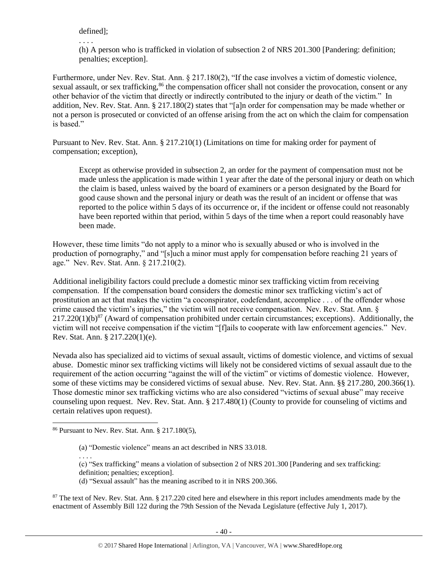defined];

. . . .

(h) A person who is trafficked in violation of subsection 2 of NRS 201.300 [Pandering: definition; penalties; exception].

Furthermore, under Nev. Rev. Stat. Ann. § 217.180(2), "If the case involves a victim of domestic violence, sexual assault, or sex trafficking,<sup>86</sup> the compensation officer shall not consider the provocation, consent or any other behavior of the victim that directly or indirectly contributed to the injury or death of the victim." In addition, Nev. Rev. Stat. Ann. § 217.180(2) states that "[a]n order for compensation may be made whether or not a person is prosecuted or convicted of an offense arising from the act on which the claim for compensation is based."

Pursuant to Nev. Rev. Stat. Ann. § 217.210(1) (Limitations on time for making order for payment of compensation; exception),

Except as otherwise provided in subsection 2, an order for the payment of compensation must not be made unless the application is made within 1 year after the date of the personal injury or death on which the claim is based, unless waived by the board of examiners or a person designated by the Board for good cause shown and the personal injury or death was the result of an incident or offense that was reported to the police within 5 days of its occurrence or, if the incident or offense could not reasonably have been reported within that period, within 5 days of the time when a report could reasonably have been made.

However, these time limits "do not apply to a minor who is sexually abused or who is involved in the production of pornography," and "[s]uch a minor must apply for compensation before reaching 21 years of age." Nev. Rev. Stat. Ann. § 217.210(2).

Additional ineligibility factors could preclude a domestic minor sex trafficking victim from receiving compensation. If the compensation board considers the domestic minor sex trafficking victim's act of prostitution an act that makes the victim "a coconspirator, codefendant, accomplice . . . of the offender whose crime caused the victim's injuries," the victim will not receive compensation. Nev. Rev. Stat. Ann. § 217.220(1)(b)<sup>87</sup> (Award of compensation prohibited under certain circumstances; exceptions). Additionally, the victim will not receive compensation if the victim "[f]ails to cooperate with law enforcement agencies." Nev. Rev. Stat. Ann. § 217.220(1)(e).

Nevada also has specialized aid to victims of sexual assault, victims of domestic violence, and victims of sexual abuse. Domestic minor sex trafficking victims will likely not be considered victims of sexual assault due to the requirement of the action occurring "against the will of the victim" or victims of domestic violence. However, some of these victims may be considered victims of sexual abuse. Nev. Rev. Stat. Ann. §§ 217.280, 200.366(1). Those domestic minor sex trafficking victims who are also considered "victims of sexual abuse" may receive counseling upon request. Nev. Rev. Stat. Ann. § 217.480(1) (County to provide for counseling of victims and certain relatives upon request).

l

<sup>87</sup> The text of Nev. Rev. Stat. Ann. § 217.220 cited here and elsewhere in this report includes amendments made by the enactment of Assembly Bill 122 during the 79th Session of the Nevada Legislature (effective July 1, 2017).

<sup>86</sup> Pursuant to Nev. Rev. Stat. Ann. § 217.180(5),

<sup>(</sup>a) "Domestic violence" means an act described in NRS 33.018.

<sup>. . . .</sup>

<sup>(</sup>c) "Sex trafficking" means a violation of subsection 2 of NRS 201.300 [Pandering and sex trafficking: definition; penalties; exception].

<sup>(</sup>d) "Sexual assault" has the meaning ascribed to it in NRS 200.366.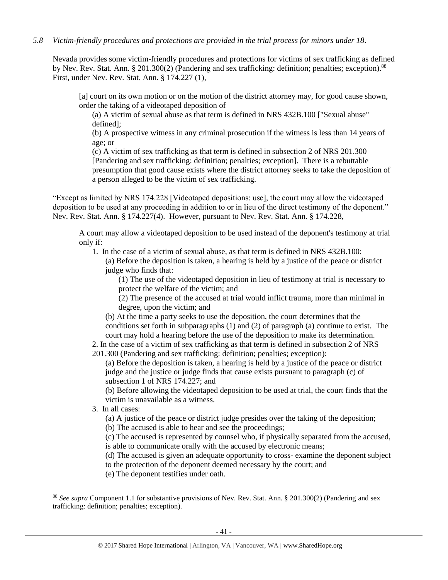## *5.8 Victim-friendly procedures and protections are provided in the trial process for minors under 18.*

Nevada provides some victim-friendly procedures and protections for victims of sex trafficking as defined by Nev. Rev. Stat. Ann. § 201.300(2) (Pandering and sex trafficking: definition; penalties; exception).<sup>88</sup> First, under Nev. Rev. Stat. Ann. § 174.227 (1),

[a] court on its own motion or on the motion of the district attorney may, for good cause shown, order the taking of a videotaped deposition of

(a) A victim of sexual abuse as that term is defined in NRS 432B.100 ["Sexual abuse" defined];

(b) A prospective witness in any criminal prosecution if the witness is less than 14 years of age; or

(c) A victim of sex trafficking as that term is defined in subsection 2 of NRS 201.300 [Pandering and sex trafficking: definition; penalties; exception]. There is a rebuttable presumption that good cause exists where the district attorney seeks to take the deposition of a person alleged to be the victim of sex trafficking.

"Except as limited by NRS 174.228 [Videotaped depositions: use], the court may allow the videotaped deposition to be used at any proceeding in addition to or in lieu of the direct testimony of the deponent." Nev. Rev. Stat. Ann. § 174.227(4). However, pursuant to Nev. Rev. Stat. Ann. § 174.228,

A court may allow a videotaped deposition to be used instead of the deponent's testimony at trial only if:

1. In the case of a victim of sexual abuse, as that term is defined in NRS 432B.100:

(a) Before the deposition is taken, a hearing is held by a justice of the peace or district judge who finds that:

(1) The use of the videotaped deposition in lieu of testimony at trial is necessary to protect the welfare of the victim; and

(2) The presence of the accused at trial would inflict trauma, more than minimal in degree, upon the victim; and

(b) At the time a party seeks to use the deposition, the court determines that the conditions set forth in subparagraphs (1) and (2) of paragraph (a) continue to exist. The court may hold a hearing before the use of the deposition to make its determination.

2. In the case of a victim of sex trafficking as that term is defined in subsection 2 of NRS 201.300 (Pandering and sex trafficking: definition; penalties; exception):

(a) Before the deposition is taken, a hearing is held by a justice of the peace or district judge and the justice or judge finds that cause exists pursuant to paragraph (c) of subsection 1 of NRS 174.227; and

(b) Before allowing the videotaped deposition to be used at trial, the court finds that the victim is unavailable as a witness.

3. In all cases:

 $\overline{a}$ 

(a) A justice of the peace or district judge presides over the taking of the deposition;

(b) The accused is able to hear and see the proceedings;

(c) The accused is represented by counsel who, if physically separated from the accused, is able to communicate orally with the accused by electronic means;

(d) The accused is given an adequate opportunity to cross- examine the deponent subject to the protection of the deponent deemed necessary by the court; and

(e) The deponent testifies under oath.

<sup>88</sup> *See supra* Component 1.1 for substantive provisions of Nev. Rev. Stat. Ann. § 201.300(2) (Pandering and sex trafficking: definition; penalties; exception).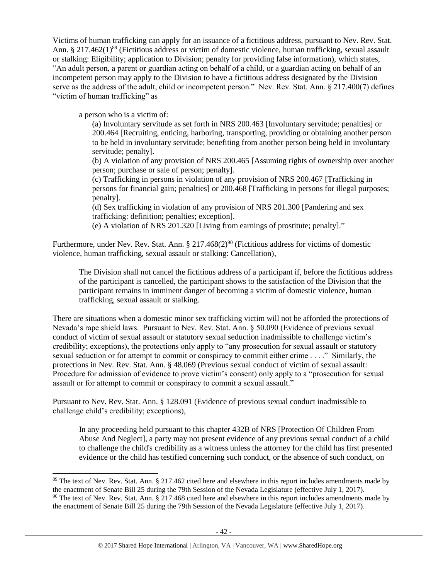Victims of human trafficking can apply for an issuance of a fictitious address, pursuant to Nev. Rev. Stat. Ann. § 217.462(1)<sup>89</sup> (Fictitious address or victim of domestic violence, human trafficking, sexual assault or stalking: Eligibility; application to Division; penalty for providing false information), which states, "An adult person, a parent or guardian acting on behalf of a child, or a guardian acting on behalf of an incompetent person may apply to the Division to have a fictitious address designated by the Division serve as the address of the adult, child or incompetent person." Nev. Rev. Stat. Ann. § 217.400(7) defines "victim of human trafficking" as

a person who is a victim of:

 $\overline{a}$ 

(a) Involuntary servitude as set forth in NRS 200.463 [Involuntary servitude; penalties] or 200.464 [Recruiting, enticing, harboring, transporting, providing or obtaining another person to be held in involuntary servitude; benefiting from another person being held in involuntary servitude; penalty].

(b) A violation of any provision of NRS 200.465 [Assuming rights of ownership over another person; purchase or sale of person; penalty].

(c) Trafficking in persons in violation of any provision of NRS 200.467 [Trafficking in persons for financial gain; penalties] or 200.468 [Trafficking in persons for illegal purposes; penalty].

(d) Sex trafficking in violation of any provision of NRS 201.300 [Pandering and sex trafficking: definition; penalties; exception].

(e) A violation of NRS 201.320 [Living from earnings of prostitute; penalty]."

Furthermore, under Nev. Rev. Stat. Ann. § 217.468(2)<sup>90</sup> (Fictitious address for victims of domestic violence, human trafficking, sexual assault or stalking: Cancellation),

The Division shall not cancel the fictitious address of a participant if, before the fictitious address of the participant is cancelled, the participant shows to the satisfaction of the Division that the participant remains in imminent danger of becoming a victim of domestic violence, human trafficking, sexual assault or stalking.

There are situations when a domestic minor sex trafficking victim will not be afforded the protections of Nevada's rape shield laws. Pursuant to Nev. Rev. Stat. Ann. § 50.090 (Evidence of previous sexual conduct of victim of sexual assault or statutory sexual seduction inadmissible to challenge victim's credibility; exceptions), the protections only apply to "any prosecution for sexual assault or statutory sexual seduction or for attempt to commit or conspiracy to commit either crime . . . ." Similarly, the protections in Nev. Rev. Stat. Ann. § 48.069 (Previous sexual conduct of victim of sexual assault: Procedure for admission of evidence to prove victim's consent) only apply to a "prosecution for sexual assault or for attempt to commit or conspiracy to commit a sexual assault."

Pursuant to Nev. Rev. Stat. Ann. § 128.091 (Evidence of previous sexual conduct inadmissible to challenge child's credibility; exceptions),

In any proceeding held pursuant to this chapter 432B of NRS [Protection Of Children From Abuse And Neglect], a party may not present evidence of any previous sexual conduct of a child to challenge the child's credibility as a witness unless the attorney for the child has first presented evidence or the child has testified concerning such conduct, or the absence of such conduct, on

<sup>&</sup>lt;sup>89</sup> The text of Nev. Rev. Stat. Ann. § 217.462 cited here and elsewhere in this report includes amendments made by the enactment of Senate Bill 25 during the 79th Session of the Nevada Legislature (effective July 1, 2017).  $90$  The text of Nev. Rev. Stat. Ann. § 217.468 cited here and elsewhere in this report includes amendments made by the enactment of Senate Bill 25 during the 79th Session of the Nevada Legislature (effective July 1, 2017).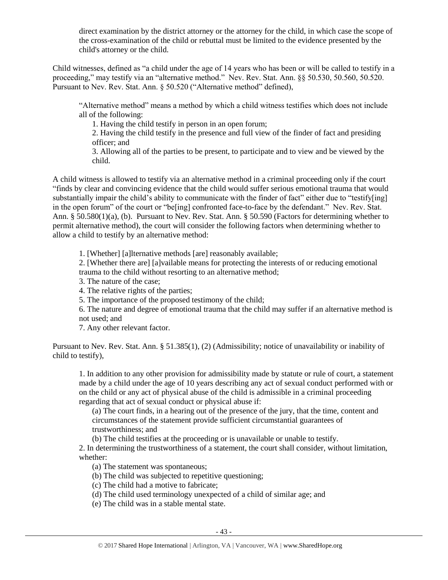direct examination by the district attorney or the attorney for the child, in which case the scope of the cross-examination of the child or rebuttal must be limited to the evidence presented by the child's attorney or the child.

Child witnesses, defined as "a child under the age of 14 years who has been or will be called to testify in a proceeding," may testify via an "alternative method." Nev. Rev. Stat. Ann. §§ 50.530, 50.560, 50.520. Pursuant to Nev. Rev. Stat. Ann. § 50.520 ("Alternative method" defined),

"Alternative method" means a method by which a child witness testifies which does not include all of the following:

1. Having the child testify in person in an open forum;

2. Having the child testify in the presence and full view of the finder of fact and presiding officer; and

3. Allowing all of the parties to be present, to participate and to view and be viewed by the child.

A child witness is allowed to testify via an alternative method in a criminal proceeding only if the court "finds by clear and convincing evidence that the child would suffer serious emotional trauma that would substantially impair the child's ability to communicate with the finder of fact" either due to "testify[ing] in the open forum" of the court or "be[ing] confronted face-to-face by the defendant." Nev. Rev. Stat. Ann. § 50.580(1)(a), (b). Pursuant to Nev. Rev. Stat. Ann. § 50.590 (Factors for determining whether to permit alternative method), the court will consider the following factors when determining whether to allow a child to testify by an alternative method:

1. [Whether] [a]lternative methods [are] reasonably available;

2. [Whether there are] [a]vailable means for protecting the interests of or reducing emotional trauma to the child without resorting to an alternative method;

3. The nature of the case;

4. The relative rights of the parties;

5. The importance of the proposed testimony of the child;

6. The nature and degree of emotional trauma that the child may suffer if an alternative method is not used; and

7. Any other relevant factor.

Pursuant to Nev. Rev. Stat. Ann. § 51.385(1), (2) (Admissibility; notice of unavailability or inability of child to testify),

1. In addition to any other provision for admissibility made by statute or rule of court, a statement made by a child under the age of 10 years describing any act of sexual conduct performed with or on the child or any act of physical abuse of the child is admissible in a criminal proceeding regarding that act of sexual conduct or physical abuse if:

(a) The court finds, in a hearing out of the presence of the jury, that the time, content and circumstances of the statement provide sufficient circumstantial guarantees of trustworthiness; and

(b) The child testifies at the proceeding or is unavailable or unable to testify.

2. In determining the trustworthiness of a statement, the court shall consider, without limitation, whether:

(a) The statement was spontaneous;

(b) The child was subjected to repetitive questioning;

(c) The child had a motive to fabricate;

(d) The child used terminology unexpected of a child of similar age; and

(e) The child was in a stable mental state.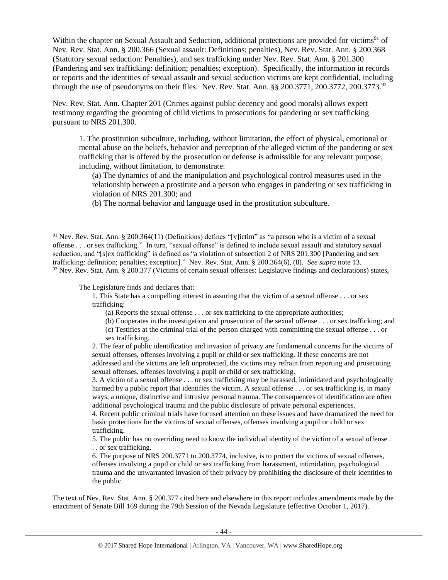Within the chapter on Sexual Assault and Seduction, additional protections are provided for victims<sup>91</sup> of Nev. Rev. Stat. Ann. § 200.366 (Sexual assault: Definitions; penalties), Nev. Rev. Stat. Ann. § 200.368 (Statutory sexual seduction: Penalties), and sex trafficking under Nev. Rev. Stat. Ann. § 201.300 (Pandering and sex trafficking: definition; penalties; exception). Specifically, the information in records or reports and the identities of sexual assault and sexual seduction victims are kept confidential, including through the use of pseudonyms on their files. Nev. Rev. Stat. Ann.  $\S$ § 200.3771, 200.3772, 200.3773.<sup>92</sup>

Nev. Rev. Stat. Ann. Chapter 201 (Crimes against public decency and good morals) allows expert testimony regarding the grooming of child victims in prosecutions for pandering or sex trafficking pursuant to NRS 201.300.

1. The prostitution subculture, including, without limitation, the effect of physical, emotional or mental abuse on the beliefs, behavior and perception of the alleged victim of the pandering or sex trafficking that is offered by the prosecution or defense is admissible for any relevant purpose, including, without limitation, to demonstrate:

(a) The dynamics of and the manipulation and psychological control measures used in the relationship between a prostitute and a person who engages in pandering or sex trafficking in violation of NRS 201.300; and

(b) The normal behavior and language used in the prostitution subculture.

The Legislature finds and declares that:

 $\overline{a}$ 

sex trafficking.

5. The public has no overriding need to know the individual identity of the victim of a sexual offense . . . or sex trafficking.

6. The purpose of NRS 200.3771 to 200.3774, inclusive, is to protect the victims of sexual offenses, offenses involving a pupil or child or sex trafficking from harassment, intimidation, psychological trauma and the unwarranted invasion of their privacy by prohibiting the disclosure of their identities to the public.

The text of Nev. Rev. Stat. Ann. § 200.377 cited here and elsewhere in this report includes amendments made by the enactment of Senate Bill 169 during the 79th Session of the Nevada Legislature (effective October 1, 2017).

<sup>&</sup>lt;sup>91</sup> Nev. Rev. Stat. Ann. § 200.364(11) (Definitions) defines "[v]ictim" as "a person who is a victim of a sexual offense . . . or sex trafficking." In turn, "sexual offense" is defined to include sexual assault and statutory sexual seduction, and "[s]ex trafficking" is defined as "a violation of subsection 2 of NRS 201.300 [Pandering and sex trafficking: definition; penalties; exception]." Nev. Rev. Stat. Ann. § 200.364(6), (8). *See supra* not[e 13.](#page-5-0)  $92$  Nev. Rev. Stat. Ann. § 200.377 (Victims of certain sexual offenses: Legislative findings and declarations) states,

<sup>1.</sup> This State has a compelling interest in assuring that the victim of a sexual offense . . . or sex trafficking:

<sup>(</sup>a) Reports the sexual offense . . . or sex trafficking to the appropriate authorities;

<sup>(</sup>b) Cooperates in the investigation and prosecution of the sexual offense . . . or sex trafficking; and (c) Testifies at the criminal trial of the person charged with committing the sexual offense . . . or

<sup>2.</sup> The fear of public identification and invasion of privacy are fundamental concerns for the victims of sexual offenses, offenses involving a pupil or child or sex trafficking. If these concerns are not addressed and the victims are left unprotected, the victims may refrain from reporting and prosecuting sexual offenses, offenses involving a pupil or child or sex trafficking.

<sup>3.</sup> A victim of a sexual offense . . . or sex trafficking may be harassed, intimidated and psychologically harmed by a public report that identifies the victim. A sexual offense . . . or sex trafficking is, in many ways, a unique, distinctive and intrusive personal trauma. The consequences of identification are often additional psychological trauma and the public disclosure of private personal experiences.

<sup>4.</sup> Recent public criminal trials have focused attention on these issues and have dramatized the need for basic protections for the victims of sexual offenses, offenses involving a pupil or child or sex trafficking.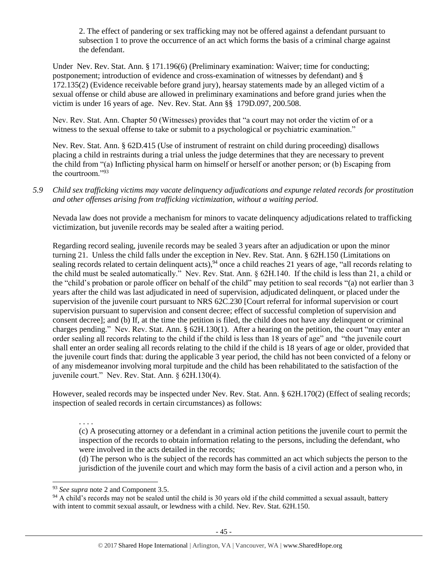2. The effect of pandering or sex trafficking may not be offered against a defendant pursuant to subsection 1 to prove the occurrence of an act which forms the basis of a criminal charge against the defendant.

Under Nev. Rev. Stat. Ann. § [171.196\(](http://www.leg.state.nv.us/NRS/NRS-171.html#NRS171Sec196)6) (Preliminary examination: Waiver; time for conducting; postponement; introduction of evidence and cross-examination of witnesses by defendant) and § 172.135(2) (Evidence receivable before grand jury), hearsay statements made by an alleged victim of a sexual offense or child abuse are allowed in preliminary examinations and before grand juries when the victim is under 16 years of age. Nev. Rev. Stat. Ann §§ 179D.097, 200.508.

Nev. Rev. Stat. Ann. Chapter 50 (Witnesses) provides that "a court may not order the victim of or a witness to the sexual offense to take or submit to a psychological or psychiatric examination."

Nev. Rev. Stat. Ann. § 62D.415 (Use of instrument of restraint on child during proceeding) disallows placing a child in restraints during a trial unless the judge determines that they are necessary to prevent the child from "(a) Inflicting physical harm on himself or herself or another person; or (b) Escaping from the courtroom."<sup>93</sup>

*5.9 Child sex trafficking victims may vacate delinquency adjudications and expunge related records for prostitution and other offenses arising from trafficking victimization, without a waiting period.*

Nevada law does not provide a mechanism for minors to vacate delinquency adjudications related to trafficking victimization, but juvenile records may be sealed after a waiting period.

Regarding record sealing, juvenile records may be sealed 3 years after an adjudication or upon the minor turning 21. Unless the child falls under the exception in Nev. Rev. Stat. Ann. § 62H.150 (Limitations on sealing records related to certain delinquent acts), <sup>94</sup> once a child reaches 21 years of age, "all records relating to the child must be sealed automatically." Nev. Rev. Stat. Ann. § 62H.140. If the child is less than 21, a child or the "child's probation or parole officer on behalf of the child" may petition to seal records "(a) not earlier than 3 years after the child was last adjudicated in need of supervision, adjudicated delinquent, or placed under the supervision of the juvenile court pursuant to NRS 62C.230 [Court referral for informal supervision or court supervision pursuant to supervision and consent decree; effect of successful completion of supervision and consent decree]; and (b) If, at the time the petition is filed, the child does not have any delinquent or criminal charges pending." Nev. Rev. Stat. Ann. § 62H.130(1). After a hearing on the petition, the court "may enter an order sealing all records relating to the child if the child is less than 18 years of age" and "the juvenile court shall enter an order sealing all records relating to the child if the child is 18 years of age or older, provided that the juvenile court finds that: during the applicable 3 year period, the child has not been convicted of a felony or of any misdemeanor involving moral turpitude and the child has been rehabilitated to the satisfaction of the juvenile court." Nev. Rev. Stat. Ann. § 62H.130(4).

However, sealed records may be inspected under Nev. Rev. Stat. Ann. § 62H.170(2) (Effect of sealing records; inspection of sealed records in certain circumstances) as follows:

. . . .

l

(c) A prosecuting attorney or a defendant in a criminal action petitions the juvenile court to permit the inspection of the records to obtain information relating to the persons, including the defendant, who were involved in the acts detailed in the records;

(d) The person who is the subject of the records has committed an act which subjects the person to the jurisdiction of the juvenile court and which may form the basis of a civil action and a person who, in

<sup>93</sup> *See supra* note [2](#page-0-0) and Component 3.5.

<sup>&</sup>lt;sup>94</sup> A child's records may not be sealed until the child is 30 years old if the child committed a sexual assault, battery with intent to commit sexual assault, or lewdness with a child. Nev. Rev. Stat. 62H.150.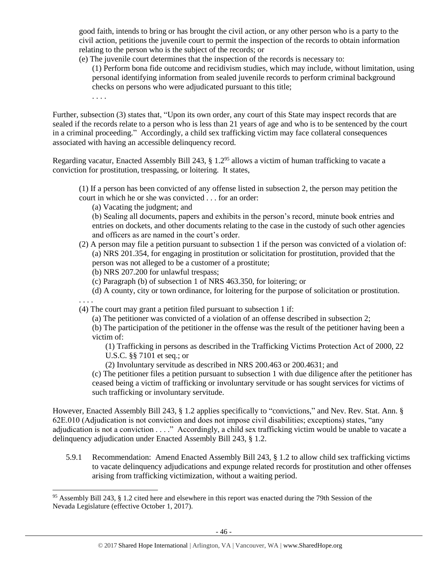good faith, intends to bring or has brought the civil action, or any other person who is a party to the civil action, petitions the juvenile court to permit the inspection of the records to obtain information relating to the person who is the subject of the records; or

(e) The juvenile court determines that the inspection of the records is necessary to:

(1) Perform bona fide outcome and recidivism studies, which may include, without limitation, using personal identifying information from sealed juvenile records to perform criminal background checks on persons who were adjudicated pursuant to this title;

. . . .

Further, subsection (3) states that, "Upon its own order, any court of this State may inspect records that are sealed if the records relate to a person who is less than 21 years of age and who is to be sentenced by the court in a criminal proceeding." Accordingly, a child sex trafficking victim may face collateral consequences associated with having an accessible delinquency record.

Regarding vacatur, Enacted Assembly Bill 243, § 1.2<sup>95</sup> allows a victim of human trafficking to vacate a conviction for prostitution, trespassing, or loitering. It states,

- (1) If a person has been convicted of any offense listed in subsection 2, the person may petition the court in which he or she was convicted . . . for an order:
	- (a) Vacating the judgment; and

(b) Sealing all documents, papers and exhibits in the person's record, minute book entries and entries on dockets, and other documents relating to the case in the custody of such other agencies and officers as are named in the court's order.

- (2) A person may file a petition pursuant to subsection 1 if the person was convicted of a violation of: (a) NRS 201.354, for engaging in prostitution or solicitation for prostitution, provided that the person was not alleged to be a customer of a prostitute;
	- (b) NRS 207.200 for unlawful trespass;
	- (c) Paragraph (b) of subsection 1 of NRS 463.350, for loitering; or
	- (d) A county, city or town ordinance, for loitering for the purpose of solicitation or prostitution.

. . . .

 $\overline{a}$ 

(4) The court may grant a petition filed pursuant to subsection 1 if:

(a) The petitioner was convicted of a violation of an offense described in subsection 2;

(b) The participation of the petitioner in the offense was the result of the petitioner having been a victim of:

(1) Trafficking in persons as described in the Trafficking Victims Protection Act of 2000, 22 U.S.C. §§ 7101 et seq.; or

(2) Involuntary servitude as described in NRS 200.463 or 200.4631; and

(c) The petitioner files a petition pursuant to subsection 1 with due diligence after the petitioner has ceased being a victim of trafficking or involuntary servitude or has sought services for victims of such trafficking or involuntary servitude.

However, Enacted Assembly Bill 243, § 1.2 applies specifically to "convictions," and Nev. Rev. Stat. Ann. § 62E.010 (Adjudication is not conviction and does not impose civil disabilities; exceptions) states, "any adjudication is not a conviction . . . ." Accordingly, a child sex trafficking victim would be unable to vacate a delinquency adjudication under Enacted Assembly Bill 243, § 1.2.

5.9.1 Recommendation: Amend Enacted Assembly Bill 243, § 1.2 to allow child sex trafficking victims to vacate delinquency adjudications and expunge related records for prostitution and other offenses arising from trafficking victimization, without a waiting period.

<sup>95</sup> Assembly Bill 243, § 1.2 cited here and elsewhere in this report was enacted during the 79th Session of the Nevada Legislature (effective October 1, 2017).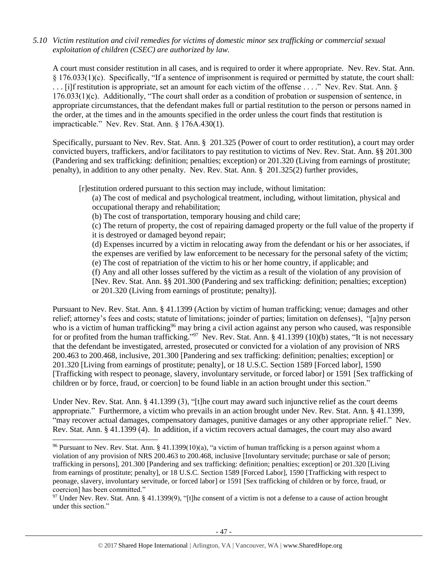### *5.10 Victim restitution and civil remedies for victims of domestic minor sex trafficking or commercial sexual exploitation of children (CSEC) are authorized by law.*

A court must consider restitution in all cases, and is required to order it where appropriate. Nev. Rev. Stat. Ann. § 176.033(1)(c). Specifically, "If a sentence of imprisonment is required or permitted by statute, the court shall: . . . [i]f restitution is appropriate, set an amount for each victim of the offense . . . ." Nev. Rev. Stat. Ann. § 176.033(1)(c). Additionally, "The court shall order as a condition of probation or suspension of sentence, in appropriate circumstances, that the defendant makes full or partial restitution to the person or persons named in the order, at the times and in the amounts specified in the order unless the court finds that restitution is impracticable." Nev. Rev. Stat. Ann. § 176A.430(1).

Specifically, pursuant to Nev. Rev. Stat. Ann. § 201.325 (Power of court to order restitution), a court may order convicted buyers, traffickers, and/or facilitators to pay restitution to victims of Nev. Rev. Stat. Ann. §§ 201.300 (Pandering and sex trafficking: definition; penalties; exception) or 201.320 (Living from earnings of prostitute; penalty), in addition to any other penalty. Nev. Rev. Stat. Ann. § 201.325(2) further provides,

[r]estitution ordered pursuant to this section may include, without limitation:

(a) The cost of medical and psychological treatment, including, without limitation, physical and occupational therapy and rehabilitation;

(b) The cost of transportation, temporary housing and child care;

(c) The return of property, the cost of repairing damaged property or the full value of the property if it is destroyed or damaged beyond repair;

(d) Expenses incurred by a victim in relocating away from the defendant or his or her associates, if the expenses are verified by law enforcement to be necessary for the personal safety of the victim;

(e) The cost of repatriation of the victim to his or her home country, if applicable; and

(f) Any and all other losses suffered by the victim as a result of the violation of any provision of [Nev. Rev. Stat. Ann. §§ 201.300 (Pandering and sex trafficking: definition; penalties; exception) or 201.320 (Living from earnings of prostitute; penalty)].

Pursuant to Nev. Rev. Stat. Ann. § 41.1399 (Action by victim of human trafficking; venue; damages and other relief; attorney's fees and costs; statute of limitations; joinder of parties; limitation on defenses), "[a]ny person who is a victim of human trafficking<sup>96</sup> may bring a civil action against any person who caused, was responsible for or profited from the human trafficking."<sup>97</sup> Nev. Rev. Stat. Ann. § 41.1399 (10)(b) states, "It is not necessary that the defendant be investigated, arrested, prosecuted or convicted for a violation of any provision of NRS 200.463 to 200.468, inclusive, 201.300 [Pandering and sex trafficking: definition; penalties; exception] or 201.320 [Living from earnings of prostitute; penalty], or 18 U.S.C. Section 1589 [Forced labor], 1590 [Trafficking with respect to peonage, slavery, involuntary servitude, or forced labor] or 1591 [Sex trafficking of children or by force, fraud, or coercion] to be found liable in an action brought under this section."

Under Nev. Rev. Stat. Ann. § 41.1399 (3), "[t]he court may award such injunctive relief as the court deems appropriate." Furthermore, a victim who prevails in an action brought under Nev. Rev. Stat. Ann. § 41.1399, "may recover actual damages, compensatory damages, punitive damages or any other appropriate relief." Nev. Rev. Stat. Ann. § 41.1399 (4). In addition, if a victim recovers actual damages, the court may also award

<sup>96</sup> Pursuant to Nev. Rev. Stat. Ann. § 41.1399(10)(a), "a victim of human trafficking is a person against whom a violation of any provision of NRS 200.463 to 200.468, inclusive [Involuntary servitude; purchase or sale of person; trafficking in persons], 201.300 [Pandering and sex trafficking: definition; penalties; exception] or 201.320 [Living from earnings of prostitute; penalty], or 18 U.S.C. Section 1589 [Forced Labor], 1590 [Trafficking with respect to peonage, slavery, involuntary servitude, or forced labor] or 1591 [Sex trafficking of children or by force, fraud, or coercion] has been committed."

<sup>&</sup>lt;sup>97</sup> Under Nev. Rev. Stat. Ann. § 41.1399(9), "[t]he consent of a victim is not a defense to a cause of action brought under this section."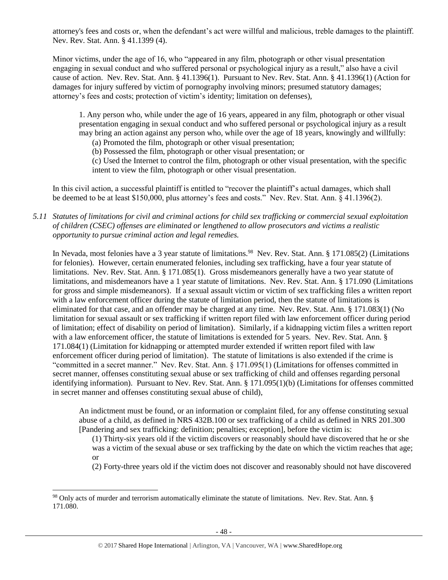attorney's fees and costs or, when the defendant's act were willful and malicious, treble damages to the plaintiff. Nev. Rev. Stat. Ann. § 41.1399 (4).

Minor victims, under the age of 16, who "appeared in any film, photograph or other visual presentation engaging in sexual conduct and who suffered personal or psychological injury as a result," also have a civil cause of action. Nev. Rev. Stat. Ann. § 41.1396(1). Pursuant to Nev. Rev. Stat. Ann. § 41.1396(1) (Action for damages for injury suffered by victim of pornography involving minors; presumed statutory damages; attorney's fees and costs; protection of victim's identity; limitation on defenses),

1. Any person who, while under the age of 16 years, appeared in any film, photograph or other visual presentation engaging in sexual conduct and who suffered personal or psychological injury as a result may bring an action against any person who, while over the age of 18 years, knowingly and willfully:

(a) Promoted the film, photograph or other visual presentation;

(b) Possessed the film, photograph or other visual presentation; or

(c) Used the Internet to control the film, photograph or other visual presentation, with the specific intent to view the film, photograph or other visual presentation.

In this civil action, a successful plaintiff is entitled to "recover the plaintiff's actual damages, which shall be deemed to be at least \$150,000, plus attorney's fees and costs." Nev. Rev. Stat. Ann. § 41.1396(2).

*5.11 Statutes of limitations for civil and criminal actions for child sex trafficking or commercial sexual exploitation of children (CSEC) offenses are eliminated or lengthened to allow prosecutors and victims a realistic opportunity to pursue criminal action and legal remedies.*

In Nevada, most felonies have a 3 year statute of limitations.<sup>98</sup> Nev. Rev. Stat. Ann. § 171.085(2) (Limitations for felonies). However, certain enumerated felonies, including sex trafficking, have a four year statute of limitations. Nev. Rev. Stat. Ann. § 171.085(1). Gross misdemeanors generally have a two year statute of limitations, and misdemeanors have a 1 year statute of limitations. Nev. Rev. Stat. Ann. § 171.090 (Limitations for gross and simple misdemeanors). If a sexual assault victim or victim of sex trafficking files a written report with a law enforcement officer during the statute of limitation period, then the statute of limitations is eliminated for that case, and an offender may be charged at any time. Nev. Rev. Stat. Ann. § 171.083(1) (No limitation for sexual assault or sex trafficking if written report filed with law enforcement officer during period of limitation; effect of disability on period of limitation). Similarly, if a kidnapping victim files a written report with a law enforcement officer, the statute of limitations is extended for 5 years. Nev. Rev. Stat. Ann. § 171.084(1) (Limitation for kidnapping or attempted murder extended if written report filed with law enforcement officer during period of limitation). The statute of limitations is also extended if the crime is "committed in a secret manner." Nev. Rev. Stat. Ann. § 171.095(1) (Limitations for offenses committed in secret manner, offenses constituting sexual abuse or sex trafficking of child and offenses regarding personal identifying information). Pursuant to Nev. Rev. Stat. Ann. § 171.095(1)(b) (Limitations for offenses committed in secret manner and offenses constituting sexual abuse of child),

An indictment must be found, or an information or complaint filed, for any offense constituting sexual abuse of a child, as defined in NRS 432B.100 or sex trafficking of a child as defined in NRS 201.300 [Pandering and sex trafficking: definition; penalties; exception], before the victim is:

(1) Thirty-six years old if the victim discovers or reasonably should have discovered that he or she was a victim of the sexual abuse or sex trafficking by the date on which the victim reaches that age; or

(2) Forty-three years old if the victim does not discover and reasonably should not have discovered

<sup>98</sup> Only acts of murder and terrorism automatically eliminate the statute of limitations. Nev. Rev. Stat. Ann. § 171.080.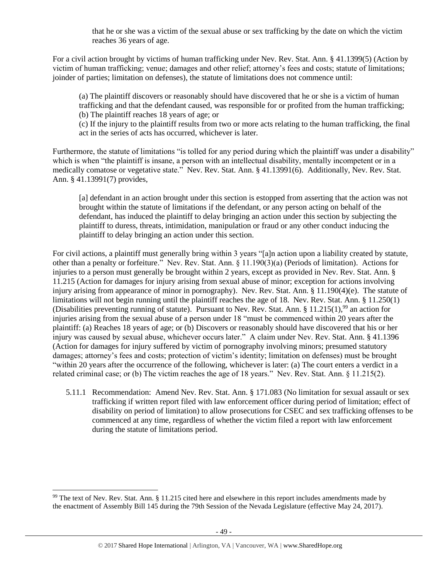that he or she was a victim of the sexual abuse or sex trafficking by the date on which the victim reaches 36 years of age.

For a civil action brought by victims of human trafficking under Nev. Rev. Stat. Ann. § 41.1399(5) (Action by victim of human trafficking; venue; damages and other relief; attorney's fees and costs; statute of limitations; joinder of parties; limitation on defenses), the statute of limitations does not commence until:

(a) The plaintiff discovers or reasonably should have discovered that he or she is a victim of human trafficking and that the defendant caused, was responsible for or profited from the human trafficking; (b) The plaintiff reaches 18 years of age; or

(c) If the injury to the plaintiff results from two or more acts relating to the human trafficking, the final act in the series of acts has occurred, whichever is later.

Furthermore, the statute of limitations "is tolled for any period during which the plaintiff was under a disability" which is when "the plaintiff is insane, a person with an intellectual disability, mentally incompetent or in a medically comatose or vegetative state." Nev. Rev. Stat. Ann. § 41.13991(6). Additionally, Nev. Rev. Stat. Ann. § 41.13991(7) provides,

[a] defendant in an action brought under this section is estopped from asserting that the action was not brought within the statute of limitations if the defendant, or any person acting on behalf of the defendant, has induced the plaintiff to delay bringing an action under this section by subjecting the plaintiff to duress, threats, intimidation, manipulation or fraud or any other conduct inducing the plaintiff to delay bringing an action under this section.

For civil actions, a plaintiff must generally bring within 3 years "[a]n action upon a liability created by statute, other than a penalty or forfeiture." Nev. Rev. Stat. Ann. § 11.190(3)(a) (Periods of limitation). Actions for injuries to a person must generally be brought within 2 years, except as provided in Nev. Rev. Stat. Ann. § 11.215 (Action for damages for injury arising from sexual abuse of minor; exception for actions involving injury arising from appearance of minor in pornography). Nev. Rev. Stat. Ann. § 11.190(4)(e). The statute of limitations will not begin running until the plaintiff reaches the age of 18. Nev. Rev. Stat. Ann. § 11.250(1) (Disabilities preventing running of statute). Pursuant to Nev. Rev. Stat. Ann. § 11.215(1),<sup>99</sup> an action for injuries arising from the sexual abuse of a person under 18 "must be commenced within 20 years after the plaintiff: (a) Reaches 18 years of age; or (b) Discovers or reasonably should have discovered that his or her injury was caused by sexual abuse, whichever occurs later." A claim under Nev. Rev. Stat. Ann. § 41.1396 (Action for damages for injury suffered by victim of pornography involving minors; presumed statutory damages; attorney's fees and costs; protection of victim's identity; limitation on defenses) must be brought "within 20 years after the occurrence of the following, whichever is later: (a) The court enters a verdict in a related criminal case; or (b) The victim reaches the age of 18 years." Nev. Rev. Stat. Ann. § 11.215(2).

5.11.1 Recommendation: Amend Nev. Rev. Stat. Ann. § 171.083 (No limitation for sexual assault or sex trafficking if written report filed with law enforcement officer during period of limitation; effect of disability on period of limitation) to allow prosecutions for CSEC and sex trafficking offenses to be commenced at any time, regardless of whether the victim filed a report with law enforcement during the statute of limitations period.

 $99$  The text of Nev. Rev. Stat. Ann. § 11.215 cited here and elsewhere in this report includes amendments made by the enactment of Assembly Bill 145 during the 79th Session of the Nevada Legislature (effective May 24, 2017).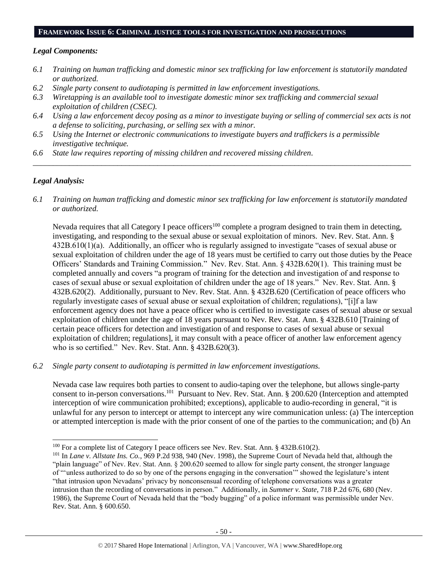#### **FRAMEWORK ISSUE 6: CRIMINAL JUSTICE TOOLS FOR INVESTIGATION AND PROSECUTIONS**

#### *Legal Components:*

- *6.1 Training on human trafficking and domestic minor sex trafficking for law enforcement is statutorily mandated or authorized.*
- *6.2 Single party consent to audiotaping is permitted in law enforcement investigations.*
- *6.3 Wiretapping is an available tool to investigate domestic minor sex trafficking and commercial sexual exploitation of children (CSEC).*
- *6.4 Using a law enforcement decoy posing as a minor to investigate buying or selling of commercial sex acts is not a defense to soliciting, purchasing, or selling sex with a minor.*

*\_\_\_\_\_\_\_\_\_\_\_\_\_\_\_\_\_\_\_\_\_\_\_\_\_\_\_\_\_\_\_\_\_\_\_\_\_\_\_\_\_\_\_\_\_\_\_\_\_\_\_\_\_\_\_\_\_\_\_\_\_\_\_\_\_\_\_\_\_\_\_\_\_\_\_\_\_\_\_\_\_\_\_\_\_\_\_\_\_\_\_\_\_\_*

- *6.5 Using the Internet or electronic communications to investigate buyers and traffickers is a permissible investigative technique.*
- *6.6 State law requires reporting of missing children and recovered missing children.*

## *Legal Analysis:*

 $\overline{a}$ 

*6.1 Training on human trafficking and domestic minor sex trafficking for law enforcement is statutorily mandated or authorized.*

Nevada requires that all Category I peace officers<sup>100</sup> complete a program designed to train them in detecting, investigating, and responding to the sexual abuse or sexual exploitation of minors. Nev. Rev. Stat. Ann. § 432B.610(1)(a). Additionally, an officer who is regularly assigned to investigate "cases of sexual abuse or sexual exploitation of children under the age of 18 years must be certified to carry out those duties by the Peace Officers' Standards and Training Commission." Nev. Rev. Stat. Ann. § 432B.620(1). This training must be completed annually and covers "a program of training for the detection and investigation of and response to cases of sexual abuse or sexual exploitation of children under the age of 18 years." Nev. Rev. Stat. Ann. § 432B.620(2). Additionally, pursuant to Nev. Rev. Stat. Ann. § 432B.620 (Certification of peace officers who regularly investigate cases of sexual abuse or sexual exploitation of children; regulations), "[i]f a law enforcement agency does not have a peace officer who is certified to investigate cases of sexual abuse or sexual exploitation of children under the age of 18 years pursuant to Nev. Rev. Stat. Ann. § 432B.610 [Training of certain peace officers for detection and investigation of and response to cases of sexual abuse or sexual exploitation of children; regulations], it may consult with a peace officer of another law enforcement agency who is so certified." Nev. Rev. Stat. Ann. § 432B.620(3).

*6.2 Single party consent to audiotaping is permitted in law enforcement investigations.*

Nevada case law requires both parties to consent to audio-taping over the telephone, but allows single-party consent to in-person conversations.<sup>101</sup> Pursuant to Nev. Rev. Stat. Ann. § 200.620 (Interception and attempted interception of wire communication prohibited; exceptions), applicable to audio-recording in general, "it is unlawful for any person to intercept or attempt to intercept any wire communication unless: (a) The interception or attempted interception is made with the prior consent of one of the parties to the communication; and (b) An

<sup>&</sup>lt;sup>100</sup> For a complete list of Category I peace officers see Nev. Rev. Stat. Ann. § 432B.610(2).

<sup>101</sup> In *Lane v. Allstate Ins. Co.*, 969 P.2d 938, 940 (Nev. 1998), the Supreme Court of Nevada held that, although the "plain language" of Nev. Rev. Stat. Ann. § 200.620 seemed to allow for single party consent, the stronger language of "'unless authorized to do so by one of the persons engaging in the conversation'" showed the legislature's intent "that intrusion upon Nevadans' privacy by nonconsensual recording of telephone conversations was a greater intrusion than the recording of conversations in person." Additionally, in *Summer v. State*, 718 P.2d 676, 680 (Nev. 1986), the Supreme Court of Nevada held that the "body bugging" of a police informant was permissible under Nev. Rev. Stat. Ann. § 600.650.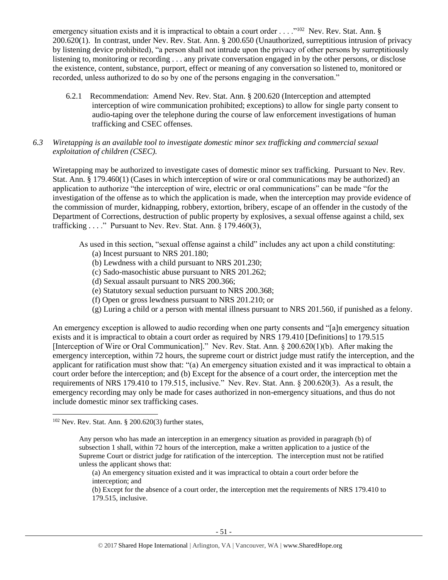emergency situation exists and it is impractical to obtain a court order . . . . "<sup>102</sup> Nev. Rev. Stat. Ann. § 200.620(1). In contrast, under Nev. Rev. Stat. Ann. § 200.650 (Unauthorized, surreptitious intrusion of privacy by listening device prohibited), "a person shall not intrude upon the privacy of other persons by surreptitiously listening to, monitoring or recording . . . any private conversation engaged in by the other persons, or disclose the existence, content, substance, purport, effect or meaning of any conversation so listened to, monitored or recorded, unless authorized to do so by one of the persons engaging in the conversation."

- 6.2.1 Recommendation: Amend Nev. Rev. Stat. Ann. § 200.620 (Interception and attempted interception of wire communication prohibited; exceptions) to allow for single party consent to audio-taping over the telephone during the course of law enforcement investigations of human trafficking and CSEC offenses.
- *6.3 Wiretapping is an available tool to investigate domestic minor sex trafficking and commercial sexual exploitation of children (CSEC).*

Wiretapping may be authorized to investigate cases of domestic minor sex trafficking. Pursuant to Nev. Rev. Stat. Ann. § 179.460(1) (Cases in which interception of wire or oral communications may be authorized) an application to authorize "the interception of wire, electric or oral communications" can be made "for the investigation of the offense as to which the application is made, when the interception may provide evidence of the commission of murder, kidnapping, robbery, extortion, bribery, escape of an offender in the custody of the Department of Corrections, destruction of public property by explosives, a sexual offense against a child, sex trafficking  $\ldots$ ." Pursuant to Nev. Rev. Stat. Ann. § 179.460(3),

As used in this section, "sexual offense against a child" includes any act upon a child constituting:

- (a) Incest pursuant to NRS 201.180;
- (b) Lewdness with a child pursuant to NRS 201.230;
- (c) Sado-masochistic abuse pursuant to NRS 201.262;
- (d) Sexual assault pursuant to NRS 200.366;
- (e) Statutory sexual seduction pursuant to NRS 200.368;
- (f) Open or gross lewdness pursuant to NRS 201.210; or
- (g) Luring a child or a person with mental illness pursuant to NRS 201.560, if punished as a felony.

An emergency exception is allowed to audio recording when one party consents and "[a]n emergency situation exists and it is impractical to obtain a court order as required by NRS 179.410 [Definitions] to 179.515 [Interception of Wire or Oral Communication]." Nev. Rev. Stat. Ann. § 200.620(1)(b). After making the emergency interception, within 72 hours, the supreme court or district judge must ratify the interception, and the applicant for ratification must show that: "(a) An emergency situation existed and it was impractical to obtain a court order before the interception; and (b) Except for the absence of a court order, the interception met the requirements of NRS 179.410 to 179.515, inclusive." Nev. Rev. Stat. Ann. § 200.620(3). As a result, the emergency recording may only be made for cases authorized in non-emergency situations, and thus do not include domestic minor sex trafficking cases.

 $102$  Nev. Rev. Stat. Ann. § 200.620(3) further states,

Any person who has made an interception in an emergency situation as provided in paragraph (b) of subsection 1 shall, within 72 hours of the interception, make a written application to a justice of the Supreme Court or district judge for ratification of the interception. The interception must not be ratified unless the applicant shows that:

<sup>(</sup>a) An emergency situation existed and it was impractical to obtain a court order before the interception; and

<sup>(</sup>b) Except for the absence of a court order, the interception met the requirements of NRS 179.410 to 179.515, inclusive.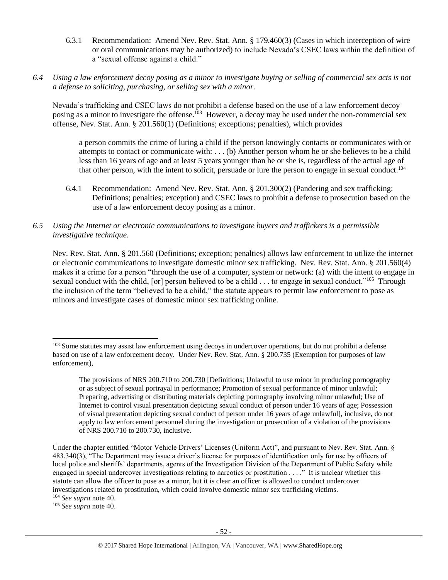- 6.3.1 Recommendation: Amend Nev. Rev. Stat. Ann. § 179.460(3) (Cases in which interception of wire or oral communications may be authorized) to include Nevada's CSEC laws within the definition of a "sexual offense against a child."
- *6.4 Using a law enforcement decoy posing as a minor to investigate buying or selling of commercial sex acts is not a defense to soliciting, purchasing, or selling sex with a minor.*

Nevada's trafficking and CSEC laws do not prohibit a defense based on the use of a law enforcement decoy posing as a minor to investigate the offense.<sup>103</sup> However, a decoy may be used under the non-commercial sex offense, Nev. Stat. Ann. § 201.560(1) (Definitions; exceptions; penalties), which provides

a person commits the crime of luring a child if the person knowingly contacts or communicates with or attempts to contact or communicate with: . . . (b) Another person whom he or she believes to be a child less than 16 years of age and at least 5 years younger than he or she is, regardless of the actual age of that other person, with the intent to solicit, persuade or lure the person to engage in sexual conduct.<sup>104</sup>

- 6.4.1 Recommendation: Amend Nev. Rev. Stat. Ann. § 201.300(2) (Pandering and sex trafficking: Definitions; penalties; exception) and CSEC laws to prohibit a defense to prosecution based on the use of a law enforcement decoy posing as a minor.
- *6.5 Using the Internet or electronic communications to investigate buyers and traffickers is a permissible investigative technique.*

Nev. Rev. Stat. Ann. § 201.560 (Definitions; exception; penalties) allows law enforcement to utilize the internet or electronic communications to investigate domestic minor sex trafficking. Nev. Rev. Stat. Ann. § 201.560(4) makes it a crime for a person "through the use of a computer, system or network: (a) with the intent to engage in sexual conduct with the child, [or] person believed to be a child . . . to engage in sexual conduct."<sup>105</sup> Through the inclusion of the term "believed to be a child," the statute appears to permit law enforcement to pose as minors and investigate cases of domestic minor sex trafficking online.

<sup>105</sup> *See supra* note [40.](#page-14-0)

<sup>&</sup>lt;sup>103</sup> Some statutes may assist law enforcement using decoys in undercover operations, but do not prohibit a defense based on use of a law enforcement decoy. Under Nev. Rev. Stat. Ann. § 200.735 (Exemption for purposes of law enforcement),

The provisions of NRS 200.710 to 200.730 [Definitions; Unlawful to use minor in producing pornography or as subject of sexual portrayal in performance; Promotion of sexual performance of minor unlawful; Preparing, advertising or distributing materials depicting pornography involving minor unlawful; Use of Internet to control visual presentation depicting sexual conduct of person under 16 years of age; Possession of visual presentation depicting sexual conduct of person under 16 years of age unlawful], inclusive, do not apply to law enforcement personnel during the investigation or prosecution of a violation of the provisions of NRS 200.710 to 200.730, inclusive.

Under the chapter entitled "Motor Vehicle Drivers' Licenses (Uniform Act)", and pursuant to Nev. Rev. Stat. Ann. § 483.340(3), "The Department may issue a driver's license for purposes of identification only for use by officers of local police and sheriffs' departments, agents of the Investigation Division of the Department of Public Safety while engaged in special undercover investigations relating to narcotics or prostitution . . . ." It is unclear whether this statute can allow the officer to pose as a minor, but it is clear an officer is allowed to conduct undercover investigations related to prostitution, which could involve domestic minor sex trafficking victims. <sup>104</sup> *See supra* note [40.](#page-14-0)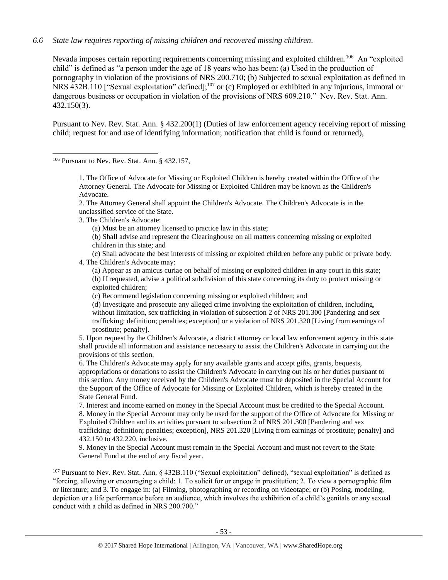## *6.6 State law requires reporting of missing children and recovered missing children.*

Nevada imposes certain reporting requirements concerning missing and exploited children.<sup>106</sup> An "exploited child" is defined as "a person under the age of 18 years who has been: (a) Used in the production of pornography in violation of the provisions of NRS 200.710; (b) Subjected to sexual exploitation as defined in NRS 432B.110 ["Sexual exploitation" defined];<sup>107</sup> or (c) Employed or exhibited in any injurious, immoral or dangerous business or occupation in violation of the provisions of NRS 609.210." Nev. Rev. Stat. Ann. 432.150(3).

Pursuant to Nev. Rev. Stat. Ann. § 432.200(1) (Duties of law enforcement agency receiving report of missing child; request for and use of identifying information; notification that child is found or returned),

<sup>106</sup> Pursuant to Nev. Rev. Stat. Ann. § 432.157,

 $\overline{a}$ 

1. The Office of Advocate for Missing or Exploited Children is hereby created within the Office of the Attorney General. The Advocate for Missing or Exploited Children may be known as the Children's Advocate.

2. The Attorney General shall appoint the Children's Advocate. The Children's Advocate is in the unclassified service of the State.

3. The Children's Advocate:

(a) Must be an attorney licensed to practice law in this state;

(b) Shall advise and represent the Clearinghouse on all matters concerning missing or exploited children in this state; and

(c) Shall advocate the best interests of missing or exploited children before any public or private body. 4. The Children's Advocate may:

(a) Appear as an amicus curiae on behalf of missing or exploited children in any court in this state; (b) If requested, advise a political subdivision of this state concerning its duty to protect missing or exploited children;

(c) Recommend legislation concerning missing or exploited children; and

(d) Investigate and prosecute any alleged crime involving the exploitation of children, including, without limitation, sex trafficking in violation of subsection 2 of NRS 201.300 [Pandering and sex trafficking: definition; penalties; exception] or a violation of NRS 201.320 [Living from earnings of prostitute; penalty].

5. Upon request by the Children's Advocate, a district attorney or local law enforcement agency in this state shall provide all information and assistance necessary to assist the Children's Advocate in carrying out the provisions of this section.

6. The Children's Advocate may apply for any available grants and accept gifts, grants, bequests, appropriations or donations to assist the Children's Advocate in carrying out his or her duties pursuant to this section. Any money received by the Children's Advocate must be deposited in the Special Account for the Support of the Office of Advocate for Missing or Exploited Children, which is hereby created in the State General Fund.

7. Interest and income earned on money in the Special Account must be credited to the Special Account. 8. Money in the Special Account may only be used for the support of the Office of Advocate for Missing or Exploited Children and its activities pursuant to subsection 2 of NRS 201.300 [Pandering and sex trafficking: definition; penalties; exception], NRS 201.320 [Living from earnings of prostitute; penalty] and 432.150 to 432.220, inclusive.

9. Money in the Special Account must remain in the Special Account and must not revert to the State General Fund at the end of any fiscal year.

<sup>107</sup> Pursuant to Nev. Rev. Stat. Ann. § 432B.110 ("Sexual exploitation" defined), "sexual exploitation" is defined as "forcing, allowing or encouraging a child: 1. To solicit for or engage in prostitution; 2. To view a pornographic film or literature; and 3. To engage in: (a) Filming, photographing or recording on videotape; or (b) Posing, modeling, depiction or a life performance before an audience, which involves the exhibition of a child's genitals or any sexual conduct with a child as defined in NRS 200.700."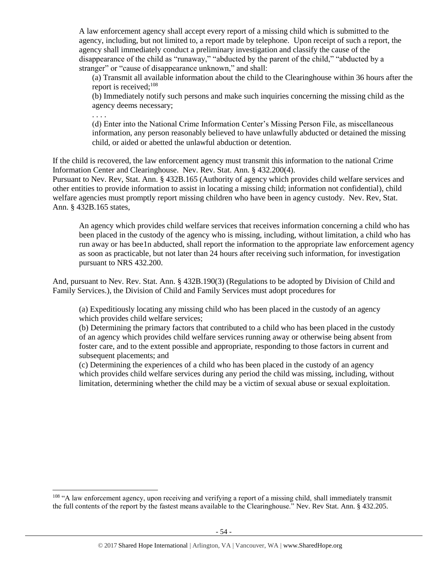A law enforcement agency shall accept every report of a missing child which is submitted to the agency, including, but not limited to, a report made by telephone. Upon receipt of such a report, the agency shall immediately conduct a preliminary investigation and classify the cause of the disappearance of the child as "runaway," "abducted by the parent of the child," "abducted by a stranger" or "cause of disappearance unknown," and shall:

(a) Transmit all available information about the child to the Clearinghouse within 36 hours after the report is received; $108$ 

(b) Immediately notify such persons and make such inquiries concerning the missing child as the agency deems necessary;

. . . .

 $\overline{a}$ 

(d) Enter into the National Crime Information Center's Missing Person File, as miscellaneous information, any person reasonably believed to have unlawfully abducted or detained the missing child, or aided or abetted the unlawful abduction or detention.

If the child is recovered, the law enforcement agency must transmit this information to the national Crime Information Center and Clearinghouse. Nev. Rev. Stat. Ann. § 432.200(4).

Pursuant to Nev. Rev, Stat. Ann. § 432B.165 (Authority of agency which provides child welfare services and other entities to provide information to assist in locating a missing child; information not confidential), child welfare agencies must promptly report missing children who have been in agency custody. Nev. Rev, Stat. Ann. § 432B.165 states,

An agency which provides child welfare services that receives information concerning a child who has been placed in the custody of the agency who is missing, including, without limitation, a child who has run away or has bee1n abducted, shall report the information to the appropriate law enforcement agency as soon as practicable, but not later than 24 hours after receiving such information, for investigation pursuant to NRS [432.200.](http://www.leg.state.nv.us/NRS/NRS-432.html#NRS432Sec200)

And, pursuant to Nev. Rev. Stat. Ann. § 432B.190(3) (Regulations to be adopted by Division of Child and Family Services.), the Division of Child and Family Services must adopt procedures for

(a) Expeditiously locating any missing child who has been placed in the custody of an agency which provides child welfare services;

(b) Determining the primary factors that contributed to a child who has been placed in the custody of an agency which provides child welfare services running away or otherwise being absent from foster care, and to the extent possible and appropriate, responding to those factors in current and subsequent placements; and

(c) Determining the experiences of a child who has been placed in the custody of an agency which provides child welfare services during any period the child was missing, including, without limitation, determining whether the child may be a victim of sexual abuse or sexual exploitation.

<sup>108</sup> "A law enforcement agency, upon receiving and verifying a report of a missing child, shall immediately transmit the full contents of the report by the fastest means available to the Clearinghouse." Nev. Rev Stat. Ann. § [432.205.](http://www.leg.state.nv.us/NRS/NRS-432.html#NRS432Sec205)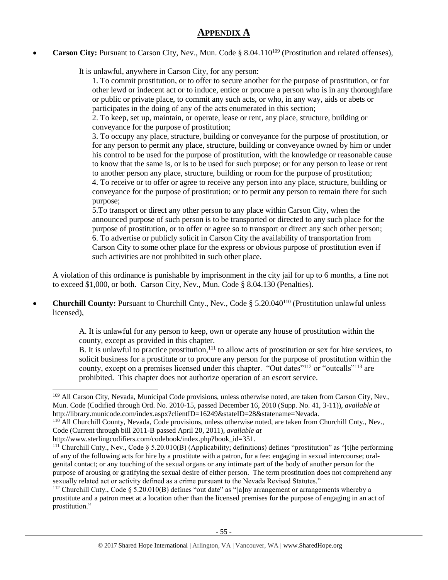## **APPENDIX A**

**Carson City:** Pursuant to Carson City, Nev., Mun. Code § 8.04.110<sup>109</sup> (Prostitution and related offenses),

It is unlawful, anywhere in Carson City, for any person:

1. To commit prostitution, or to offer to secure another for the purpose of prostitution, or for other lewd or indecent act or to induce, entice or procure a person who is in any thoroughfare or public or private place, to commit any such acts, or who, in any way, aids or abets or participates in the doing of any of the acts enumerated in this section;

2. To keep, set up, maintain, or operate, lease or rent, any place, structure, building or conveyance for the purpose of prostitution;

3. To occupy any place, structure, building or conveyance for the purpose of prostitution, or for any person to permit any place, structure, building or conveyance owned by him or under his control to be used for the purpose of prostitution, with the knowledge or reasonable cause to know that the same is, or is to be used for such purpose; or for any person to lease or rent to another person any place, structure, building or room for the purpose of prostitution;

4. To receive or to offer or agree to receive any person into any place, structure, building or conveyance for the purpose of prostitution; or to permit any person to remain there for such purpose;

5.To transport or direct any other person to any place within Carson City, when the announced purpose of such person is to be transported or directed to any such place for the purpose of prostitution, or to offer or agree so to transport or direct any such other person; 6. To advertise or publicly solicit in Carson City the availability of transportation from Carson City to some other place for the express or obvious purpose of prostitution even if such activities are not prohibited in such other place.

A violation of this ordinance is punishable by imprisonment in the city jail for up to 6 months, a fine not to exceed \$1,000, or both. Carson City, Nev., Mun. Code § 8.04.130 (Penalties).

**Churchill County:** Pursuant to Churchill Cnty., Nev., Code § 5.20.040<sup>110</sup> (Prostitution unlawful unless licensed),

> A. It is unlawful for any person to keep, own or operate any house of prostitution within the county, except as provided in this chapter.

B. It is unlawful to practice prostitution,<sup>111</sup> to allow acts of prostitution or sex for hire services, to solicit business for a prostitute or to procure any person for the purpose of prostitution within the county, except on a premises licensed under this chapter. "Out dates"<sup>112</sup> or "outcalls"<sup>113</sup> are prohibited. This chapter does not authorize operation of an escort service.

<sup>&</sup>lt;sup>109</sup> All Carson City, Nevada, Municipal Code provisions, unless otherwise noted, are taken from Carson City, Nev., Mun. Code (Codified through Ord. No. 2010-15, passed December 16, 2010 (Supp. No. 41, 3-11)), *available at* http://library.municode.com/index.aspx?clientID=16249&stateID=28&statename=Nevada.

<sup>110</sup> All Churchill County, Nevada, Code provisions, unless otherwise noted, are taken from Churchill Cnty., Nev., Code (Current through bill 2011-B passed April 20, 2011), *available at*

http://www.sterlingcodifiers.com/codebook/index.php?book\_id=351.

<sup>&</sup>lt;sup>111</sup> Churchill Cnty., Nev., Code § 5.20.010(B) (Applicability; definitions) defines "prostitution" as "[t]he performing of any of the following acts for hire by a prostitute with a patron, for a fee: engaging in sexual intercourse; oralgenital contact; or any touching of the sexual organs or any intimate part of the body of another person for the purpose of arousing or gratifying the sexual desire of either person. The term prostitution does not comprehend any sexually related act or activity defined as a crime pursuant to the Nevada Revised Statutes."

<sup>&</sup>lt;sup>112</sup> Churchill Cnty., Code  $\S$  5.20.010(B) defines "out date" as "[a]ny arrangement or arrangements whereby a prostitute and a patron meet at a location other than the licensed premises for the purpose of engaging in an act of prostitution."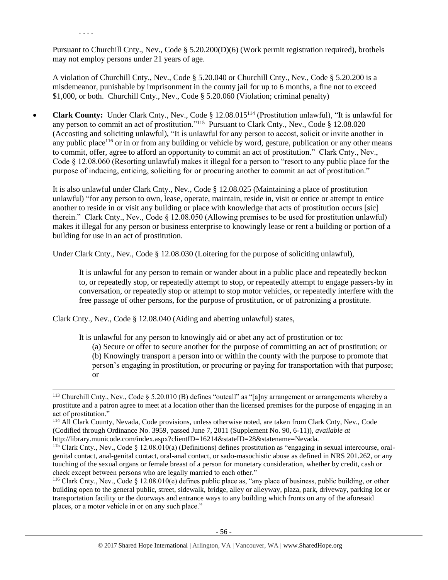Pursuant to Churchill Cnty., Nev., Code § 5.20.200(D)(6) (Work permit registration required), brothels may not employ persons under 21 years of age.

. . . .

 $\overline{a}$ 

A violation of Churchill Cnty., Nev., Code § 5.20.040 or Churchill Cnty., Nev., Code § 5.20.200 is a misdemeanor, punishable by imprisonment in the county jail for up to 6 months, a fine not to exceed \$1,000, or both. Churchill Cnty., Nev., Code § 5.20.060 (Violation; criminal penalty)

• **Clark County:** Under Clark Cnty., Nev., Code § 12.08.015<sup>114</sup> (Prostitution unlawful), "It is unlawful for any person to commit an act of prostitution."<sup>115</sup> Pursuant to Clark Cnty., Nev., Code § 12.08.020 (Accosting and soliciting unlawful), "It is unlawful for any person to accost, solicit or invite another in any public place<sup>116</sup> or in or from any building or vehicle by word, gesture, publication or any other means to commit, offer, agree to afford an opportunity to commit an act of prostitution." Clark Cnty., Nev., Code § 12.08.060 (Resorting unlawful) makes it illegal for a person to "resort to any public place for the purpose of inducing, enticing, soliciting for or procuring another to commit an act of prostitution."

It is also unlawful under Clark Cnty., Nev., Code § 12.08.025 (Maintaining a place of prostitution unlawful) "for any person to own, lease, operate, maintain, reside in, visit or entice or attempt to entice another to reside in or visit any building or place with knowledge that acts of prostitution occurs [sic] therein." Clark Cnty., Nev., Code § 12.08.050 (Allowing premises to be used for prostitution unlawful) makes it illegal for any person or business enterprise to knowingly lease or rent a building or portion of a building for use in an act of prostitution.

Under Clark Cnty., Nev., Code § 12.08.030 (Loitering for the purpose of soliciting unlawful),

It is unlawful for any person to remain or wander about in a public place and repeatedly beckon to, or repeatedly stop, or repeatedly attempt to stop, or repeatedly attempt to engage passers-by in conversation, or repeatedly stop or attempt to stop motor vehicles, or repeatedly interfere with the free passage of other persons, for the purpose of prostitution, or of patronizing a prostitute.

Clark Cnty., Nev., Code § 12.08.040 (Aiding and abetting unlawful) states,

It is unlawful for any person to knowingly aid or abet any act of prostitution or to:

(a) Secure or offer to secure another for the purpose of committing an act of prostitution; or (b) Knowingly transport a person into or within the county with the purpose to promote that person's engaging in prostitution, or procuring or paying for transportation with that purpose; or

<sup>114</sup> All Clark County, Nevada, Code provisions, unless otherwise noted, are taken from Clark Cnty, Nev., Code (Codified through Ordinance No. 3959, passed June 7, 2011 (Supplement No. 90, 6-11)), *available at*  http://library.municode.com/index.aspx?clientID=16214&stateID=28&statename=Nevada.

<sup>&</sup>lt;sup>113</sup> Churchill Cnty., Nev., Code § 5.20.010 (B) defines "outcall" as "[a]ny arrangement or arrangements whereby a prostitute and a patron agree to meet at a location other than the licensed premises for the purpose of engaging in an act of prostitution."

<sup>&</sup>lt;sup>115</sup> Clark Cnty., Nev., Code § 12.08.010(a) (Definitions) defines prostitution as "engaging in sexual intercourse, oralgenital contact, anal-genital contact, oral-anal contact, or sado-masochistic abuse as defined in NRS 201.262, or any touching of the sexual organs or female breast of a person for monetary consideration, whether by credit, cash or check except between persons who are legally married to each other."

<sup>&</sup>lt;sup>116</sup> Clark Cnty., Nev., Code  $\S$  12.08.010(e) defines public place as, "any place of business, public building, or other building open to the general public, street, sidewalk, bridge, alley or alleyway, plaza, park, driveway, parking lot or transportation facility or the doorways and entrance ways to any building which fronts on any of the aforesaid places, or a motor vehicle in or on any such place."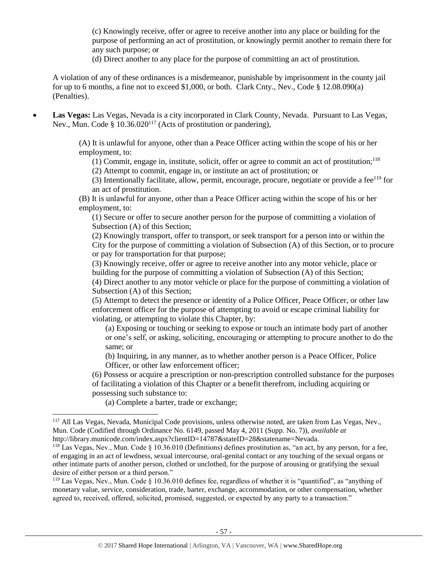(c) Knowingly receive, offer or agree to receive another into any place or building for the purpose of performing an act of prostitution, or knowingly permit another to remain there for any such purpose; or

(d) Direct another to any place for the purpose of committing an act of prostitution.

A violation of any of these ordinances is a misdemeanor, punishable by imprisonment in the county jail for up to 6 months, a fine not to exceed \$1,000, or both. Clark Cnty., Nev., Code § 12.08.090(a) (Penalties).

• **Las Vegas:** Las Vegas, Nevada is a city incorporated in Clark County, Nevada. Pursuant to Las Vegas, Nev., Mun. Code §  $10.36.020^{117}$  (Acts of prostitution or pandering),

> (A) It is unlawful for anyone, other than a Peace Officer acting within the scope of his or her employment, to:

 $(1)$  Commit, engage in, institute, solicit, offer or agree to commit an act of prostitution;<sup>118</sup>

(2) Attempt to commit, engage in, or institute an act of prostitution; or

(3) Intentionally facilitate, allow, permit, encourage, procure, negotiate or provide a fee $119$  for an act of prostitution.

(B) It is unlawful for anyone, other than a Peace Officer acting within the scope of his or her employment, to:

(1) Secure or offer to secure another person for the purpose of committing a violation of Subsection (A) of this Section;

(2) Knowingly transport, offer to transport, or seek transport for a person into or within the City for the purpose of committing a violation of Subsection (A) of this Section, or to procure or pay for transportation for that purpose;

(3) Knowingly receive, offer or agree to receive another into any motor vehicle, place or building for the purpose of committing a violation of Subsection (A) of this Section;

(4) Direct another to any motor vehicle or place for the purpose of committing a violation of Subsection (A) of this Section;

(5) Attempt to detect the presence or identity of a Police Officer, Peace Officer, or other law enforcement officer for the purpose of attempting to avoid or escape criminal liability for violating, or attempting to violate this Chapter, by:

(a) Exposing or touching or seeking to expose or touch an intimate body part of another or one's self, or asking, soliciting, encouraging or attempting to procure another to do the same; or

(b) Inquiring, in any manner, as to whether another person is a Peace Officer, Police Officer, or other law enforcement officer;

(6) Possess or acquire a prescription or non-prescription controlled substance for the purposes of facilitating a violation of this Chapter or a benefit therefrom, including acquiring or possessing such substance to:

(a) Complete a barter, trade or exchange;

<sup>&</sup>lt;sup>117</sup> All Las Vegas, Nevada, Municipal Code provisions, unless otherwise noted, are taken from Las Vegas, Nev., Mun. Code (Codified through Ordinance No. 6149, passed May 4, 2011 (Supp. No. 7)), *available at*  http://library.municode.com/index.aspx?clientID=14787&stateID=28&statename=Nevada.

<sup>&</sup>lt;sup>118</sup> Las Vegas, Nev., Mun. Code  $\S 10.36.010$  (Definitions) defines prostitution as, "an act, by any person, for a fee, of engaging in an act of lewdness, sexual intercourse, oral-genital contact or any touching of the sexual organs or other intimate parts of another person, clothed or unclothed, for the purpose of arousing or gratifying the sexual desire of either person or a third person."

<sup>119</sup> Las Vegas, Nev., Mun. Code § 10.36.010 defines fee, regardless of whether it is "quantified", as "anything of monetary value, service, consideration, trade, barter, exchange, accommodation, or other compensation, whether agreed to, received, offered, solicited, promised, suggested, or expected by any party to a transaction."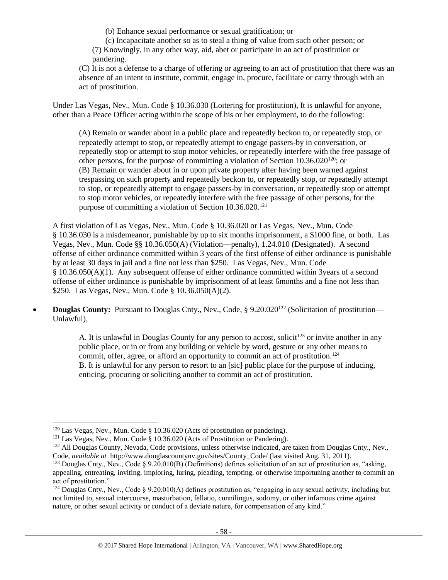(b) Enhance sexual performance or sexual gratification; or

(c) Incapacitate another so as to steal a thing of value from such other person; or (7) Knowingly, in any other way, aid, abet or participate in an act of prostitution or pandering.

(C) It is not a defense to a charge of offering or agreeing to an act of prostitution that there was an absence of an intent to institute, commit, engage in, procure, facilitate or carry through with an act of prostitution.

Under Las Vegas, Nev., Mun. Code § 10.36.030 (Loitering for prostitution), It is unlawful for anyone, other than a Peace Officer acting within the scope of his or her employment, to do the following:

(A) Remain or wander about in a public place and repeatedly beckon to, or repeatedly stop, or repeatedly attempt to stop, or repeatedly attempt to engage passers-by in conversation, or repeatedly stop or attempt to stop motor vehicles, or repeatedly interfere with the free passage of other persons, for the purpose of committing a violation of Section  $10.36.020^{120}$ ; or (B) Remain or wander about in or upon private property after having been warned against trespassing on such property and repeatedly beckon to, or repeatedly stop, or repeatedly attempt to stop, or repeatedly attempt to engage passers-by in conversation, or repeatedly stop or attempt to stop motor vehicles, or repeatedly interfere with the free passage of other persons, for the purpose of committing a violation of Section  $10.36.020$ <sup>121</sup>

A first violation of Las Vegas, Nev., Mun. Code § 10.36.020 or Las Vegas, Nev., Mun. Code § 10.36.030 is a misdemeanor, punishable by up to six months imprisonment, a \$1000 fine, or both. Las Vegas, Nev., Mun. Code §§ 10.36.050(A) (Violation—penalty), 1.24.010 (Designated). A second offense of either ordinance committed within 3 years of the first offense of either ordinance is punishable by at least 30 days in jail and a fine not less than \$250. Las Vegas, Nev., Mun. Code § 10.36.050(A)(1). Any subsequent offense of either ordinance committed within 3years of a second offense of either ordinance is punishable by imprisonment of at least 6months and a fine not less than \$250. Las Vegas, Nev., Mun. Code § 10.36.050(A)(2).

**Douglas County:** Pursuant to Douglas Cnty., Nev., Code, § 9.20.020<sup>122</sup> (Solicitation of prostitution— Unlawful),

> A. It is unlawful in Douglas County for any person to accost, solicit<sup>123</sup> or invite another in any public place, or in or from any building or vehicle by word, gesture or any other means to commit, offer, agree, or afford an opportunity to commit an act of prostitution.<sup>124</sup> B. It is unlawful for any person to resort to an [sic] public place for the purpose of inducing, enticing, procuring or soliciting another to commit an act of prostitution.

l

 $120$  Las Vegas, Nev., Mun. Code § 10.36.020 (Acts of prostitution or pandering).

<sup>121</sup> Las Vegas, Nev., Mun. Code § 10.36.020 (Acts of Prostitution or Pandering).

<sup>&</sup>lt;sup>122</sup> All Douglas County, Nevada, Code provisions, unless otherwise indicated, are taken from Douglas Cnty., Nev., Code, *available at* http://www.douglascountynv.gov/sites/County\_Code/ (last visited Aug. 31, 2011).

<sup>&</sup>lt;sup>123</sup> Douglas Cnty., Nev., Code  $\S 9.20.010(B)$  (Definitions) defines solicitation of an act of prostitution as, "asking, appealing, entreating, inviting, imploring, luring, pleading, tempting, or otherwise importuning another to commit an act of prostitution."

<sup>&</sup>lt;sup>124</sup> Douglas Cnty., Nev., Code § 9.20.010(A) defines prostitution as, "engaging in any sexual activity, including but not limited to, sexual intercourse, masturbation, fellatio, cunnilingus, sodomy, or other infamous crime against nature, or other sexual activity or conduct of a deviate nature, for compensation of any kind."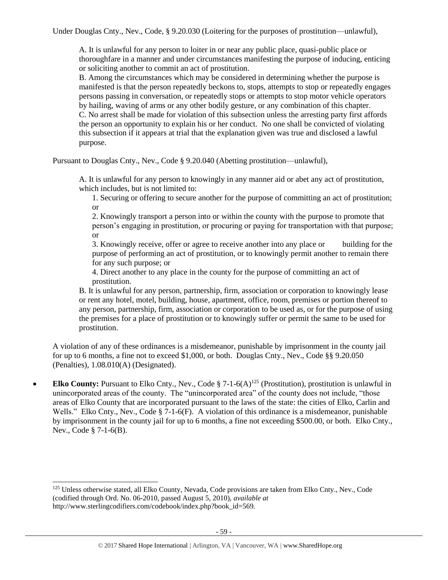Under Douglas Cnty., Nev., Code, § 9.20.030 (Loitering for the purposes of prostitution—unlawful),

A. It is unlawful for any person to loiter in or near any public place, quasi-public place or thoroughfare in a manner and under circumstances manifesting the purpose of inducing, enticing or soliciting another to commit an act of prostitution.

B. Among the circumstances which may be considered in determining whether the purpose is manifested is that the person repeatedly beckons to, stops, attempts to stop or repeatedly engages persons passing in conversation, or repeatedly stops or attempts to stop motor vehicle operators by hailing, waving of arms or any other bodily gesture, or any combination of this chapter. C. No arrest shall be made for violation of this subsection unless the arresting party first affords the person an opportunity to explain his or her conduct. No one shall be convicted of violating this subsection if it appears at trial that the explanation given was true and disclosed a lawful purpose.

Pursuant to Douglas Cnty., Nev., Code § 9.20.040 (Abetting prostitution—unlawful),

A. It is unlawful for any person to knowingly in any manner aid or abet any act of prostitution, which includes, but is not limited to:

1. Securing or offering to secure another for the purpose of committing an act of prostitution; or

2. Knowingly transport a person into or within the county with the purpose to promote that person's engaging in prostitution, or procuring or paying for transportation with that purpose; or

3. Knowingly receive, offer or agree to receive another into any place or building for the purpose of performing an act of prostitution, or to knowingly permit another to remain there for any such purpose; or

4. Direct another to any place in the county for the purpose of committing an act of prostitution.

B. It is unlawful for any person, partnership, firm, association or corporation to knowingly lease or rent any hotel, motel, building, house, apartment, office, room, premises or portion thereof to any person, partnership, firm, association or corporation to be used as, or for the purpose of using the premises for a place of prostitution or to knowingly suffer or permit the same to be used for prostitution.

A violation of any of these ordinances is a misdemeanor, punishable by imprisonment in the county jail for up to 6 months, a fine not to exceed \$1,000, or both. Douglas Cnty., Nev., Code §§ 9.20.050 (Penalties), 1.08.010(A) (Designated).

• **Elko County:** Pursuant to Elko Cnty., Nev., Code § 7-1-6(A)<sup>125</sup> (Prostitution), prostitution is unlawful in unincorporated areas of the county. The "unincorporated area" of the county does not include, "those areas of Elko County that are incorporated pursuant to the laws of the state: the cities of Elko, Carlin and Wells." Elko Cnty., Nev., Code § 7-1-6(F). A violation of this ordinance is a misdemeanor, punishable by imprisonment in the county jail for up to 6 months, a fine not exceeding \$500.00, or both. Elko Cnty., Nev., Code § 7-1-6(B).

l

<sup>125</sup> Unless otherwise stated, all Elko County, Nevada, Code provisions are taken from Elko Cnty., Nev., Code (codified through Ord. No. 06-2010, passed August 5, 2010), *available at*  http://www.sterlingcodifiers.com/codebook/index.php?book\_id=569.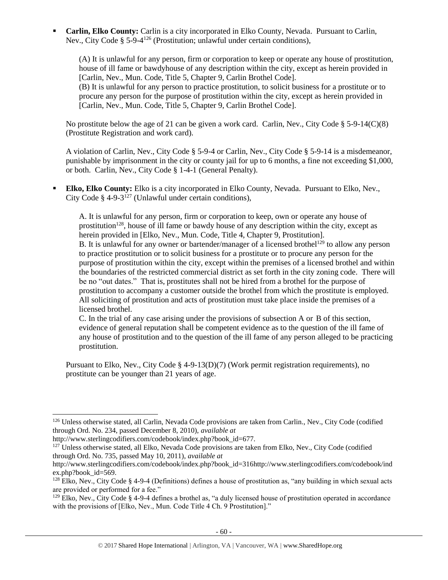**Carlin, Elko County:** Carlin is a city incorporated in Elko County, Nevada. Pursuant to Carlin, Nev., City Code § 5-9-4<sup>126</sup> (Prostitution; unlawful under certain conditions),

(A) It is unlawful for any person, firm or corporation to keep or operate any house of prostitution, house of ill fame or bawdyhouse of any description within the city, except as herein provided in [Carlin, Nev., Mun. Code, Title 5, Chapter 9, Carlin Brothel Code].

(B) It is unlawful for any person to practice prostitution, to solicit business for a prostitute or to procure any person for the purpose of prostitution within the city, except as herein provided in [Carlin, Nev., Mun. Code, Title 5, Chapter 9, Carlin Brothel Code].

No prostitute below the age of 21 can be given a work card. Carlin, Nev., City Code  $\S 5-9-14(C)(8)$ (Prostitute Registration and work card).

A violation of Carlin, Nev., City Code § 5-9-4 or Carlin, Nev., City Code § 5-9-14 is a misdemeanor, punishable by imprisonment in the city or county jail for up to 6 months, a fine not exceeding \$1,000, or both. Carlin, Nev., City Code § 1-4-1 (General Penalty).

**Elko, Elko County:** Elko is a city incorporated in Elko County, Nevada. Pursuant to Elko, Nev., City Code § 4-9-3<sup>127</sup> (Unlawful under certain conditions),

A. It is unlawful for any person, firm or corporation to keep, own or operate any house of prostitution<sup>128</sup>, house of ill fame or bawdy house of any description within the city, except as herein provided in [Elko, Nev., Mun. Code, Title 4, Chapter 9, Prostitution]. B. It is unlawful for any owner or bartender/manager of a licensed brothel<sup>129</sup> to allow any person to practice prostitution or to solicit business for a prostitute or to procure any person for the purpose of prostitution within the city, except within the premises of a licensed brothel and within the boundaries of the restricted commercial district as set forth in the city zoning code. There will be no "out dates." That is, prostitutes shall not be hired from a brothel for the purpose of prostitution to accompany a customer outside the brothel from which the prostitute is employed. All soliciting of prostitution and acts of prostitution must take place inside the premises of a licensed brothel.

C. In the trial of any case arising under the provisions of subsection A or B of this section, evidence of general reputation shall be competent evidence as to the question of the ill fame of any house of prostitution and to the question of the ill fame of any person alleged to be practicing prostitution.

Pursuant to Elko, Nev., City Code § 4-9-13(D)(7) (Work permit registration requirements), no prostitute can be younger than 21 years of age.

 $\overline{a}$ 

<sup>127</sup> Unless otherwise stated, all Elko, Nevada Code provisions are taken from Elko, Nev., City Code (codified through Ord. No. 735, passed May 10, 2011), *available at* 

<sup>126</sup> Unless otherwise stated, all Carlin, Nevada Code provisions are taken from Carlin., Nev., City Code (codified through Ord. No. 234, passed December 8, 2010), *available at* 

http://www.sterlingcodifiers.com/codebook/index.php?book\_id=677.

http://www.sterlingcodifiers.com/codebook/index.php?book\_id=316http://www.sterlingcodifiers.com/codebook/ind ex.php?book\_id=569.

 $128$  Elko, Nev., City Code § 4-9-4 (Definitions) defines a house of prostitution as, "any building in which sexual acts are provided or performed for a fee."

 $129$  Elko, Nev., City Code § 4-9-4 defines a brothel as, "a duly licensed house of prostitution operated in accordance with the provisions of [Elko, Nev., Mun. Code Title 4 Ch. 9 Prostitution]."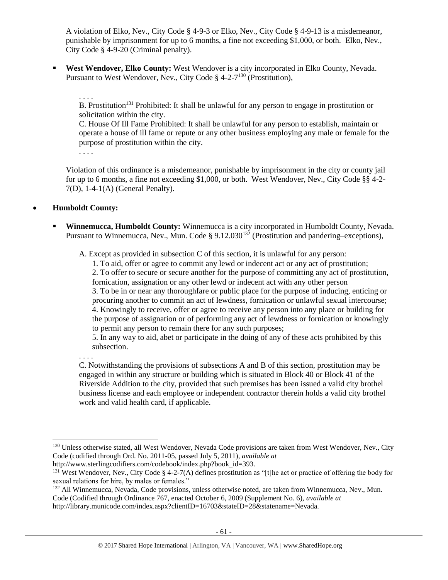A violation of Elko, Nev., City Code § 4-9-3 or Elko, Nev., City Code § 4-9-13 is a misdemeanor, punishable by imprisonment for up to 6 months, a fine not exceeding \$1,000, or both. Elko, Nev., City Code § 4-9-20 (Criminal penalty).

▪ **West Wendover, Elko County:** West Wendover is a city incorporated in Elko County, Nevada. Pursuant to West Wendover, Nev., City Code  $\S$  4-2-7<sup>130</sup> (Prostitution),

. . . .

B. Prostitution<sup>131</sup> Prohibited: It shall be unlawful for any person to engage in prostitution or solicitation within the city.

C. House Of Ill Fame Prohibited: It shall be unlawful for any person to establish, maintain or operate a house of ill fame or repute or any other business employing any male or female for the purpose of prostitution within the city.

. . . .

Violation of this ordinance is a misdemeanor, punishable by imprisonment in the city or county jail for up to 6 months, a fine not exceeding \$1,000, or both. West Wendover, Nev., City Code §§ 4-2- 7(D), 1-4-1(A) (General Penalty).

## • **Humboldt County:**

**Winnemucca, Humboldt County:** Winnemucca is a city incorporated in Humboldt County, Nevada. Pursuant to Winnemucca, Nev., Mun. Code § 9.12.030<sup>132</sup> (Prostitution and pandering–exceptions),

A. Except as provided in subsection C of this section, it is unlawful for any person:

1. To aid, offer or agree to commit any lewd or indecent act or any act of prostitution;

2. To offer to secure or secure another for the purpose of committing any act of prostitution, fornication, assignation or any other lewd or indecent act with any other person

3. To be in or near any thoroughfare or public place for the purpose of inducing, enticing or procuring another to commit an act of lewdness, fornication or unlawful sexual intercourse; 4. Knowingly to receive, offer or agree to receive any person into any place or building for the purpose of assignation or of performing any act of lewdness or fornication or knowingly to permit any person to remain there for any such purposes;

5. In any way to aid, abet or participate in the doing of any of these acts prohibited by this subsection.

. . . .

 $\overline{a}$ 

C. Notwithstanding the provisions of subsections A and B of this section, prostitution may be engaged in within any structure or building which is situated in Block 40 or Block 41 of the Riverside Addition to the city, provided that such premises has been issued a valid city brothel business license and each employee or independent contractor therein holds a valid city brothel work and valid health card, if applicable.

<sup>&</sup>lt;sup>130</sup> Unless otherwise stated, all West Wendover, Nevada Code provisions are taken from West Wendover, Nev., City Code (codified through Ord. No. 2011-05, passed July 5, 2011), *available at* 

http://www.sterlingcodifiers.com/codebook/index.php?book\_id=393.

<sup>&</sup>lt;sup>131</sup> West Wendover, Nev., City Code § 4-2-7(A) defines prostitution as "[t]he act or practice of offering the body for sexual relations for hire, by males or females."

<sup>&</sup>lt;sup>132</sup> All Winnemucca, Nevada, Code provisions, unless otherwise noted, are taken from Winnemucca, Nev., Mun.

Code (Codified through Ordinance 767, enacted October 6, 2009 (Supplement No. 6), *available at* 

http://library.municode.com/index.aspx?clientID=16703&stateID=28&statename=Nevada.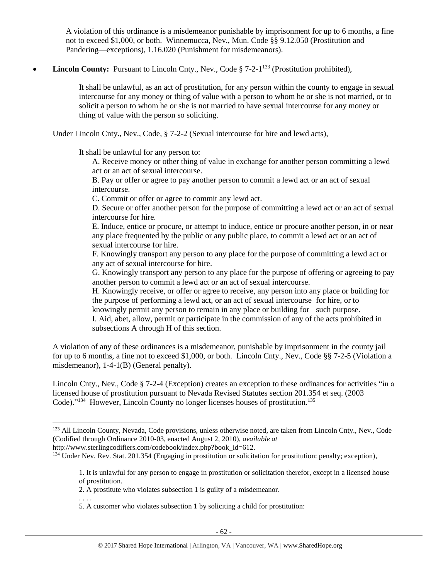A violation of this ordinance is a misdemeanor punishable by imprisonment for up to 6 months, a fine not to exceed \$1,000, or both. Winnemucca, Nev., Mun. Code §§ 9.12.050 (Prostitution and Pandering—exceptions), 1.16.020 (Punishment for misdemeanors).

## • **Lincoln County:** Pursuant to Lincoln Cnty., Nev., Code § 7-2-1<sup>133</sup> (Prostitution prohibited),

It shall be unlawful, as an act of prostitution, for any person within the county to engage in sexual intercourse for any money or thing of value with a person to whom he or she is not married, or to solicit a person to whom he or she is not married to have sexual intercourse for any money or thing of value with the person so soliciting.

Under Lincoln Cnty., Nev., Code, § 7-2-2 (Sexual intercourse for hire and lewd acts),

It shall be unlawful for any person to:

A. Receive money or other thing of value in exchange for another person committing a lewd act or an act of sexual intercourse.

B. Pay or offer or agree to pay another person to commit a lewd act or an act of sexual intercourse.

C. Commit or offer or agree to commit any lewd act.

D. Secure or offer another person for the purpose of committing a lewd act or an act of sexual intercourse for hire.

E. Induce, entice or procure, or attempt to induce, entice or procure another person, in or near any place frequented by the public or any public place, to commit a lewd act or an act of sexual intercourse for hire.

F. Knowingly transport any person to any place for the purpose of committing a lewd act or any act of sexual intercourse for hire.

G. Knowingly transport any person to any place for the purpose of offering or agreeing to pay another person to commit a lewd act or an act of sexual intercourse.

H. Knowingly receive, or offer or agree to receive, any person into any place or building for the purpose of performing a lewd act, or an act of sexual intercourse for hire, or to

knowingly permit any person to remain in any place or building for such purpose. I. Aid, abet, allow, permit or participate in the commission of any of the acts prohibited in

subsections A through H of this section.

A violation of any of these ordinances is a misdemeanor, punishable by imprisonment in the county jail for up to 6 months, a fine not to exceed \$1,000, or both. Lincoln Cnty., Nev., Code §§ 7-2-5 (Violation a misdemeanor), 1-4-1(B) (General penalty).

Lincoln Cnty., Nev., Code § 7-2-4 (Exception) creates an exception to these ordinances for activities "in a licensed house of prostitution pursuant to Nevada Revised Statutes section 201.354 et seq. (2003 Code)."<sup>134</sup> However, Lincoln County no longer licenses houses of prostitution.<sup>135</sup>

l

<sup>&</sup>lt;sup>133</sup> All Lincoln County, Nevada, Code provisions, unless otherwise noted, are taken from Lincoln Cnty., Nev., Code (Codified through Ordinance 2010-03, enacted August 2, 2010), *available at* 

http://www.sterlingcodifiers.com/codebook/index.php?book\_id=612.

<sup>&</sup>lt;sup>134</sup> Under Nev. Rev. Stat. 201.354 (Engaging in prostitution or solicitation for prostitution: penalty; exception),

<sup>1.</sup> It is unlawful for any person to engage in prostitution or solicitation therefor, except in a licensed house of prostitution.

<sup>2.</sup> A prostitute who violates subsection 1 is guilty of a misdemeanor.

<sup>. . . .</sup> 5. A customer who violates subsection 1 by soliciting a child for prostitution: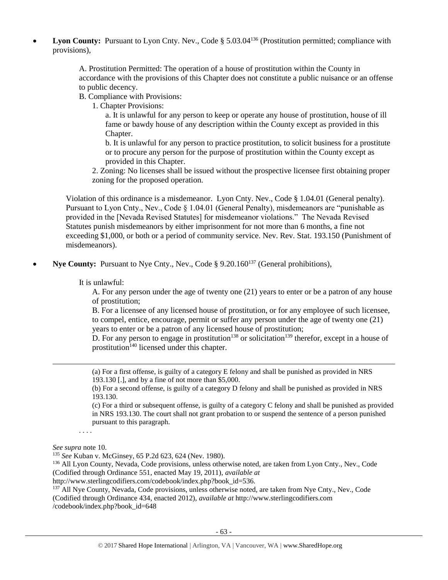**Lyon County:** Pursuant to Lyon Cnty. Nev., Code § 5.03.04<sup>136</sup> (Prostitution permitted; compliance with provisions),

> A. Prostitution Permitted: The operation of a house of prostitution within the County in accordance with the provisions of this Chapter does not constitute a public nuisance or an offense to public decency.

B. Compliance with Provisions:

1. Chapter Provisions:

a. It is unlawful for any person to keep or operate any house of prostitution, house of ill fame or bawdy house of any description within the County except as provided in this Chapter.

b. It is unlawful for any person to practice prostitution, to solicit business for a prostitute or to procure any person for the purpose of prostitution within the County except as provided in this Chapter.

2. Zoning: No licenses shall be issued without the prospective licensee first obtaining proper zoning for the proposed operation.

Violation of this ordinance is a misdemeanor. Lyon Cnty. Nev., Code § 1.04.01 (General penalty). Pursuant to Lyon Cnty., Nev., Code § 1.04.01 (General Penalty), misdemeanors are "punishable as provided in the [Nevada Revised Statutes] for misdemeanor violations." The Nevada Revised Statutes punish misdemeanors by either imprisonment for not more than 6 months, a fine not exceeding \$1,000, or both or a period of community service. Nev. Rev. Stat. 193.150 (Punishment of misdemeanors).

**Nye County:** Pursuant to Nye Cnty., Nev., Code § 9.20.160<sup>137</sup> (General prohibitions),

It is unlawful:

A. For any person under the age of twenty one (21) years to enter or be a patron of any house of prostitution;

B. For a licensee of any licensed house of prostitution, or for any employee of such licensee, to compel, entice, encourage, permit or suffer any person under the age of twenty one (21) years to enter or be a patron of any licensed house of prostitution;

D. For any person to engage in prostitution<sup>138</sup> or solicitation<sup>139</sup> therefor, except in a house of prostitution<sup>140</sup> licensed under this chapter.

(a) For a first offense, is guilty of a category E felony and shall be punished as provided in NRS 193.130 [.], and by a fine of not more than \$5,000.

(b) For a second offense, is guilty of a category D felony and shall be punished as provided in NRS 193.130.

(c) For a third or subsequent offense, is guilty of a category C felony and shall be punished as provided in NRS 193.130. The court shall not grant probation to or suspend the sentence of a person punished pursuant to this paragraph.

. . . .

*See supra* note [10.](#page-2-1)

 $\overline{a}$ 

<sup>135</sup> *See* Kuban v. McGinsey, 65 P.2d 623, 624 (Nev. 1980).

<sup>136</sup> All Lyon County, Nevada, Code provisions, unless otherwise noted, are taken from Lyon Cnty., Nev., Code (Codified through Ordinance 551, enacted May 19, 2011), *available at* 

http://www.sterlingcodifiers.com/codebook/index.php?book\_id=536.

<sup>137</sup> All Nye County, Nevada, Code provisions, unless otherwise noted, are taken from Nye Cnty., Nev., Code (Codified through Ordinance 434, enacted 2012), *available at* http://www.sterlingcodifiers.com /codebook/index.php?book\_id=648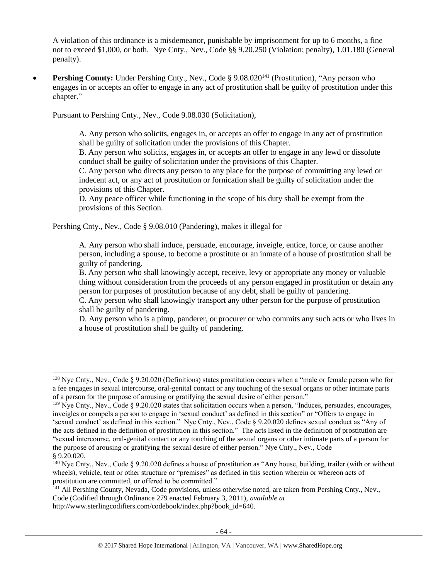A violation of this ordinance is a misdemeanor, punishable by imprisonment for up to 6 months, a fine not to exceed \$1,000, or both. Nye Cnty., Nev., Code §§ 9.20.250 (Violation; penalty), 1.01.180 (General penalty).

**Pershing County:** Under Pershing Cnty., Nev., Code § 9.08.020<sup>141</sup> (Prostitution), "Any person who engages in or accepts an offer to engage in any act of prostitution shall be guilty of prostitution under this chapter."

Pursuant to Pershing Cnty., Nev., Code 9.08.030 (Solicitation),

A. Any person who solicits, engages in, or accepts an offer to engage in any act of prostitution shall be guilty of solicitation under the provisions of this Chapter.

B. Any person who solicits, engages in, or accepts an offer to engage in any lewd or dissolute conduct shall be guilty of solicitation under the provisions of this Chapter.

C. Any person who directs any person to any place for the purpose of committing any lewd or indecent act, or any act of prostitution or fornication shall be guilty of solicitation under the provisions of this Chapter.

D. Any peace officer while functioning in the scope of his duty shall be exempt from the provisions of this Section.

Pershing Cnty., Nev., Code § 9.08.010 (Pandering), makes it illegal for

l

A. Any person who shall induce, persuade, encourage, inveigle, entice, force, or cause another person, including a spouse, to become a prostitute or an inmate of a house of prostitution shall be guilty of pandering.

B. Any person who shall knowingly accept, receive, levy or appropriate any money or valuable thing without consideration from the proceeds of any person engaged in prostitution or detain any person for purposes of prostitution because of any debt, shall be guilty of pandering.

C. Any person who shall knowingly transport any other person for the purpose of prostitution shall be guilty of pandering.

D. Any person who is a pimp, panderer, or procurer or who commits any such acts or who lives in a house of prostitution shall be guilty of pandering.

<sup>&</sup>lt;sup>138</sup> Nye Cnty., Nev., Code § 9.20.020 (Definitions) states prostitution occurs when a "male or female person who for a fee engages in sexual intercourse, oral-genital contact or any touching of the sexual organs or other intimate parts of a person for the purpose of arousing or gratifying the sexual desire of either person."

 $139$  Nye Cnty., Nev., Code § 9.20.020 states that solicitation occurs when a person, "Induces, persuades, encourages, inveigles or compels a person to engage in 'sexual conduct' as defined in this section" or "Offers to engage in 'sexual conduct' as defined in this section." Nye Cnty., Nev., Code § 9.20.020 defines sexual conduct as "Any of the acts defined in the definition of prostitution in this section." The acts listed in the definition of prostitution are "sexual intercourse, oral-genital contact or any touching of the sexual organs or other intimate parts of a person for the purpose of arousing or gratifying the sexual desire of either person." Nye Cnty., Nev., Code § 9.20.020.

 $140$  Nye Cnty., Nev., Code § 9.20.020 defines a house of prostitution as "Any house, building, trailer (with or without wheels), vehicle, tent or other structure or "premises" as defined in this section wherein or whereon acts of prostitution are committed, or offered to be committed."

<sup>141</sup> All Pershing County, Nevada, Code provisions, unless otherwise noted, are taken from Pershing Cnty., Nev., Code (Codified through Ordinance 279 enacted February 3, 2011), *available at* http://www.sterlingcodifiers.com/codebook/index.php?book\_id=640.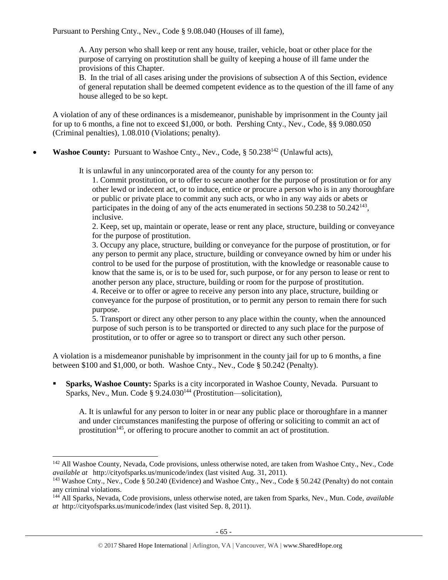Pursuant to Pershing Cnty., Nev., Code § 9.08.040 (Houses of ill fame),

A. Any person who shall keep or rent any house, trailer, vehicle, boat or other place for the purpose of carrying on prostitution shall be guilty of keeping a house of ill fame under the provisions of this Chapter.

B. In the trial of all cases arising under the provisions of subsection A of this Section, evidence of general reputation shall be deemed competent evidence as to the question of the ill fame of any house alleged to be so kept.

A violation of any of these ordinances is a misdemeanor, punishable by imprisonment in the County jail for up to 6 months, a fine not to exceed \$1,000, or both. Pershing Cnty., Nev., Code, §§ 9.080.050 (Criminal penalties), 1.08.010 (Violations; penalty).

**Washoe County:** Pursuant to Washoe Cnty., Nev., Code, § 50.238<sup>142</sup> (Unlawful acts),

It is unlawful in any unincorporated area of the county for any person to:

1. Commit prostitution, or to offer to secure another for the purpose of prostitution or for any other lewd or indecent act, or to induce, entice or procure a person who is in any thoroughfare or public or private place to commit any such acts, or who in any way aids or abets or participates in the doing of any of the acts enumerated in sections 50.238 to 50.242<sup>143</sup>, inclusive.

2. Keep, set up, maintain or operate, lease or rent any place, structure, building or conveyance for the purpose of prostitution.

3. Occupy any place, structure, building or conveyance for the purpose of prostitution, or for any person to permit any place, structure, building or conveyance owned by him or under his control to be used for the purpose of prostitution, with the knowledge or reasonable cause to know that the same is, or is to be used for, such purpose, or for any person to lease or rent to another person any place, structure, building or room for the purpose of prostitution.

4. Receive or to offer or agree to receive any person into any place, structure, building or conveyance for the purpose of prostitution, or to permit any person to remain there for such purpose.

5. Transport or direct any other person to any place within the county, when the announced purpose of such person is to be transported or directed to any such place for the purpose of prostitution, or to offer or agree so to transport or direct any such other person.

A violation is a misdemeanor punishable by imprisonment in the county jail for up to 6 months, a fine between \$100 and \$1,000, or both. Washoe Cnty., Nev., Code § 50.242 (Penalty).

**Sparks, Washoe County:** Sparks is a city incorporated in Washoe County, Nevada. Pursuant to Sparks, Nev., Mun. Code § 9.24.030<sup>144</sup> (Prostitution—solicitation),

A. It is unlawful for any person to loiter in or near any public place or thoroughfare in a manner and under circumstances manifesting the purpose of offering or soliciting to commit an act of prostitution<sup>145</sup>, or offering to procure another to commit an act of prostitution.

l

<sup>&</sup>lt;sup>142</sup> All Washoe County, Nevada, Code provisions, unless otherwise noted, are taken from Washoe Cnty., Nev., Code *available at* http://cityofsparks.us/municode/index (last visited Aug. 31, 2011).

<sup>&</sup>lt;sup>143</sup> Washoe Cnty., Nev., Code § 50.240 (Evidence) and Washoe Cnty., Nev., Code § 50.242 (Penalty) do not contain any criminal violations.

<sup>144</sup> All Sparks, Nevada, Code provisions, unless otherwise noted, are taken from Sparks, Nev., Mun. Code, *available at* http://cityofsparks.us/municode/index (last visited Sep. 8, 2011).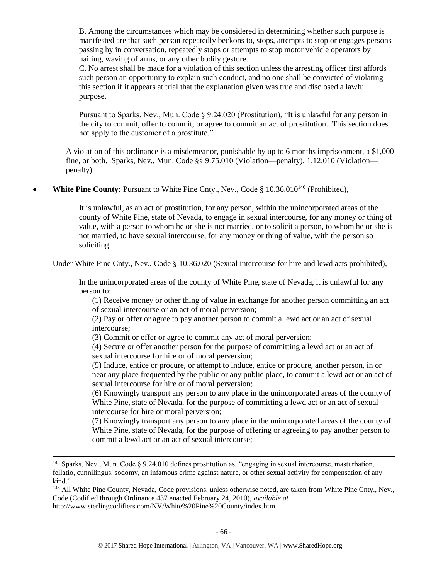B. Among the circumstances which may be considered in determining whether such purpose is manifested are that such person repeatedly beckons to, stops, attempts to stop or engages persons passing by in conversation, repeatedly stops or attempts to stop motor vehicle operators by hailing, waving of arms, or any other bodily gesture.

C. No arrest shall be made for a violation of this section unless the arresting officer first affords such person an opportunity to explain such conduct, and no one shall be convicted of violating this section if it appears at trial that the explanation given was true and disclosed a lawful purpose.

Pursuant to Sparks, Nev., Mun. Code § 9.24.020 (Prostitution), "It is unlawful for any person in the city to commit, offer to commit, or agree to commit an act of prostitution. This section does not apply to the customer of a prostitute."

A violation of this ordinance is a misdemeanor, punishable by up to 6 months imprisonment, a \$1,000 fine, or both. Sparks, Nev., Mun. Code §§ 9.75.010 (Violation—penalty), 1.12.010 (Violation penalty).

**White Pine County:** Pursuant to White Pine Cnty., Nev., Code § 10.36.010<sup>146</sup> (Prohibited),

It is unlawful, as an act of prostitution, for any person, within the unincorporated areas of the county of White Pine, state of Nevada, to engage in sexual intercourse, for any money or thing of value, with a person to whom he or she is not married, or to solicit a person, to whom he or she is not married, to have sexual intercourse, for any money or thing of value, with the person so soliciting.

Under White Pine Cnty., Nev., Code § 10.36.020 (Sexual intercourse for hire and lewd acts prohibited).

In the unincorporated areas of the county of White Pine, state of Nevada, it is unlawful for any person to:

(1) Receive money or other thing of value in exchange for another person committing an act of sexual intercourse or an act of moral perversion;

(2) Pay or offer or agree to pay another person to commit a lewd act or an act of sexual intercourse;

(3) Commit or offer or agree to commit any act of moral perversion;

(4) Secure or offer another person for the purpose of committing a lewd act or an act of sexual intercourse for hire or of moral perversion;

(5) Induce, entice or procure, or attempt to induce, entice or procure, another person, in or near any place frequented by the public or any public place, to commit a lewd act or an act of sexual intercourse for hire or of moral perversion;

(6) Knowingly transport any person to any place in the unincorporated areas of the county of White Pine, state of Nevada, for the purpose of committing a lewd act or an act of sexual intercourse for hire or moral perversion;

(7) Knowingly transport any person to any place in the unincorporated areas of the county of White Pine, state of Nevada, for the purpose of offering or agreeing to pay another person to commit a lewd act or an act of sexual intercourse;

l

<sup>146</sup> All White Pine County, Nevada, Code provisions, unless otherwise noted, are taken from White Pine Cnty., Nev., Code (Codified through Ordinance 437 enacted February 24, 2010), *available at* http://www.sterlingcodifiers.com/NV/White%20Pine%20County/index.htm.

<sup>&</sup>lt;sup>145</sup> Sparks, Nev., Mun. Code § 9.24.010 defines prostitution as, "engaging in sexual intercourse, masturbation, fellatio, cunnilingus, sodomy, an infamous crime against nature, or other sexual activity for compensation of any kind."